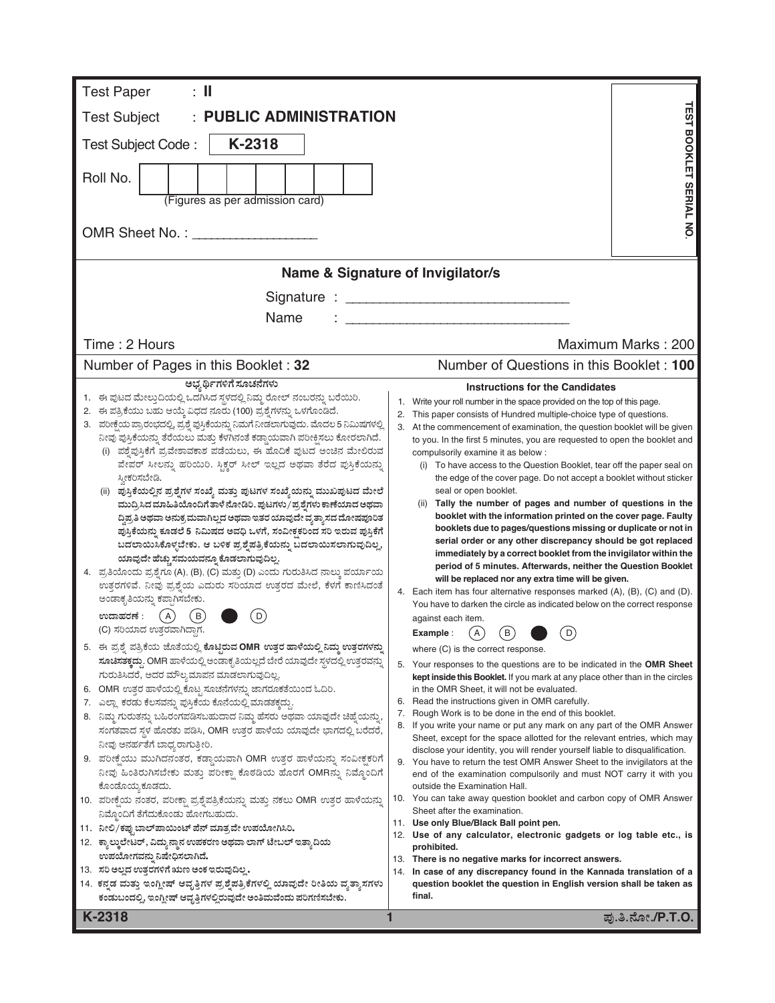| $\colon \mathbb{I}$<br><b>Test Paper</b>                                                                                                                               |                                                                                                                                                                |  |  |  |  |  |
|------------------------------------------------------------------------------------------------------------------------------------------------------------------------|----------------------------------------------------------------------------------------------------------------------------------------------------------------|--|--|--|--|--|
| <b>PUBLIC ADMINISTRATION</b><br><b>Test Subject</b>                                                                                                                    |                                                                                                                                                                |  |  |  |  |  |
| K-2318<br>Test Subject Code:                                                                                                                                           |                                                                                                                                                                |  |  |  |  |  |
|                                                                                                                                                                        | <b>TEST BOOKLET SERIAL NO</b>                                                                                                                                  |  |  |  |  |  |
| Roll No.                                                                                                                                                               |                                                                                                                                                                |  |  |  |  |  |
| (Figures as per admission card)                                                                                                                                        |                                                                                                                                                                |  |  |  |  |  |
| OMR Sheet No.: The Sheet No.:                                                                                                                                          |                                                                                                                                                                |  |  |  |  |  |
|                                                                                                                                                                        | Name & Signature of Invigilator/s                                                                                                                              |  |  |  |  |  |
|                                                                                                                                                                        |                                                                                                                                                                |  |  |  |  |  |
| Name                                                                                                                                                                   |                                                                                                                                                                |  |  |  |  |  |
| Time: 2 Hours                                                                                                                                                          | Maximum Marks: 200                                                                                                                                             |  |  |  |  |  |
| Number of Pages in this Booklet: 32                                                                                                                                    | Number of Questions in this Booklet: 100                                                                                                                       |  |  |  |  |  |
| ಅಭ್ಯರ್ಥಿಗಳಿಗೆ ಸೂಚನೆಗಳು                                                                                                                                                 | <b>Instructions for the Candidates</b>                                                                                                                         |  |  |  |  |  |
| 1. ಈ ಪುಟದ ಮೇಲ್ತುದಿಯಲ್ಲಿ ಒದಗಿಸಿದ ಸ್ಥಳದಲ್ಲಿ ನಿಮ್ಮ ರೋಲ್ ನಂಬರನ್ನು ಬರೆಯಿರಿ.<br>2. ಈ ಪತ್ರಿಕೆಯು ಬಹು ಆಯ್ಕೆ ವಿಧದ ನೂರು (100) ಪ್ರಶ್ನೆಗಳನ್ನು ಒಳಗೊಂಡಿದೆ.                            | Write your roll number in the space provided on the top of this page.<br>1.                                                                                    |  |  |  |  |  |
| 3. ಪರೀಕ್ಷೆಯ ಪ್ರಾರಂಭದಲ್ಲಿ, ಪ್ರಶ್ನೆ ಪುಸ್ತಿಕೆಯನ್ನು ನಿಮಗೆ ನೀಡಲಾಗುವುದು. ಮೊದಲ 5 ನಿಮಿಷಗಳಲ್ಲಿ                                                                                  | This paper consists of Hundred multiple-choice type of questions.<br>2.<br>3.<br>At the commencement of examination, the question booklet will be given        |  |  |  |  |  |
| ನೀವು ಪುಸ್ತಿಕೆಯನ್ನು ತೆರೆಯಲು ಮತ್ತು ಕೆಳಗಿನಂತೆ ಕಡ್ಡಾಯವಾಗಿ ಪರೀಕ್ಷಿಸಲು ಕೋರಲಾಗಿದೆ.<br>(i) ಪಶ್ವೆಪುಸ್ತಿಕೆಗೆ ಪ್ರವೇಶಾವಕಾಶ ಪಡೆಯಲು, ಈ ಹೊದಿಕೆ ಪುಟದ ಅಂಚಿನ ಮೇಲಿರುವ                     | to you. In the first 5 minutes, you are requested to open the booklet and                                                                                      |  |  |  |  |  |
| ಪೇಪರ್ ಸೀಲನ್ನು ಹರಿಯಿರಿ. ಸ್ಟಿಕ್ಕರ್ ಸೀಲ್ ಇಲ್ಲದ ಅಥವಾ ತೆರೆದ ಪುಸ್ತಿಕೆಯನ್ನು                                                                                                   | compulsorily examine it as below :<br>(i) To have access to the Question Booklet, tear off the paper seal on                                                   |  |  |  |  |  |
| ಸ್ತೀಕರಿಸಬೇಡಿ.                                                                                                                                                          | the edge of the cover page. Do not accept a booklet without sticker<br>seal or open booklet.                                                                   |  |  |  |  |  |
| (ii) ಪುಸ್ತಿಕೆಯಲ್ಲಿನ ಪ್ರಶ್ನೆಗಳ ಸಂಖ್ಯೆ ಮತ್ತು ಪುಟಗಳ ಸಂಖ್ಯೆಯನ್ನು ಮುಖಪುಟದ ಮೇಲೆ<br>ಮುದ್ರಿಸಿದ ಮಾಹಿತಿಯೊಂದಿಗೆ ತಾಳೆ ನೋಡಿರಿ. ಪುಟಗಳು/ಪ್ರಶ್ನೆಗಳು ಕಾಣೆಯಾದ ಅಥವಾ                       | (ii) Tally the number of pages and number of questions in the                                                                                                  |  |  |  |  |  |
| ದ್ಧಿಪ್ರತಿ ಅಥವಾ ಅನುಕ್ರಮವಾಗಿಲ್ಲದ ಅಥವಾ ಇತರ ಯಾವುದೇ ವ್ಯತ್ಯಾಸದ ದೋಷಪೂರಿತ                                                                                                      | booklet with the information printed on the cover page. Faulty<br>booklets due to pages/questions missing or duplicate or not in                               |  |  |  |  |  |
| ಪುಸ್ತಿಕೆಯನ್ನು ಕೂಡಲೆ 5 ನಿಮಿಷದ ಅವಧಿ ಒಳಗೆ, ಸಂವೀಕ್ಷಕರಿಂದ ಸರಿ ಇರುವ ಪುಸ್ತಿಕೆಗೆ<br>ಬದಲಾಯಿಸಿಕೊಳ್ಳಬೇಕು. ಆ ಬಳಿಕ ಪ್ರಶ್ನೆಪತ್ರಿಕೆಯನ್ನು ಬದಲಾಯಿಸಲಾಗುವುದಿಲ್ಲ,                          | serial order or any other discrepancy should be got replaced                                                                                                   |  |  |  |  |  |
| ಯಾವುದೇ ಹೆಚ್ಚು ಸಮಯವನ್ನೂ ಕೊಡಲಾಗುವುದಿಲ್ಲ.                                                                                                                                 | immediately by a correct booklet from the invigilator within the<br>period of 5 minutes. Afterwards, neither the Question Booklet                              |  |  |  |  |  |
| 4. ಪ್ರತಿಯೊಂದು ಪ್ರಶ್ನೆಗೂ (A), (B), (C) ಮತ್ತು (D) ಎಂದು ಗುರುತಿಸಿದ ನಾಲ್ಕು ಪರ್ಯಾಯ<br>ಉತ್ತರಗಳಿವೆ. ನೀವು ಪ್ರಶ್ನೆಯ ಎದುರು ಸರಿಯಾದ ಉತ್ತರದ ಮೇಲೆ, ಕೆಳಗೆ ಕಾಣಿಸಿದಂತೆ                   | will be replaced nor any extra time will be given.                                                                                                             |  |  |  |  |  |
| ಅಂಡಾಕೃತಿಯನ್ನು ಕಪ್ಪಾಗಿಸಬೇಕು.                                                                                                                                            | 4. Each item has four alternative responses marked (A), (B), (C) and (D).<br>You have to darken the circle as indicated below on the correct response          |  |  |  |  |  |
| ಉದಾಹರಣೆ :<br>( A )<br>B<br>D                                                                                                                                           | against each item.                                                                                                                                             |  |  |  |  |  |
| (C) ಸರಿಯಾದ ಉತ್ತರವಾಗಿದ್ದಾಗ.                                                                                                                                             | $\left( \mathsf{B}\right)$<br>A<br>D<br>Example:                                                                                                               |  |  |  |  |  |
| 5. ಈ ಪ್ರಶ್ನೆ ಪತ್ರಿಕೆಯ ಜೊತೆಯಲ್ಲಿ ಕೊಟ್ಟಿರುವ OMR ಉತ್ತರ ಹಾಳೆಯಲ್ಲಿ ನಿಮ್ಮ ಉತ್ತರಗಳನ್ನು<br><b>ಸೂಚಿಸತಕ್ಕದ್ದು. OMR</b> ಹಾಳೆಯಲ್ಲಿ ಅಂಡಾಕೃತಿಯಲ್ಲದೆ ಬೇರೆ ಯಾವುದೇ ಸ್ಥಳದಲ್ಲಿ ಉತ್ತರವನ್ನು | where (C) is the correct response.                                                                                                                             |  |  |  |  |  |
| ಗುರುತಿಸಿದರೆ, ಅದರ ಮೌಲ್ಯಮಾಪನ ಮಾಡಲಾಗುವುದಿಲ್ಲ.                                                                                                                             | 5. Your responses to the questions are to be indicated in the <b>OMR Sheet</b><br>kept inside this Booklet. If you mark at any place other than in the circles |  |  |  |  |  |
| 6. OMR ಉತ್ತರ ಹಾಳೆಯಲ್ಲಿ ಕೊಟ್ಟ ಸೂಚನೆಗಳನ್ನು ಜಾಗರೂಕತೆಯಿಂದ ಓದಿರಿ.                                                                                                           | in the OMR Sheet, it will not be evaluated.                                                                                                                    |  |  |  |  |  |
| 7. ಎಲ್ಲಾ ಕರಡು ಕೆಲಸವನ್ನು ಪುಸ್ತಿಕೆಯ ಕೊನೆಯಲ್ಲಿ ಮಾಡತಕ್ಕದ್ದು.<br>8. ನಿಮ್ಮ ಗುರುತನ್ನು ಬಹಿರಂಗಪಡಿಸಬಹುದಾದ ನಿಮ್ಮ ಹೆಸರು ಅಥವಾ ಯಾವುದೇ ಚಿಹ್ನೆಯನ್ನು,                                   | 6. Read the instructions given in OMR carefully.<br>Rough Work is to be done in the end of this booklet.<br>7.                                                 |  |  |  |  |  |
| ಸಂಗತವಾದ ಸ್ಥಳ ಹೊರತು ಪಡಿಸಿ, OMR ಉತ್ತರ ಹಾಳೆಯ ಯಾವುದೇ ಭಾಗದಲ್ಲಿ ಬರೆದರೆ,                                                                                                      | If you write your name or put any mark on any part of the OMR Answer<br>Sheet, except for the space allotted for the relevant entries, which may               |  |  |  |  |  |
| ನೀವು ಅನರ್ಹತೆಗೆ ಬಾಧ್ಯರಾಗುತ್ತೀರಿ.                                                                                                                                        | disclose your identity, you will render yourself liable to disqualification.                                                                                   |  |  |  |  |  |
| 9. ಪರೀಕ್ಷೆಯು ಮುಗಿದನಂತರ, ಕಡ್ಡಾಯವಾಗಿ OMR ಉತ್ತರ ಹಾಳೆಯನ್ನು ಸಂವೀಕ್ಷಕರಿಗೆ<br>ನೀವು ಹಿಂತಿರುಗಿಸಬೇಕು ಮತ್ತು ಪರೀಕ್ಷಾ ಕೊಠಡಿಯ ಹೊರಗೆ OMRನ್ನು ನಿಮ್ಮೊಂದಿಗೆ                              | 9. You have to return the test OMR Answer Sheet to the invigilators at the<br>end of the examination compulsorily and must NOT carry it with you               |  |  |  |  |  |
| ಕೊಂಡೊಯ್ಮ ಕೂಡದು.                                                                                                                                                        | outside the Examination Hall.                                                                                                                                  |  |  |  |  |  |
| 10. ಪರೀಕ್ಷೆಯ ನಂತರ, ಪರೀಕ್ಷಾ ಪ್ರಶ್ನೆಪತ್ರಿಕೆಯನ್ನು ಮತ್ತು ನಕಲು OMR ಉತ್ತರ ಹಾಳೆಯನ್ನು<br>ನಿಮ್ಗೊಂದಿಗೆ ತೆಗೆದುಕೊಂಡು ಹೋಗಬಹುದು.                                                     | 10. You can take away question booklet and carbon copy of OMR Answer<br>Sheet after the examination.                                                           |  |  |  |  |  |
| 11. ನೀಲಿ/ಕಪು ಬಾಲ್ಪಾಯಿಂಟ್ ಪೆನ್ ಮಾತ್ರವೇ ಉಪಯೋಗಿಸಿರಿ.                                                                                                                      | 11. Use only Blue/Black Ball point pen.<br>12. Use of any calculator, electronic gadgets or log table etc., is                                                 |  |  |  |  |  |
| 12. ಕ್ಯಾಲ್ಕುಲೇಟರ್, ವಿದ್ಯುನ್ಮಾನ ಉಪಕರಣ ಅಥವಾ ಲಾಗ್ ಟೇಬಲ್ ಇತ್ಯಾದಿಯ                                                                                                          | prohibited.                                                                                                                                                    |  |  |  |  |  |
| ಉಪಯೋಗವನ್ನು ನಿಷೇಧಿಸಲಾಗಿದೆ.<br>13. ಸರಿ ಅಲ್ಲದ ಉತ್ತರಗಳಿಗೆ ಋಣ ಅಂಕ ಇರುವುದಿಲ್ಲ.                                                                                               | 13. There is no negative marks for incorrect answers.<br>In case of any discrepancy found in the Kannada translation of a<br>14.                               |  |  |  |  |  |
| 14. ಕನ್ನಡ ಮತ್ತು ಇಂಗ್ಲೀಷ್ ಆವೃತ್ತಿಗಳ ಪ್ರಶ್ನೆಪತ್ರಿಕೆಗಳಲ್ಲಿ ಯಾವುದೇ ರೀತಿಯ ವ್ಯತ್ನಾಸಗಳು                                                                                       | question booklet the question in English version shall be taken as                                                                                             |  |  |  |  |  |
| ಕಂಡುಬಂದಲ್ಲಿ, ಇಂಗ್ಲೀಷ್ ಆವೃತ್ತಿಗಳಲ್ಲಿರುವುದೇ ಅಂತಿಮವೆಂದು ಪರಿಗಣಿಸಬೇಕು.                                                                                                      | final.                                                                                                                                                         |  |  |  |  |  |
| K-2318                                                                                                                                                                 | ಪು.ತಿ.ನೋ./P.T.O.<br>1                                                                                                                                          |  |  |  |  |  |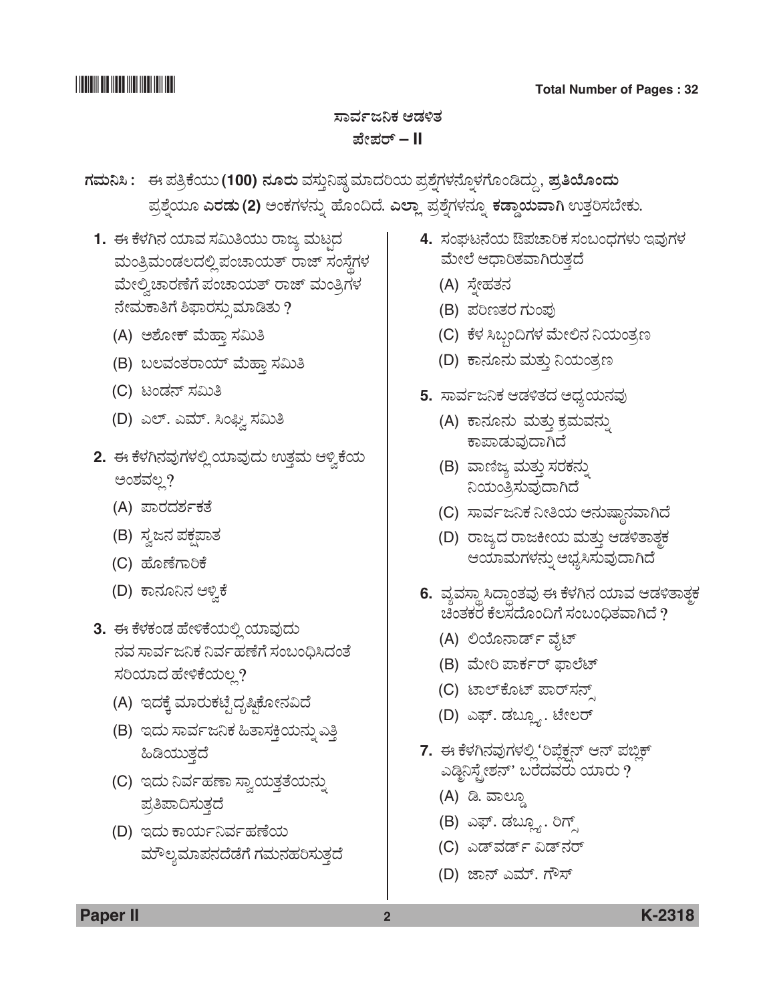### <u>ಸಾರ್ವಜನಿಕ ಆಡಳಿತ</u> **±æà±ÜÃ… – II**

- $N$ ಮನಿಸಿ : ಈ ಪತ್ರಿಕೆಯು (100) ನೂರು ವಸ್ತುನಿಷ್ಠ ಮಾದರಿಯ ಪ್ರಶ್ನೆಗಳನ್ನೊಳಗೊಂಡಿದ್ದು, ಪ್ರತಿಯೊಂದು  $E$ ಪ್ರಶ್ನೆಯೂ ಎರಡು (2) ಅಂಕಗಳನ್ನು ಹೊಂದಿದೆ. ಎಲ್ಲಾ ಪ್ರಶ್ನೆಗಳನ್ನೂ ಕಡ್ಡಾಯವಾಗಿ ಉತ್ತರಿಸಬೇಕು.
	- 1. ಈ ಕೆಳಗಿನ ಯಾವ ಸಮಿತಿಯು ರಾಜ್ಯ ಮಟದ ಮಂತ್ರಿಮಂಡಲದಲ್ಲಿ ಪಂಚಾಯತ್ ರಾಜ್ ಸಂಸ್ಥೆಗಳ ಮೇಲ್ವಿಚಾರಣೆಗೆ ಪಂಚಾಯತ್ ರಾಜ್ ಮಂತ್ರಿಗಳ ನೇಮಕಾತಿಗೆ ಶಿಫಾರಸ್ಸುಮಾಡಿತು ?
		- (A) ಅಶೋಕ್ ಮೆಹ್ತಾ ಸಮಿತಿ
		- (B) ಬಲವಂತರಾಯ್ ಮೆಹ್ತಾ ಸಮಿತಿ
		- (C) ಟಂಡನ್ ಸಮಿತಿ
		- (D) ಎಲ್. ಎಮ್. ಸಿಂಫ್ವಿ ಸಮಿತಿ
	- 2. ಈ ಕೆಳಗಿನವುಗಳಲ್ಲಿ ಯಾವುದು ಉತ್ತಮ ಆಳ್ವಿಕೆಯ ಅಂಶವಲ್ಲ?
		- (A) ಪಾರದರ್ಶಕತೆ
		- (B) ಸ್ವಜನ ಪಕ್ಷಪಾತ
		- (C) ಹೊಣೆಗಾರಿಕೆ
		- (D) ಕಾನೂನಿನ ಆಳ್ತಿಕೆ
	- **3.** ಈ ಕೆಳಕಂಡ ಹೇಳಿಕೆಯಲ್ಲಿ ಯಾವುದು ನವ ಸಾರ್ವಜನಿಕ ನಿರ್ವಹಣೆಗೆ ಸಂಬಂಧಿಸಿದಂತೆ ಸರಿಯಾದ ಹೇಳಿಕೆಯಲ್ಲ?
		- (A) ಇದಕ್ಕೆ ಮಾರುಕಟ್ಟೆದೃಷ್ಟಿಕೋನವಿದೆ
		- (B) ಇದು ಸಾರ್ವಜನಿಕ ಹಿತಾಸಕ್ತಿಯನ್ನು ಎತ್ತಿ ಹಿಡಿಯುತ್ತದೆ
		- (C) ಇದು ನಿರ್ವಹಣಾ ಸ್ವಾಯತ್ತತೆಯನ್ನು ಪ್ರತಿಪಾದಿಸುತ್ತದೆ
		- (D) ಇದು ಕಾರ್ಯನಿರ್ವಹಣೆಯ ಮೌಲ್ಯಮಾಪನದೆಡೆಗೆ ಗಮನಹರಿಸುತ್ತದೆ
- 4. ಸಂಘಟನೆಯ ಔಪಚಾರಿಕ ಸಂಬಂಧಗಳು ಇವುಗಳ ಮೇಲೆ ಆಧಾರಿತವಾಗಿರುತ್ತದೆ
	- (A) ಸ್ತೇಹತನ
	- (B) ಪರಿಣತರ ಗುಂಪು
	- (C) ಕೆಳ ಸಿಬ್ಬಂದಿಗಳ ಮೇಲಿನ ನಿಯಂತ್ರಣ
	- (D) ಕಾನೂನು ಮತ್ತು ನಿಯಂತ್ರಣ
- 5. ಸಾರ್ವಜನಿಕ ಆಡಳಿತದ ಅಧ್ಯಯನವು
	- (A) ಕಾನೂನು ಮತ್ತು ಕ್ರಮವನ್ನು ಕಾಪಾಡುವುದಾಗಿದೆ
	- (B) ವಾಣಿಜ್ಯ ಮತ್ತು ಸರಕನ್ನು ನಿಯಂತ್ರಿಸುವುದಾಗಿದೆ
	- (C) ಸಾರ್ವಜನಿಕ ನೀತಿಯ ಅನುಷ್ಠಾನವಾಗಿದೆ
	- (D) ರಾಜ್ಯದ ರಾಜಕೀಯ ಮತ್ತು ಆಡಳಿತಾತ್ಮಕ ಆಯಾಮಗಳನ್ನು ಅಭ್ಯಸಿಸುವುದಾಗಿದೆ
- 6. ವ್ಯವಸ್ಥಾ ಸಿದ್ಧಾಂತವು ಈ ಕೆಳಗಿನ ಯಾವ ಆಡಳಿತಾತ್<del>ಠ</del> ಚಿಂತಕರೆ ಕೆಲಸದೊಂದಿಗೆ ಸಂಬಂಧಿತವಾಗಿದೆ ?
	- (A) ಲಿಯೊನಾರ್ಡ್ ವೈಟ್
	- (B) ಮೇರಿ ಪಾರ್ಕರ್ ಫಾಲೆಟ್
	- (C) ಟಾಲ್*ಕೊಟ್ ಪಾರ್*ಸನ್
	- (D) ಎಫ್. ಡಬ್ಲ್ಯೂ. ಟೇಲರ್
- 7. ಈ ಕೆಳಗಿನವುಗಳಲ್ಲಿ 'ರಿಪ್ಲೆಕ್ಷನ್ ಆನ್ ಪಬ್ಲಿಕ್ ಎಡ್ಡಿನಿಸ್ಟ್ರೇಶನ್' ಬರೆದವರು ಯಾರು ?
	- (A) ಡಿ. ವಾಲ್ದೂ
	- (B) ಎಫ್. ಡಬ್ಲ್ಯೂ. ರಿಗ್ಸ್
	- (C) ಎಡ್**ವರ್ಡ್ ವಿಡ್**ನರ್
	- (D) ಜಾನ್ ಎಮ್. ಗೌಸ್

**Paper II 2 K-2318**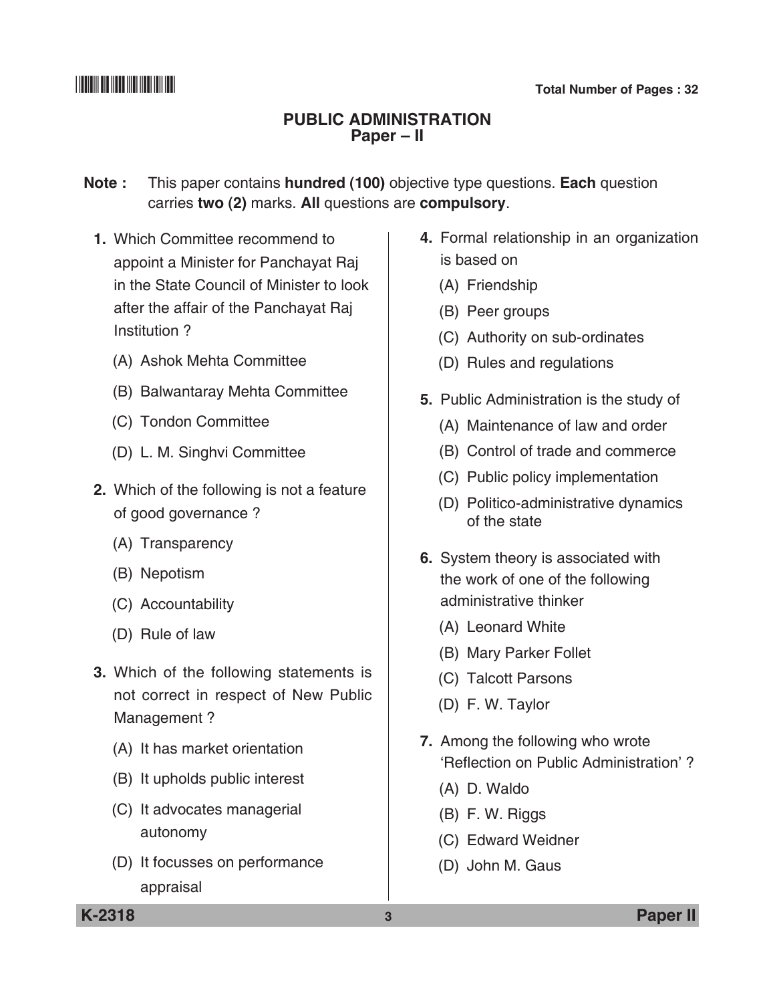### **Public administration Paper – II**

**Note :** This paper contains **hundred (100)** objective type questions. **Each** question carries **two (2)** marks. **All** questions are **compulsory**.

- **1.** Which committee recommend to appoint a Minister for Panchayat Raj in the State council of Minister to look after the affair of the Panchayat Raj institution ?
	- (A) Ashok Mehta Committee
	- (B) Balwantaray Mehta Committee
	- (C) Tondon Committee
	- (D) L. M. Singhvi Committee
- **2.** Which of the following is not a feature of good governance ?
	- (A) Transparency
	- (B) Nepotism
	- (C) Accountability
	- (D) Rule of law
- **3.** Which of the following statements is not correct in respect of New Public Management ?
	- (A) It has market orientation
	- (B) It upholds public interest
	- (C) It advocates managerial autonomy
	- (D) It focusses on performance appraisal
- **4.** Formal relationship in an organization is based on
	- (A) Friendship
	- (B) Peer groups
	- (C) Authority on sub-ordinates
	- (D) Rules and regulations
- **5.** Public Administration is the study of
	- (A) Maintenance of law and order
	- (B) Control of trade and commerce
	- (C) Public policy implementation
	- (D) Politico-administrative dynamics of the state
- **6.** System theory is associated with the work of one of the following administrative thinker
	- (A) Leonard White
	- (B) Mary Parker Follet
	- (C) Talcott Parsons
	- (D) F. W. Taylor
- **7.** Among the following who wrote 'Reflection on Public Administration' ?
	- (A) D. Waldo
	- (B) F. W. Riggs
	- (C) Edward Weidner
	- (D) John M. Gaus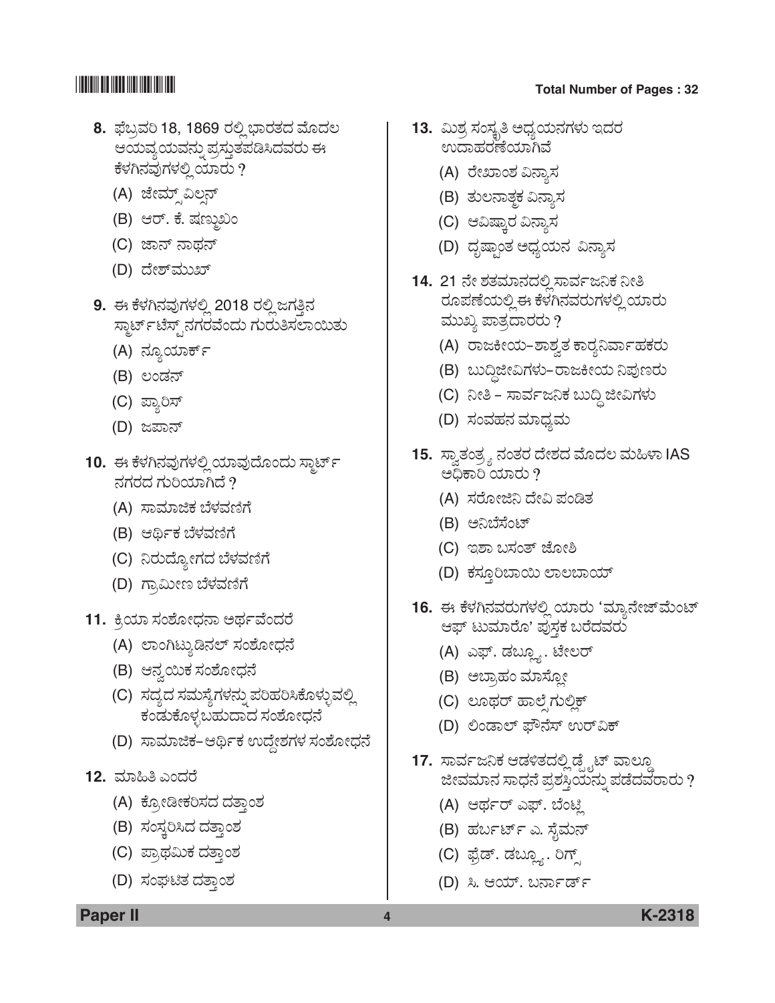- **8.** ಫೆಬ್ರವರಿ 18, 1869 ರಲ್ಲಿ ಭಾರತದ ಮೊದಲ ಆಯವ್ಯಯವನ್ನು ಪ್ರಸ್ತುತಪಡಿಸಿದವರು ಈ ಕೆಳಗಿನವುಗಳಲ್ಲಿ ಯಾರು ?
	- (A) ಜೇಮ್ಸ್ಎಲ್ಸನ್
	- (B) ಆರ್. ಕೆ. ಷಣ್ಣುಖಂ
	- (C) ಜಾನ್ ನಾಥನ್
	- (D) ದೇಶ್*ಮುಖ್*
- 9. ಈ ಕೆಳಗಿನವುಗಳಲ್ಲಿ 2018 ರಲ್ಲಿ ಜಗತ್ತಿನ ಸ್ಟಾರ್ಟ್ ಟೆಸ್ಪ್ ನಗರವೆಂದು ಗುರುತಿಸಲಾಯಿತು
	- (A) ನ್ಯೂಯಾರ್ಕ್
	- (B) ಲಂಡನ್
	- (C) ಪ್ಯಾರಿಸ್
	- (D) ಜಪಾನ್
- 10. ಈ ಕೆಳಗಿನವುಗಳಲ್ಲಿ ಯಾವುದೊಂದು ಸ್ಮಾರ್ಟ್ ನಗರದ ಗುರಿಯಾಗಿದೆ  $\overline{?}$ 
	- (A) ಸಾಮಾಜಿಕ ಬೆಳವಣಿಗೆ
	- (B) ಆರ್ಥಿಕ ಬೆಳವಣಿಗೆ
	- (C) ನಿರುದ್ಯೋಗದ ಬೆಳವಣಿಗೆ
	- (D) ಗ್ರಾಮೀಣ ಬೆಳವಣಿಗೆ
- 11. ಕ್ರಿಯಾ ಸಂಶೋಧನಾ ಅರ್ಥವೆಂದರೆ
	- (A) ಲಾಂಗಿಟ್ಯುಡಿನಲ್ ಸಂಶೋಧನೆ
	- (B) ಆನ್ವಯಿಕ ಸಂಶೋಧನೆ
	- (C) ಸದ್ಯದ ಸಮಸ್ಯೆಗಳನ್ನು ಪರಿಹರಿಸಿಕೊಳ್ಳುವಲ್ಲಿ ಕಂಡುಕೊಳ್ಳಬಹುದಾದ ಸಂಶೋಧನೆ
	- (D) ಸಾಮಾಜಿಕ–ಆರ್ಥಿಕ ಉದ್ದೇಶಗಳ ಸಂಶೋಧನೆ
- **12.** ಮಾಹಿತಿ ಎಂದರೆ
	- (A) ಕ್ಸೋಡೀಕರಿಸದ ದತ್ತಾಂಶ
	- (B) ಸಂಸ್ತರಿಸಿದ ದತ್ತಾಂಶ
	- (C) ಪ್ರಾಥಮಿಕ ದತ್ತಾಂಶ
	- (D) ಸಂಘಟಿತ ದತ್ತಾಂಶ

- **13.** ಮಿಶ್ರ ಸಂಸ್ಕೃತಿ ಅಧ್ಯಯನಗಳು ಇದರ ಉದಾಹರಣೆಯಾಗಿವೆ
	- (A) ರೇಖಾಂಶ ವಿನ್ಯಾಸ
	- (B) ತುಲನಾತ್ಮಕ ವಿನ್ಯಾಸ
	- (C) ಆವಿಷ್ತಾರ ವಿನ್ಯಾಸ
	- (D) ದೃಷ್ರಾಂತ ಅಧ್ಯಯನ ವಿನ್ಯಾಸ
- <u>14. 21 ನೇ ಶತಮಾನದಲ್ಲಿ ಸಾರ್ವಜನಿಕ ನೀತಿ</u> ರೂಪಣೆಯಲ್ಲಿ ಈ ಕೆಳಗಿನವರುಗಳಲ್ಲಿ ಯಾರು ಮುಖ್ಯ ಪಾತ್ರದಾರರು  $\eta$ 
	- (A) ರಾಜಕೀಯ–ಶಾಶ್ವತ ಕಾರ್ರನಿರ್ವಾಹಕರು
	- (B) ಬುದ್ದಿಜೀವಿಗಳು-ರಾಜಕೀಯ ನಿಪುಣರು
	- (C) ನೀತಿ ಸಾರ್ವಜನಿಕ ಬುದ್ದಿ ಜೀವಿಗಳು
	- (D) ಸಂವಹನ ಮಾಧ್ಯಮ
- **15.** ಸ್ವಾತಂತ್ರ್ಯ ನಂತರ ದೇಶದ ಮೊದಲ ಮಹಿಳಾ IAS ಅಧಿಕಾರಿ ಯಾರು  $\overline{?}$ 
	- (A) ಸರೋಜಿನಿ ದೇವಿ ಪಂಡಿತ
	- (B) ಅನಿಬೆಸೆಂಟ್
	- (C) ಇಶಾ ಬಸಂತ್ ಜೋಶಿ
	- (D) ಕಸ್ತೂರಿಬಾಯಿ ಲಾಲಬಾಯ್
- 16. ಈ ಕೆಳಗಿನವರುಗಳಲ್ಲಿ ಯಾರು 'ಮ್ಯಾನೇಜ್*ಮೆಂಟ್* ಆಫ್ ಟುಮಾರೊ' ಪುಸ್ತಕ ಬರೆದವರು
	- (A) ಎಫ್. ಡಬ್ಲ್ಯೂ. ಟೇಲರ್
	- (B) ಅಬ್ರಾಹಂ ಮಾಸ್ಲೋ
	- (C) ಲೂಥರ್ ಹಾಲ್ಪೆಗುಲ್ಲಿಕ್
	- (D) ಲಿಂಡಾಲ್ ಫೌನೆಸ್ ಉರ್ವಿಕ್
- 17. ಸಾರ್ವಜನಿಕ ಆಡಳಿತದಲ್ಲಿ ಡೈೖಟ್ ವಾಲ್ಡೂ ಜೀವಮಾನ ಸಾಧನೆ ಪ್ರಶಸ್ತಿಯನ್ನು ಪಡೆದವರಾರು ?
	- (A) ಆರ್ಥರ್ ಎಫ್. ಬೆಂಟ್ಜಿ
	- (B) ಹರ್ಬರ್ಟ್ ಎ. ಸೈಮನ್
	- (C) ಫೈಡ್. ಡಬ್ಲ್ಯೂ. ರಿಗ್
	- (D) ಸಿ. ಆಯ್. ಬರ್ನಾರ್ಡ್

**Paper II 4 K-2318**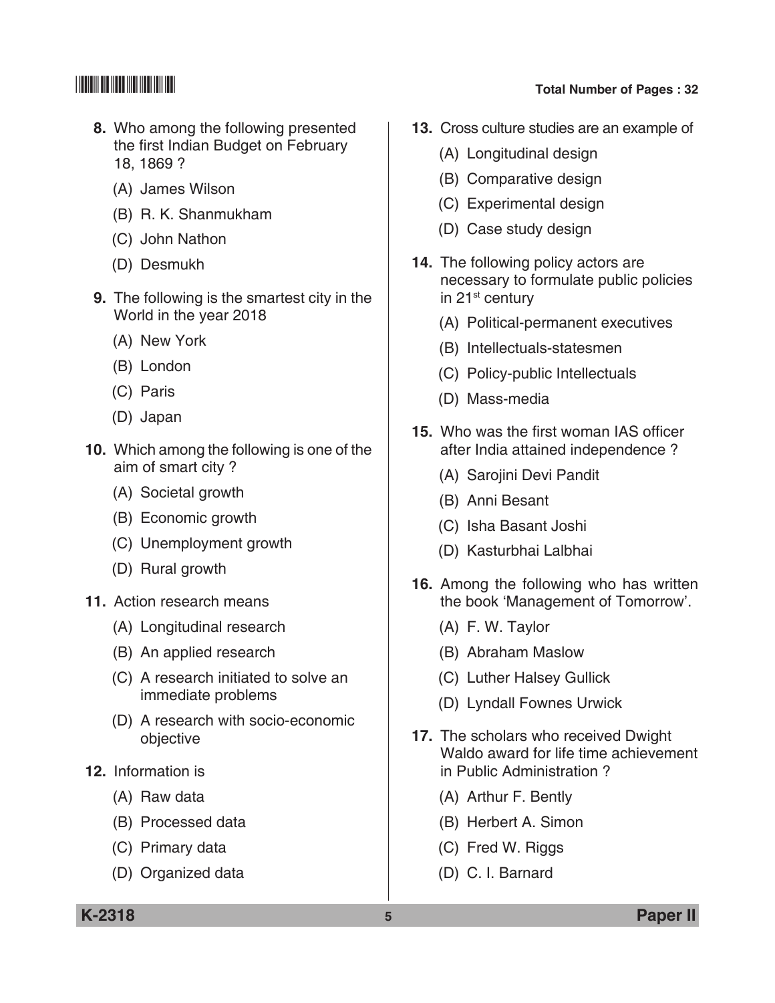- **8.** Who among the following presented the first Indian Budget on February 18, 1869 ?
	- (A) James Wilson
	- (B) R. K. Shanmukham
	- (C) John Nathon
	- (D) Desmukh
- **9.** The following is the smartest city in the World in the year 2018
	- (A) New York
	- (B) London
	- (C) Paris
	- (D) Japan
- **10.** Which among the following is one of the aim of smart city ?
	- (A) societal growth
	- (B) Economic growth
	- (C) Unemployment growth
	- (D) Rural growth
- **11.** Action research means
	- (A) Longitudinal research
	- (B) An applied research
	- (C) A research initiated to solve an immediate problems
	- (D) A research with socio-economic objective
- **12.** Information is
	- (A) Raw data
	- (B) Processed data
	- (C) Primary data
	- (D) Organized data

- **13.** Cross culture studies are an example of
	- (A) Longitudinal design
	- (B) Comparative design
	- (C) Experimental design
	- (D) Case study design
- **14.** The following policy actors are necessary to formulate public policies in 21<sup>st</sup> century
	- (A) Political-permanent executives
	- (B) Intellectuals-statesmen
	- (C) Policy-public Intellectuals
	- (D) Mass-media
- **15.** Who was the first woman IAS officer after India attained independence ?
	- (A) Sarojini Devi Pandit
	- (B) Anni Besant
	- (C) Isha Basant Joshi
	- (D) Kasturbhai Lalbhai
- **16.** Among the following who has written the book 'Management of Tomorrow'.
	- (A) F. W. Taylor
	- (B) Abraham Maslow
	- (C) Luther Halsey Gullick
	- (D) Lyndall Fownes Urwick
- **17.** The scholars who received Dwight Waldo award for life time achievement in Public Administration ?
	- (A) Arthur F. Bently
	- (B) Herbert A. Simon
	- (C) Fred W. Riggs
	- (D) C. I. Barnard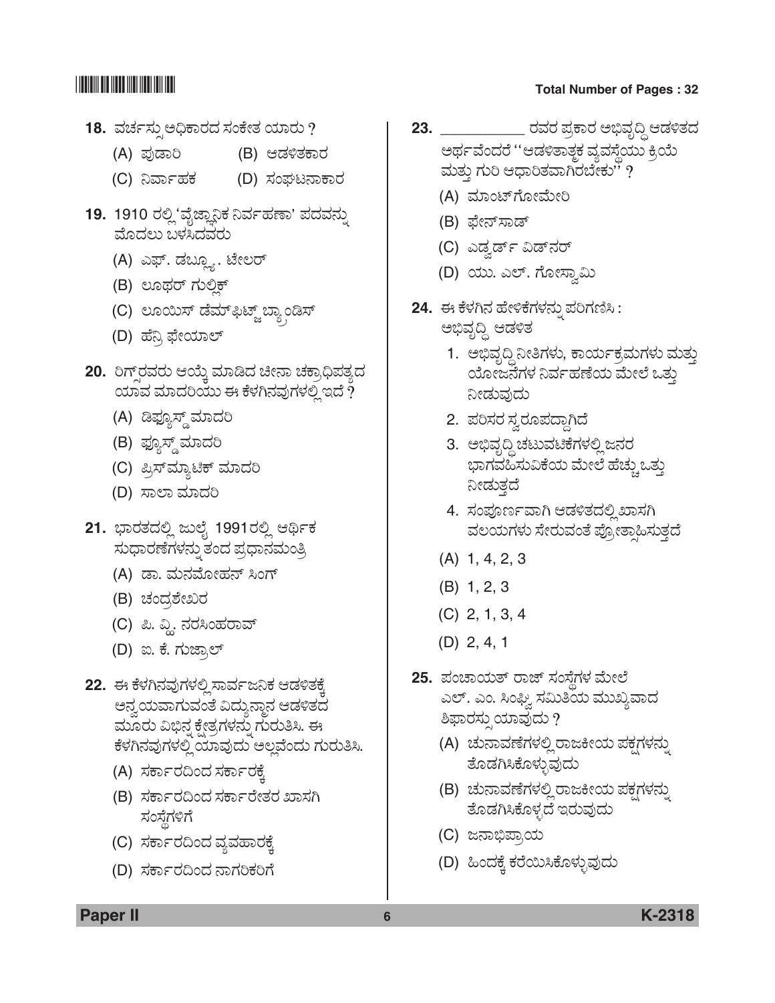- 18. ವರ್ಚಸ್ಸು ಅಧಿಕಾರದ ಸಂಕೇತ ಯಾರು ?
	- (A) ±ÜâvÝÄ (B) BvÜÚñÜPÝÃÜ
	- (C) ನಿರ್ವಾಹಕ (D) ಸಂಘಟನಾಕಾರ
- 19. 1910 ರಲ್ಲಿ 'ವೈಜ್ಞಾನಿಕ ನಿರ್ವಹಣಾ' ಪದವನ್ನು ಮೊದಲು ಬಳಸಿದವರು
	- (A) ಎಫ್. ಡಬ್ಲ್ಯೂ. ಟೇಲರ್
	- (B) ಲೂಥರ್ ಗುಲ್ಲಿಕ್
	- (C) ಲೂಯಿಸ್ ಡೆಮ್ಫ಼ಿಟ್ಜ್ ಬ್ಯಾಂಡಿಸ್
	- (D) ಹೆನ್ರಿ ಫೇಯಾಲ್
- 20. ರಿಗ್ಸ್**ರವರು ಆಯ್ಕೆ ಮಾಡಿದ ಚೀನಾ ಚಕ್ರಾಧಿಪತ್ಯ**ದ <u>ಯಾವ ಮಾದರಿಯು ಈ ಕೆಳಗಿನವುಗಳಲ್ಲಿ ಇದೆ ?</u>
	- (A) ಡಿಫ್ಯೂಸ್ಡ್ ಮಾದರಿ
	- (B) ಫ್ಯೂಸ್ಡ್ ಮಾದರಿ
	- (C) ಪ್ರಿಸ್*ಮ್ಮಾ*ಟಿಕ್ ಮಾದರಿ
	- (D) ಸಾಲಾ ಮಾದರಿ
- 21. ಭಾರತದಲ್ಲಿ ಜುಲೈ 1991ರಲ್ಲಿ ಆರ್ಥಿಕ ಸುಧಾರಣೆಗಳನ್ನು ತಂದ ಪ್ರಧಾನಮಂತ್ರಿ
	- (A) ಡಾ. ಮನಮೋಹನ್ ಸಿಂಗ್
	- (B) ಚಂದ್ರಶೇಖರ
	- (C) ಪಿ. ವ್ಲಿ. ನರಸಿಂಹರಾವ್
	- (D) ಐ. ಕೆ. ಗುಜ್ರಾಲ್
- **22.** ಈ ಕೆಳಗಿನವುಗಳಲ್ಲಿ ಸಾರ್ವಜನಿಕ ಆಡಳಿತಕ್ಕೆ ಅನ್ವಯವಾಗುವಂತೆ ವಿದ್ಯುನ್ಮಾನ ಆಡಳಿತದ ಮೂರು ವಿಭಿನ್ನ ಕ್ಷೇತ್ರಗಳನ್ನು ಗುರುತಿಸಿ. ಈ ಕೆಳಗಿನವುಗಳಲ್ಲಿ ಯಾವುದು ಅಲ್ಲವೆಂದು ಗುರುತಿಸಿ.
	- (A) ಸರ್ಕಾರದಿಂದ ಸರ್ಕಾರಕ್ಕೆ
	- (B) ಸರ್ಕಾರದಿಂದ ಸರ್ಕಾರೇತರ ಖಾಸಗಿ ಸಂಸ್ಥೆಗಳಿಗೆ
	- (C) ಸರ್ಕಾರದಿಂದ ವ್ಯವಹಾರಕ್ಕೆ
	- (D) ಸರ್ಕಾರದಿಂದ ನಾಗರಿಕರಿಗೆ

- **23. \_\_\_\_\_\_\_\_\_\_\_\_\_\_ ರವರ ಪ್ರಕಾರ ಅಭಿವೃದ್ಧಿ ಆಡಳಿತದ** ಅರ್ಥವೆಂದರೆ ''ಆಡಳಿತಾತ್ಮಕ ವ್ಯವಸ್ಥೆಯು ಕ್ರಿಯೆ ಮತ್ತು ಗುರಿ ಆಧಾರಿತವಾಗಿರಬೇಕು'' ?
	- (A) ಮಾಂಟ್ ಗೋಮೇರಿ
	- (B) ಫೇನ್ಸಾಡ್
	- (C) ಎಡ್ವರ್ಡ್ ವಿಡ್*ನ*ರ್
	- (D) ಯು. ಎಲ್. ಗೋಸ್ತಾಮಿ
- 24. ಈ ಕೆಳಗಿನ ಹೇಳಿಕೆಗಳನ್ನು ಪರಿಗಣಿಸಿ: ಅಭಿವೃದ್ಧಿ ಆಡಳಿತ
	- 1. ಅಭಿವೃದ್ಧಿ ನೀತಿಗಳು, ಕಾರ್ಯಕ್ರಮಗಳು ಮತ್ತು ಯೋಜನೆಗಳ ನಿರ್ವಹಣೆಯ ಮೇಲೆ ಒತ್ತು ನೀಡುವುದು
	- 2. ಪರಿಸರ ಸ್ವರೂಪದ್ದಾಗಿದೆ
	- 3. ಅಭಿವೃದ್ಧಿ ಚಟುವಟಿಕೆಗಳಲ್ಲಿ ಜನರ ಭಾಗವಹಿಸುವಿಕೆಯ ಮೇಲೆ ಹೆಚ್ಚುಒತ್ತು ನೀಡುತ್ತದೆ
	- 4. ಸಂಪೂರ್ಣವಾಗಿ ಆಡಳಿತದಲ್ಲಿಖಾಸಗಿ ವಲಯಗಳು ಸೇರುವಂತೆ ಪ್ರೋತ್ಕಾಹಿಸುತ್ತದೆ
	- (A) 1, 4, 2, 3
	- (B) 1, 2, 3
	- (C) 2, 1, 3, 4
	- (D) 2, 4, 1
- **25.** ಪಂಚಾಯತ್ ರಾಜ್ ಸಂಸೆಗಳ ಮೇಲೆ ಎಲ್. ಎಂ. ಸಿಂಘ್ವಿ ಸಮಿತಿಯ ಮುಖ್ಯವಾದ ಶಿಫಾರಸ್ಸುಯಾವುದು ?
	- (A) ಚುನಾವಣೆಗಳಲ್ಲಿ ರಾಜಕೀಯ ಪಕ್ಷಗಳನ್ನು ತೊಡಗಿಸಿಕೊಳ್ಳುವುದು
	- (B) ಚುನಾವಣೆಗಳಲ್ಲಿ ರಾಜಕೀಯ ಪಕ್ಷಗಳನ್ನು ತೊಡಗಿಸಿಕೊಳ್ಳದೆ ಇರುವುದು
	- (C) ಜನಾಭಿಪ್ರಾಯ
	- (D) ಹಿಂದಕ್ಕೆ ಕರೆಯಿಸಿಕೊಳ್ಳುವುದು

**Paper II 6 K-2318**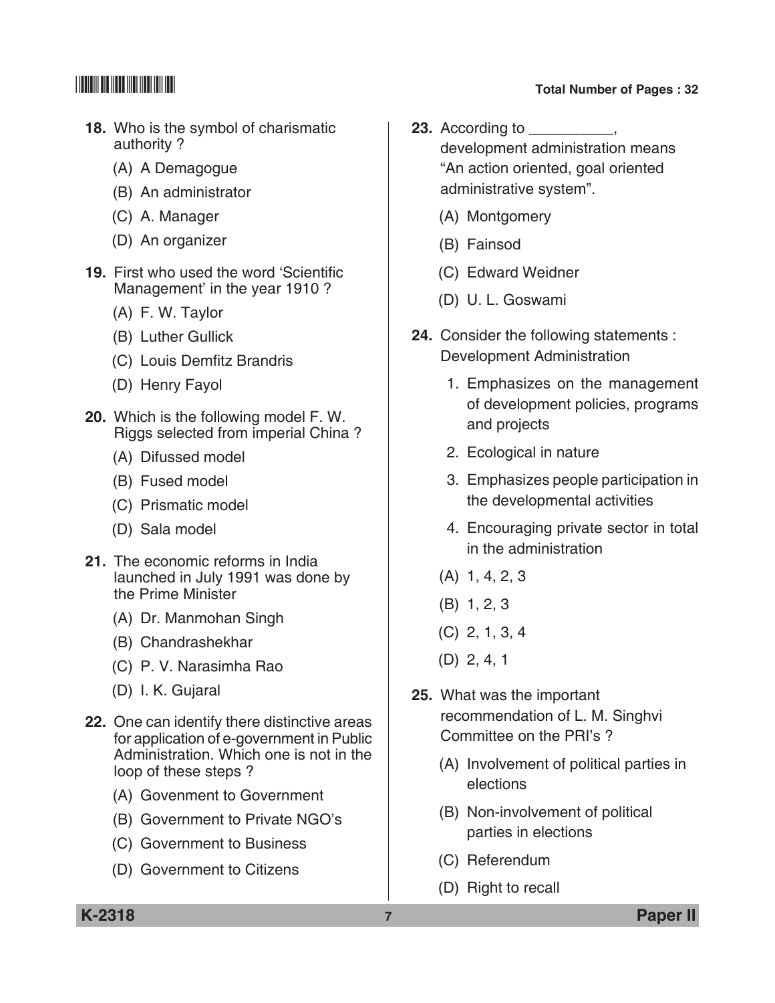- **18.** Who is the symbol of charismatic authority ?
	- (A) A Demagogue
	- (B) An administrator
	- (C) A. Manager
	- (D) An organizer
- **19.** First who used the word 'Scientific Management' in the year 1910 ?
	- (A) F. W. Taylor
	- (B) Luther Gullick
	- (C) Louis Demfitz Brandris
	- (D) Henry Fayol
- **20.** Which is the following model F. W. Riggs selected from imperial China ?
	- (A) Difussed model
	- (B) Fused model
	- (C) Prismatic model
	- (D) Sala model
- **21.** The economic reforms in India launched in July 1991 was done by the Prime Minister
	- (A) Dr. Manmohan Singh
	- (B) Chandrashekhar
	- (C) P. V. Narasimha Rao
	- (D) I. K. Gujaral
- **22.** One can identify there distinctive areas for application of e-government in Public Administration. Which one is not in the loop of these steps ?
	- (A) Govenment to government
	- (B) Government to Private NGO's
	- (C) Government to Business
	- (D) Government to citizens
- **23.** According to development administration means "An action oriented, goal oriented administrative system".
	- (A) Montgomery
	- (B) Fainsod
	- (C) Edward Weidner
	- (D) U. L. Goswami
- **24.** Consider the following statements : Development Administration
	- 1. Emphasizes on the management of development policies, programs and projects
	- 2. Ecological in nature
	- 3. Emphasizes people participation in the developmental activities
	- 4. Encouraging private sector in total in the administration
	- (A) 1, 4, 2, 3
	- (B) 1, 2, 3
	- (C) 2, 1, 3, 4
	- (D) 2, 4, 1
- **25.** What was the important recommendation of L. M. Singhvi committee on the PRI's ?
	- (A) Involvement of political parties in elections
	- (B) Non-involvement of political parties in elections
	- (C) Referendum
	- (D) Right to recall

**K-2318 7 Paper II**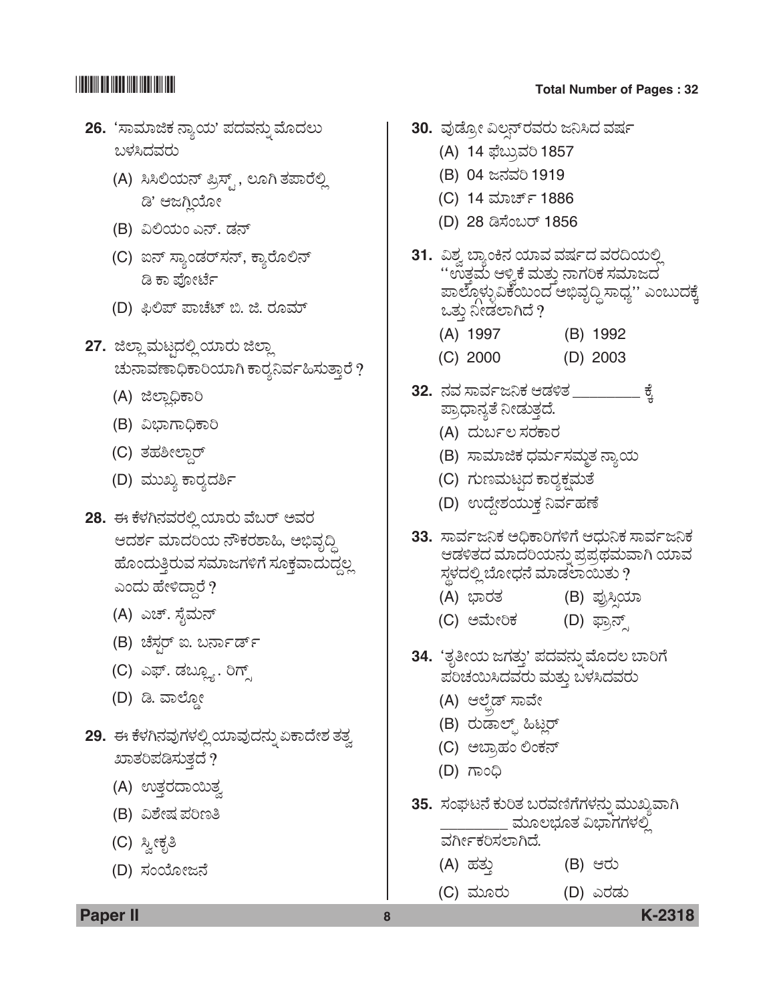- **26.** 'ಸಾಮಾಜಿಕ ನ್ಯಾಯ' ಪದವನ್ನು ಮೊದಲು ಬಳಸಿದವರು
	- (A) ಸಿಸಿಲಿಯನ್ ಪ್ರಿಸ್ಟ್ , ಲೂಗಿ ತಪಾರೆಲ್ಲಿ ಡಿ' ಆಜಗ್ಲಿಯೋ
	- (B) ವಿಲಿಯಂ ಎನ್. ಡನ್
	- (C) ಐನ್ ಸ್ಯಾಂಡರ್ಸನ್, ಕ್ಯಾರೊಲಿನ್ ಡಿ ಕಾ ಪೋರ್ಟೆ
	- (D) ಫಿಲಿಪ್ ಪಾಚೆಟ್ ಬಿ. ಜಿ. ರೂಮ್
- **27.** ಜಿಲ್ಲಾ ಮಟ್ಟದಲ್ಲಿ ಯಾರು ಜಿಲ್ಲಾ ಚುನಾವಣಾಧಿಕಾರಿಯಾಗಿ ಕಾರ್ರನಿರ್ವಹಿಸುತ್ತಾರೆ ?
	- (A) ಜಿಲ್ಲಾಧಿಕಾರಿ
	- (B) ವಿಭಾಗಾಧಿಕಾರಿ
	- (C) ತಹಶೀಲ್ದಾರ್
	- (D) ಮುಖ್ಯ ಕಾರ್ರದರ್ಶಿ
- 28. ಈ ಕೆಳಗಿನವರಲ್ಲಿ ಯಾರು ವೆಬರ್ ಅವರ ಆದರ್ಶ ಮಾದರಿಯ ನೌಕರಶಾಹಿ, ಅಭಿವೃದ್ಧಿ ಹೊಂದುತ್ತಿರುವ ಸಮಾಜಗಳಿಗೆ ಸೂಕ್ತವಾದುದ್ದಲ್ಲ ಎಂದು ಹೇಳಿದ್ದಾರೆ ?
	- (A) ಎಚ್. ಸೈಮನ್
	- (B) ಚೆಸ್ಟರ್ ಐ. ಬರ್ನಾರ್ಡ್
	- (C) ಎಫ್. ಡಬ್ಲ್ಯೂ. ರಿಗ್ಸ್
	- (D) ಡಿ. ವಾಲ್ದೋ
- 29. ಈ ಕೆಳಗಿನವುಗಳಲ್ಲಿ ಯಾವುದನ್ನು ಏಕಾದೇಶ ತತ್ವ  $3D$ ತರಿಪಡಿಸುತ್ತದೆ ?
	- (A) ಉತ್ತರದಾಯಿತ್ವ
	- (B) ವಿಶೇಷ ಪರಿಣತಿ
	- (C) ಸ್ತೀಕೃತಿ
	- (D) ಸಂಯೋಜನೆ

- 30. ವುಡ್ರೋ ವಿಲನ್**ರವರು ಜನಿಸಿದ** ವರ್ಷ
	- (A) 14 ಫೆಬ್ರುವರಿ 1857
	- (B) 04 ಜನವರಿ 1919
	- (C) 14 ಮಾರ್ಚ್ 1886
	- (D) 28 ಡಿಸೆಂಬರ್ 1856
- 31. ವಿಶ್ವ ಬ್ಯಾಂಕಿನ ಯಾವ ವರ್ಷದ ವರದಿಯಲ್ಲಿ " ಉತ್ತಮೆ ಆಳ್ವಿಕೆ ಮತ್ತು ನಾಗರಿಕ ಸಮಾಜದ ಪಾಲ್ಗೊಳ್ಳುವಿಕೆಯಿಂದ ಅಭಿವೃದ್ಧಿ ಸಾಧ್ಯ'' ಎಂಬುದಕ್ಕೆ ಒತ್ತು ನೀಡಲಾಗಿದೆ ?
	- (A) 1997 (B) 1992
	- (C) 2000 (D) 2003
- **32.** ನವ ಸಾರ್ವಜನಿಕ ಆಡಳಿತ \_\_\_\_\_\_\_\_ ಕೈ<br>ಪ್ರಾಧಾನ್ಯತೆ ನೀಡುತ್ತದೆ.
	- (A) ದುರ್ಬಲ ಸರಕಾರ
	- (B) ಸಾಮಾಜಿಕ ಧರ್ಮಸಮ್ಮತ ನ್ಯಾಯ
	- (C) ಗುಣಮಟ್ಟದ ಕಾರ್<u>ಯಕ್ಷ</u>ಮತೆ
	- (D) ಉದ್ದೇಶಯುಕ್ತ ನಿರ್ವಹಣೆ
- 33. ಸಾರ್ವಜನಿಕ ಅಧಿಕಾರಿಗಳಿಗೆ ಆಧುನಿಕ ಸಾರ್ವಜನಿಕ ಆಡಳಿತದ ಮಾದರಿಯನ್ನು ಪ್ರಪ್ರಥಮವಾಗಿ ಯಾವ ಸ್ಥಳದಲ್ಲಿ ಬೋಧನೆ ಮಾಡಲಾಯಿತು ?
	- (A) »ÝÃÜñÜ (B) ±ÜâÅÔÕ¿Þ
	- (C) ಅಮೇರಿಕ (D) ಫ್ರಾನ್ಸ್
- 34. 'ತೃತೀಯ ಜಗತ್ತು' ಪದವನ್ನು ಮೊದಲ ಬಾರಿಗೆ ಪರಿಚಯಿಸಿದವರು ಮತ್ತು ಬಳಸಿದವರು
	- (A) ಆಲ್ಫೆಡ್ ಸಾವೇ
	- (B) ರುಡಾಲ್ಪ್ ಹಿಟ್ಲರ್
	- (C) ಅಬ್ರಾಹಂ ಲಿಂಕನ್
	- (D) ಗಾಂಧಿ
- 35. ಸಂಘಟನೆ ಕುರಿತ ಬರವಣಿಗೆಗಳನ್ನು ಮುಖ್ಯವಾಗಿ \_\_ ಮೂಲಭೂತ ವಿಭಾಗಗಳಲ್ಲಿ

ವರ್ಗೀಕರಿಸಲಾಗಿದೆ.

- (A) ÖÜñÜá¤ (B) BÃÜá
- (C) ÊÜáãÃÜá (D) GÃÜvÜá

**Paper II 8 K-2318**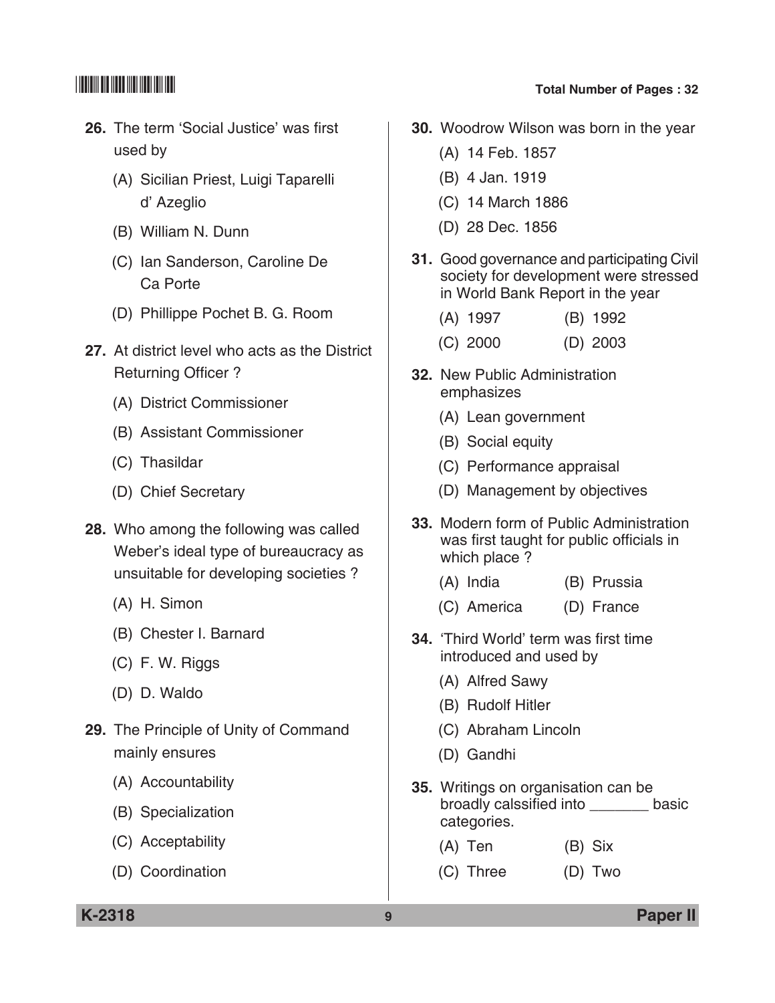- **26.** The term 'Social Justice' was first used by
	- (A) Sicilian Priest, Luigi Taparelli d' Azeglio
	- (B) William N. Dunn
	- (C) Ian Sanderson, Caroline De Ca Porte
	- (D) Phillippe Pochet B. G. Room
- **27.** At district level who acts as the District Returning Officer?
	- (A) District Commissioner
	- (B) Assistant Commissioner
	- (C) Thasildar
	- (D) Chief secretary
- **28.** Who among the following was called Weber's ideal type of bureaucracy as unsuitable for developing societies ?
	- (A) H. Simon
	- (B) Chester I. Barnard
	- (C) F. W. Riggs
	- (D) D. Waldo
- **29.** The Principle of Unity of Command mainly ensures
	- (A) Accountability
	- (B) Specialization
	- (C) Acceptability
	- (D) Coordination
- \*K2318\* **Total Number of Pages : 32**
	- **30.** Woodrow Wilson was born in the year
		- (A) 14 Feb. 1857
		- (B) 4 Jan. 1919
		- (C) 14 March 1886
		- (D) 28 Dec. 1856
	- **31.** Good governance and participating Civil society for development were stressed in World Bank Report in the year
		- (A) 1997 (B) 1992
		- (C) 2000 (D) 2003
	- **32.** New Public Administration emphasizes
		- (A) Lean government
		- (B) Social equity
		- (C) Performance appraisal
		- (D) Management by objectives
	- **33.** Modern form of Public Administration was first taught for public officials in which place ?
		- (A) India (B) Prussia
		- (C) America (D) France
	- **34.** 'Third World' term was first time introduced and used by
		- (A) Alfred Sawy
		- (B) Rudolf Hitler
		- (C) Abraham Lincoln
		- (D) Gandhi
	- **35.** Writings on organisation can be broadly calssified into basic categories.
		- (A) Ten (B) Six
		- (C) Three (D) Two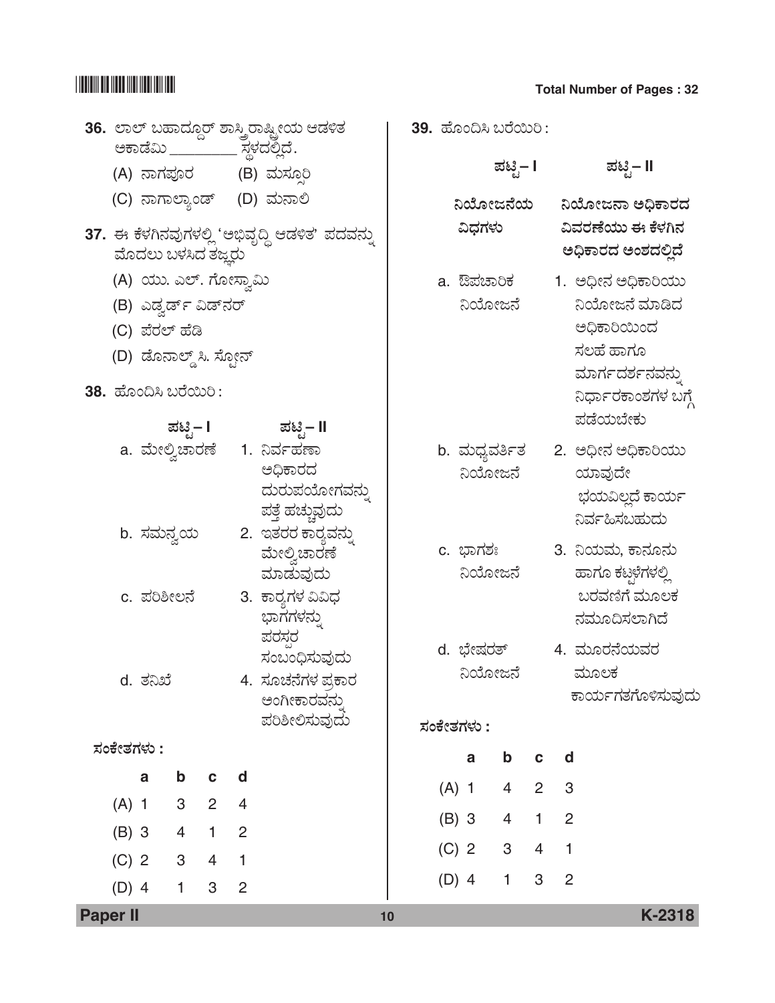|            |          |                                                                                                                           |                |                | 36. ಲಾಲ್ ಬಹಾದ್ದೂರ್ ಶಾಸ್ತ್ರಿರಾಷ್ಟ್ರೀಯ ಆಡಳಿತ                                              |         | 39. ಹೊಂದಿಸಿ ಬರೆಯಿರಿ :              |                |                |                |                                                                                                                      |
|------------|----------|---------------------------------------------------------------------------------------------------------------------------|----------------|----------------|-----------------------------------------------------------------------------------------|---------|------------------------------------|----------------|----------------|----------------|----------------------------------------------------------------------------------------------------------------------|
|            |          |                                                                                                                           |                |                | (A) ನಾಗಪೂರ      (B) ಮಸ್ಸೂರಿ                                                             |         |                                    | ಪಟಿೖ− I        |                |                | ಪಟಿೖ− II                                                                                                             |
|            |          | ಮೊದಲು ಬಳಸಿದ ತಜ್ಞರು                                                                                                        |                |                | (C) ನಾಗಾಲ್ಯಾಂಡ್ (D) ಮನಾಲಿ<br>37. ಈ ಕೆಳಗಿನವುಗಳಲ್ಲಿ 'ಅಭಿವೃದ್ಧಿ ಆಡಳಿತ' ಪದವನ್ನು             |         | ನಿಯೋಜನೆಯ<br>ವಿಧಗಳು                 |                |                |                | ನಿಯೋಜನಾ ಅಧಿಕಾರದ<br>ವಿವರಣೆಯು ಈ ಕೆಳಗಿನ<br>ಅಧಿಕಾರದ ಅಂಶದಲ್ಲಿದೆ                                                           |
|            |          | (A) ಯು. ಎಲ್. ಗೋಸ್ವಾಮಿ<br>(B) ಎಡ್ವರ್ಡ್ ವಿಡ್ನರ್<br>(C) ಪೆರಲ್ ಹೆಡಿ<br>(D) ಡೊನಾಲ್ಡ್ ಸಿ. ಸ್ಫೋನ್<br><b>38.</b> ಹೊಂದಿಸಿ ಬರೆಯಿರಿ: |                |                | ಪಟಿೖ– I ಪಟಿೃ– II                                                                        |         | a. ಔಪಚಾರಿಕ<br>ನಿಯೋಜನೆ              |                |                |                | 1. ಅಧೀನ ಅಧಿಕಾರಿಯು<br>ನಿಯೋಜನೆ ಮಾಡಿದ<br>ಅಧಿಕಾರಿಯಿಂದ<br>ಸಲಹೆ ಹಾಗೂ<br>ಮಾರ್ಗದರ್ಶನವನ್ನು<br>ನಿರ್ಧಾರಕಾಂಶಗಳ ಬಗ್ಗೆ<br>ಪಡೆಯಬೇಕು |
|            |          |                                                                                                                           |                |                | a. ಮೇಲ್ವಿಚಾರಣೆ    1. ನಿರ್ವಹಣಾ<br>ಅಧಿಕಾರದ<br>ದುರುಪಯೋಗವನ್ನು<br>ಪತ್ತೆ ಹಚ್ಚುವುದು            |         | ನಿಯೋಜನೆ                            |                |                |                | b. ಮಧ್ಯವರ್ತಿತ     2. ಅಧೀನ ಅಧಿಕಾರಿಯು<br>ಯಾವುದೇ<br>ಭಯವಿಲ್ಲದೆ ಕಾರ್ಯ<br>ನಿರ್ವಹಿಸಬಹುದು                                    |
|            |          | b. ಸಮನ್ವಯ<br>c. ಪರಿಶೀಲನೆ                                                                                                  |                |                | 2. ಇತರರ ಕಾರ್ರವನ್ನು<br>ಮೇಲ್ರಿಚಾರಣೆ<br>ಮಾಡುವುದು<br>3. ಕಾರ್ರಗಳ ವಿವಿಧ                       |         | c. ಭಾಗಶಃ<br>ನಿಯೋಜನೆ                |                |                |                | 3. ನಿಯಮ, ಕಾನೂನು<br>ಹಾಗೂ ಕಟ್ಗಳೆಗಳಲ್ಲಿ<br>ಬರವಣಿಗೆ ಮೂಲಕ                                                                 |
|            | d. ತನಿಖೆ |                                                                                                                           |                |                | ಭಾಗಗಳನ್ನು<br>ಪರಸರ<br>ಸಂಬಂಧಿಸುವುದು<br>4. ಸೂಚನೆಗಳ ಪ್ರಕಾರ<br>ಅಂಗೀಕಾರವನ್ನು<br>ಪರಿಶೀಲಿಸುವುದು |         | d. ಭೇಷರತ್<br>ನಿಯೋಜನೆ<br>ಸಂಕೇತಗಳು : |                |                |                | ನಮೂದಿಸಲಾಗಿದೆ<br>4. ಮೂರನೆಯವರ<br>ಮೂಲಕ<br>ಕಾರ್ಯಗತಗೊಳಿಸುವುದು                                                             |
| ಸಂಕೇತಗಳು : |          |                                                                                                                           |                |                |                                                                                         |         | a                                  | $\mathbf b$    | C              | d              |                                                                                                                      |
|            | a        | b                                                                                                                         | $\mathbf c$    | d              |                                                                                         | $(A)$ 1 |                                    | 4              | $\overline{2}$ | 3              |                                                                                                                      |
| $(A)$ 1    |          | 3                                                                                                                         | $\overline{2}$ | 4              |                                                                                         | $(B)$ 3 |                                    | $\overline{4}$ | $\mathbf{1}$   | $\overline{2}$ |                                                                                                                      |
| $(B)$ 3    |          | $\overline{4}$                                                                                                            | $\mathbf{1}$   | $\overline{2}$ |                                                                                         |         | $(C)$ 2                            | $\mathbf 3$    | $\overline{4}$ | $\mathbf{1}$   |                                                                                                                      |
| $(C)$ 2    |          | $\ensuremath{\mathsf{3}}$                                                                                                 | $\overline{4}$ | $\mathbf{1}$   |                                                                                         | $(D)$ 4 |                                    | $\mathbf{1}$   | 3              | $\overline{2}$ |                                                                                                                      |
| $(D)$ 4    |          | $\mathbf{1}$                                                                                                              | 3              | $\overline{2}$ |                                                                                         |         |                                    |                |                |                |                                                                                                                      |

**Paper II 10 K-2318**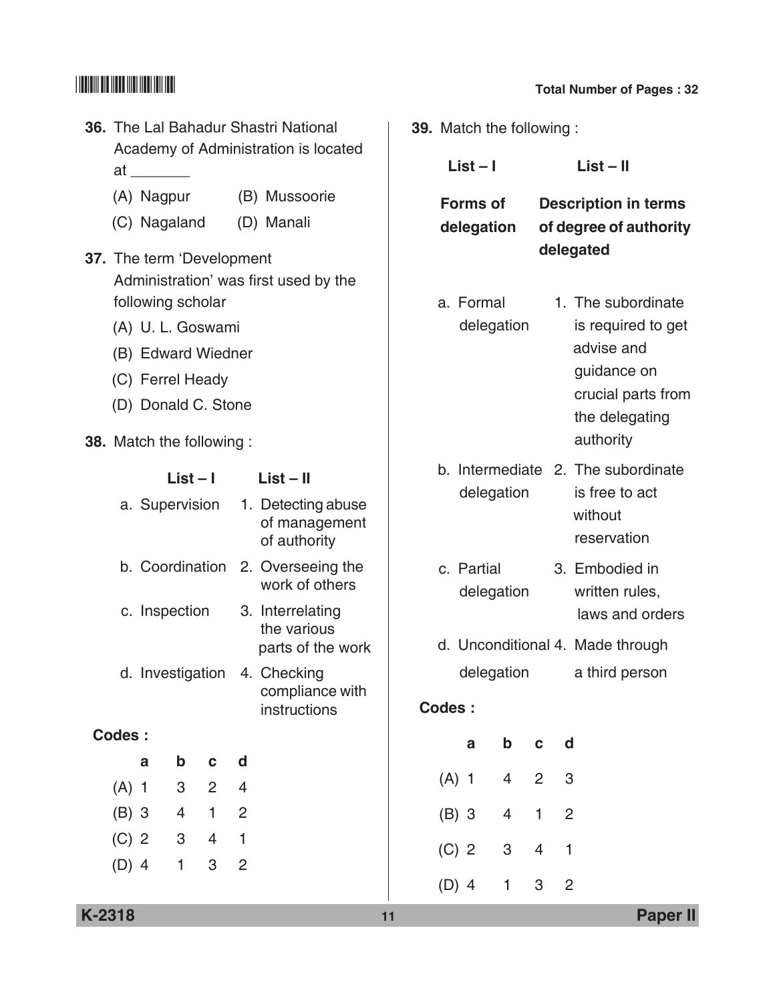| <b>36.</b> The Lal Bahadur Shastri National                                             |                     |                           |                                     |                     |                                                                    | <b>39.</b> Match the following: |            |                 |                |                                  |                                      |                                          |  |
|-----------------------------------------------------------------------------------------|---------------------|---------------------------|-------------------------------------|---------------------|--------------------------------------------------------------------|---------------------------------|------------|-----------------|----------------|----------------------------------|--------------------------------------|------------------------------------------|--|
|                                                                                         | at _______          |                           |                                     |                     | Academy of Administration is located                               |                                 | $List - I$ |                 |                |                                  |                                      | $List - II$                              |  |
|                                                                                         | (A) Nagpur          |                           |                                     |                     | (B) Mussoorie                                                      |                                 |            | <b>Forms of</b> |                |                                  |                                      | <b>Description in terms</b>              |  |
|                                                                                         | (C) Nagaland        |                           |                                     |                     | (D) Manali                                                         |                                 |            | delegation      |                |                                  |                                      | of degree of authority                   |  |
| 37. The term 'Development<br>Administration' was first used by the<br>following scholar |                     |                           |                                     |                     |                                                                    |                                 |            | a. Formal       |                |                                  |                                      | delegated<br>1. The subordinate          |  |
|                                                                                         | (A) U. L. Goswami   |                           |                                     |                     |                                                                    |                                 |            |                 | delegation     |                                  |                                      | is required to get                       |  |
|                                                                                         | (B) Edward Wiedner  |                           |                                     |                     |                                                                    |                                 |            |                 |                |                                  |                                      | advise and                               |  |
|                                                                                         | (C) Ferrel Heady    |                           |                                     |                     |                                                                    |                                 |            |                 |                |                                  |                                      | guidance on                              |  |
|                                                                                         | (D) Donald C. Stone |                           |                                     |                     |                                                                    |                                 |            |                 |                |                                  | crucial parts from<br>the delegating |                                          |  |
| <b>38.</b> Match the following:                                                         |                     |                           |                                     |                     |                                                                    |                                 |            |                 |                |                                  |                                      | authority                                |  |
|                                                                                         |                     |                           |                                     |                     |                                                                    |                                 |            |                 |                |                                  |                                      | b. Intermediate 2. The subordinate       |  |
|                                                                                         | a. Supervision      | $List - I$                |                                     |                     | $List - II$<br>1. Detecting abuse<br>of management<br>of authority |                                 | delegation |                 |                |                                  |                                      | is free to act<br>without<br>reservation |  |
|                                                                                         | b. Coordination     |                           | 2. Overseeing the<br>work of others |                     | c. Partial<br>delegation                                           |                                 |            |                 |                | 3. Embodied in<br>written rules, |                                      |                                          |  |
|                                                                                         | c. Inspection       |                           |                                     |                     | 3. Interrelating<br>the various                                    |                                 |            |                 |                |                                  |                                      | laws and orders                          |  |
|                                                                                         |                     |                           |                                     |                     | parts of the work                                                  |                                 |            |                 |                |                                  |                                      | d. Unconditional 4. Made through         |  |
|                                                                                         | d. Investigation    |                           |                                     |                     | 4. Checking<br>compliance with<br>instructions                     |                                 | Codes:     |                 | delegation     |                                  |                                      | a third person                           |  |
| <b>Codes:</b>                                                                           |                     |                           |                                     |                     |                                                                    |                                 |            | $\mathbf a$     | $\mathbf b$    | $\mathbf c$                      | d                                    |                                          |  |
|                                                                                         | a                   | b                         | $\mathbf C$                         | d                   |                                                                    |                                 |            | $(A)$ 1         | $\overline{4}$ | $\overline{c}$                   |                                      | 3                                        |  |
| $(A)$ 1                                                                                 |                     | $\ensuremath{\mathsf{3}}$ | $\overline{2}$                      | 4                   |                                                                    |                                 |            |                 |                |                                  |                                      |                                          |  |
| $(B)$ 3                                                                                 |                     | $\overline{4}$<br>3       | $\mathbf{1}$                        | $\overline{c}$<br>1 |                                                                    |                                 |            | $(B)$ 3         | $\overline{4}$ | 1                                | $\overline{2}$                       |                                          |  |
| $(C)$ 2<br>$(D)$ 4                                                                      |                     | $\mathbf{1}$              | 4<br>$\mbox{3}$                     | $\overline{c}$      |                                                                    |                                 |            | $(C)$ 2         | 3              | $\overline{4}$                   | $\mathbf{1}$                         |                                          |  |
|                                                                                         |                     |                           |                                     |                     |                                                                    |                                 |            | $(D)$ 4         | $\mathbf{1}$   | 3                                |                                      | $\overline{c}$                           |  |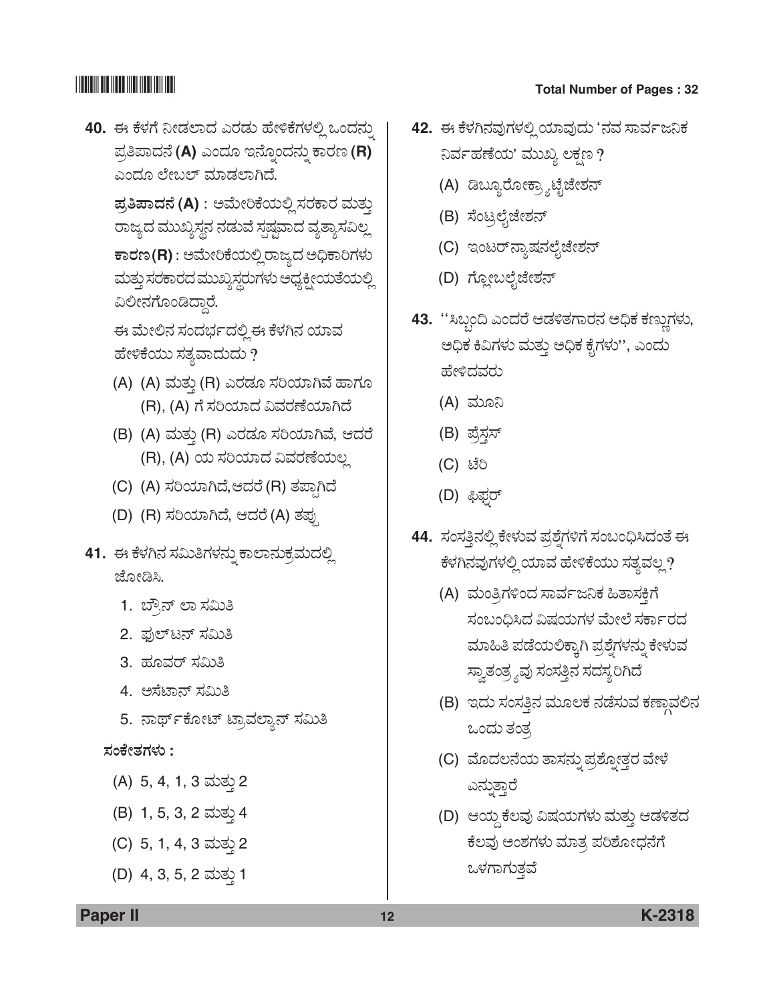**40.** ಈ ಕೆಳಗೆ ನೀಡಲಾದ ಎರಡು ಹೇಳಿಕೆಗಳಲ್ಲಿ ಒಂದನ್ನು  $\vec{a}$ ತಿಪಾದನೆ (A) ಎಂದೂ ಇನ್ನೊಂದನ್ನು ಕಾರಣ (R) ಎಂದೂ ಲೇಬಲ್ ಮಾಡಲಾಗಿದೆ.

 $\vec{a}$ ತಿಪಾದನೆ (A) : ಅಮೇರಿಕೆಯಲ್ಲಿ ಸರಕಾರ ಮತ್ತು ರಾಜ್ಯದ ಮುಖ್ಯಸ್ಥನ ನಡುವೆ ಸ್ಪಷ್ಟವಾದ ವ್ಯತ್ಯಾಸವಿಲ್ಲ  $\overline{P}$ ಕಾರಣ (R) : ಅಮೇರಿಕೆಯಲ್ಲಿ ರಾಜ್ಯದ ಅಧಿಕಾರಿಗಳು ಮತ್ತು ಸರಕಾರದ ಮುಖ್ಯಸ್ಥರುಗಳು ಅಧ್ಯಕ್ಷೀಯತೆಯಲ್ಲಿ ವಿಲೀನಗೊಂಡಿದ್ದಾರೆ.

ಈ ಮೇಲಿನ ಸಂದರ್ಭದಲ್ಲಿ ಈ ಕೆಳಗಿನ ಯಾವ ಹೇಳಿಕೆಯು ಸತ್ಯವಾದುದು ?

- (A) (A) ಮತ್ತು (R) ಎರಡೂ ಸರಿಯಾಗಿವೆ ಹಾಗೂ (R), (A) ಗೆ ಸರಿಯಾದ ವಿವರಣೆಯಾಗಿದೆ
- (B) (A) ಮತ್ತು (R) ಎರಡೂ ಸರಿಯಾಗಿವೆ, ಆದರೆ (R), (A) ಯ ಸರಿಯಾದ ವಿವರಣೆಯಲ್ಲ
- (C) (A) ಸರಿಯಾಗಿದೆ,ಆದರೆ (R) ತಪ್ಪಾಗಿದೆ
- (D) (R) ಸರಿಯಾಗಿದೆ, ಆದರೆ (A) ತಪ್ಪು
- 41. ಈ ಕೆಳಗಿನ ಸಮಿತಿಗಳನ್ನು ಕಾಲಾನುಕ್ರಮದಲ್ಲಿ ಜೋಡಿಸಿ.
	- 1. ಬ್ರೌನ್ ಲಾ ಸಮಿತಿ
	- 2. ಫುಲ್ಟನ್ ಸಮಿತಿ
	- 3. ಹೂವರ್ ಸಮಿತಿ
	- 4. ಅಸೆಟಾನ್ ಸಮಿತಿ
	- 5. ನಾರ್ಥ್ ಕೋಟ್ ಟ್ರಾವಲ್ಯಾನ್ ಸಮಿತಿ

### **ÓÜíPæàñÜWÜÙÜá :**

- (A) 5, 4, 1, 3 ಮತ್ತು 2
- (B) 1, 5, 3, 2 ಮತ್ತು 4
- (C) 5, 1, 4, 3 ಮತ್ತು 2
- (D) 4, 3, 5, 2 ಮತ್ತು 1

- 42. ಈ ಕೆಳಗಿನವುಗಳಲ್ಲಿ ಯಾವುದು 'ನವ ಸಾರ್ವಜನಿಕ ನಿರ್ವಹಣೆಯ' ಮುಖ್ಯ ಲಕ್ಷಣ ?
	- (A) ಡಿಬ್ಯೂರೋಕ್ಸ್ಮಾಟೈಜೇಶನ್
	- (B) ಸೆಂಟ್ರಲೈಜೇಶನ್
	- (C) ಇಂಟರ್*ನ್ಯಾ*ಷನಲೈಜೇಶನ್
	- (D) ಗ್ಲೋಬಲೈಜೇಶನ್
- 43. "ಸಿಬ್ಬಂದಿ ಎಂದರೆ ಆಡಳಿತಗಾರನ ಅಧಿಕ ಕಣ್ಣುಗಳು, ಅಧಿಕ ಕಿವಿಗಳು ಮತ್ತು ಅಧಿಕ ಕೈಗಳು'', ಎಂದು ಹೇಳಿದವರು
	- (A) ಮೂನಿ
	- (B) ಪ್ರೆಸ್ಗಸ್
	- (C) ಟೆರಿ
	- (D) ಫಿಫ್ನರ್
- 44. ಸಂಸತ್ತಿನಲ್ಲಿ ಕೇಳುವ ಪ್ರಶ್ನೆಗಳಿಗೆ ಸಂಬಂಧಿಸಿದಂತೆ ಈ ಕೆಳಗಿನವುಗಳಲ್ಲಿ ಯಾವ ಹೇಳಿಕೆಯು ಸತ್ಯವಲ್ಲ?
	- (A) ಮಂತ್ರಿಗಳಿಂದ ಸಾರ್ವಜನಿಕ ಹಿತಾಸಕಿಗೆ ಸಂಬಂಧಿಸಿದ ವಿಷಯಗಳ ಮೇಲೆ ಸರ್ಕಾರದ ಮಾಹಿತಿ ಪಡೆಯಲಿಕ್ಕಾಗಿ ಪ್ರಶ್ನೆಗಳನ್ನು ಕೇಳುವ ಸ್ವಾತಂತ್ರ್ಯವು ಸಂಸತ್ತಿನ ಸದಸ್ಯರಿಗಿದೆ
	- (B) ಇದು ಸಂಸತ್ತಿನ ಮೂಲಕ ನಡೆಸುವ ಕಣ್ತಾವಲಿನ ಒಂದು ತಂತ್ರ
	- (C) ಮೊದಲನೆಯ ತಾಸನ್ನು ಪ್ರಶ್ನೋತ್ತರ ವೇಳೆ ಎನ್ನುತ್ತಾರೆ
	- (D) ಆಯ್ದ ಕೆಲವು ವಿಷಯಗಳು ಮತ್ತು ಆಡಳಿತದ ಕೆಲವು ಅಂಶಗಳು ಮಾತ್ರ ಪರಿಶೋಧನೆಗೆ ಒಳಗಾಗುತ್ತವೆ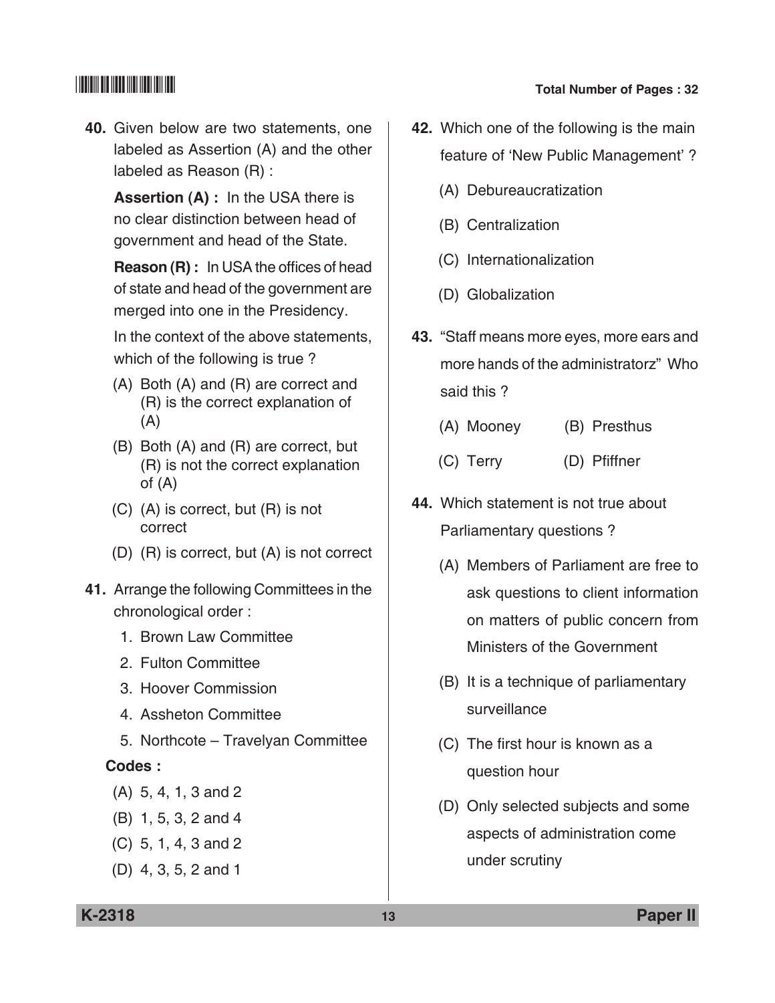**40.** Given below are two statements, one labeled as Assertion (A) and the other labeled as Reason (R) :

 **Assertion (A) :** In the USA there is no clear distinction between head of government and head of the State.

 **Reason (R) :** In USA the offices of head of state and head of the government are merged into one in the Presidency.

 In the context of the above statements, which of the following is true ?

- (A) Both (A) and (R) are correct and (R) is the correct explanation of (A)
- (B) Both (A) and (R) are correct, but (R) is not the correct explanation of (A)
- (C) (A) is correct, but (R) is not correct
- (D) (R) is correct, but (A) is not correct
- **41.** Arrange the following committees in the chronological order :
	- 1. Brown law committee
	- 2. Fulton committee
	- 3. Hoover commission
	- 4. Assheton committee
	- 5. Northcote Travelyan committee

### **Codes :**

- (A) 5, 4, 1, 3 and 2
- (B) 1, 5, 3, 2 and 4
- (C) 5, 1, 4, 3 and 2
- (D) 4, 3, 5, 2 and 1
- **42.** Which one of the following is the main feature of 'New Public Management' ?
	- (A) Debureaucratization
	- (B) Centralization
	- (C) Internationalization
	- (D) Globalization
- **43.** "Staff means more eyes, more ears and more hands of the administratorz" Who said this ?
	- (A) Mooney (B) Presthus
	- (C) Terry (D) Pfiffner
- **44.** Which statement is not true about parliamentary questions ?
	- (A) Members of parliament are free to ask questions to client information on matters of public concern from Ministers of the Government
	- (B) It is a technique of parliamentary surveillance
	- (C) The first hour is known as a question hour
	- (D) Only selected subjects and some aspects of administration come under scrutiny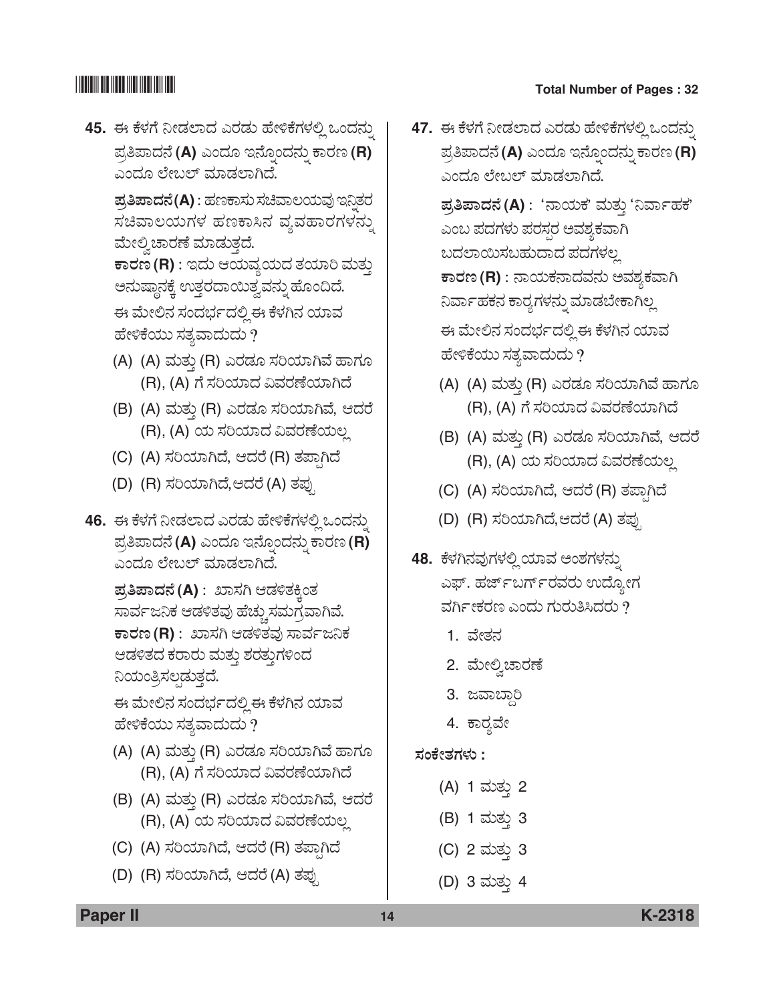45. ಈ ಕೆಳಗೆ ನೀಡಲಾದ ಎರಡು ಹೇಳಿಕೆಗಳಲ್ಲಿ ಒಂದನ್ನು  $\vec{a}$ ತಿಪಾದನೆ (A) ಎಂದೂ ಇನ್ನೊಂದನ್ನು ಕಾರಣ (R) ಎಂದೂ ಲೇಬಲ್ ಮಾಡಲಾಗಿದೆ.

 $\vec{a}$ ತಿಪಾದನೆ(A) : ಹಣಕಾಸು ಸಚಿವಾಲಯವು ಇನ್ನಿತರ ಸಚಿವಾಲಯಗಳ ಹಣಕಾಸಿನ ವ್ಯವಹಾರಗಳನ್ನು ಮೇಲ್ವಿಚಾರಣೆ ಮಾಡುತ್ತದೆ.

 $\overline{\text{F}}$ ಾದಂ ಆಯವ್ಯಯದ ತಯಾರಿ ಮತ್ತು ಅನುಷ್ಠಾನಕ್ಕೆ ಉತ್ತರದಾಯಿತ್ವವನ್ನು ಹೊಂದಿದೆ. ಈ ಮೇಲಿನ ಸಂದರ್ಭದಲ್ಲಿ ಈ ಕೆಳಗಿನ ಯಾವ ಹೇಳಿಕೆಯು ಸತ್ಯವಾದುದು ?

- (A) (A) ಮತ್ತು (R) ಎರಡೂ ಸರಿಯಾಗಿವೆ ಹಾಗೂ (R), (A) ಗೆ ಸರಿಯಾದ ವಿವರಣೆಯಾಗಿದೆ
- (B) (A) ಮತ್ತು (R) ಎರಡೂ ಸರಿಯಾಗಿವೆ, ಆದರೆ (R), (A) ಯ ಸರಿಯಾದ ವಿವರಣೆಯಲ್ಲ
- (C) (A) ಸರಿಯಾಗಿದೆ, ಆದರೆ (R) ತಪ್ಪಾಗಿದೆ
- (D) (R) ಸರಿಯಾಗಿದೆ,ಆದರೆ (A) ತಪ್ಪು
- **46.** ಈ ಕೆಳಗೆ ನೀಡಲಾದ ಎರಡು ಹೇಳಿಕೆಗಳಲ್ಲಿ ಒಂದನ್ನು  $\vec{a}$ ತಿಪಾದನೆ (A) ಎಂದೂ ಇನ್ನೊಂದನ್ನು ಕಾರಣ (R) ಎಂದೂ ಲೇಬಲ್ ಮಾಡಲಾಗಿದೆ.

 $\Xi$ ತಿ**ಪಾದನೆ (A)** : ಖಾಸಗಿ ಆಡಳಿತಕ್ಕಿಂತ ಸಾರ್ವಜನಿಕ ಆಡಳಿತವು ಹೆಚ್ಚುಸಮಗ್ರವಾಗಿವೆ.  $\overline{\texttt{F}}$ ರಣ (R) : ಖಾಸಗಿ ಆಡಳಿತವು ಸಾರ್ವಜನಿಕ ಆಡಳಿತದ ಕರಾರು ಮತ್ತು ಶರತ್ತುಗಳಿಂದ ನಿಯಂತ್ರಿಸಲ್ಗಡುತ್ತದೆ.

ಈ ಮೇಲಿನ ಸಂದರ್ಭದಲ್ಲಿ ಈ ಕೆಳಗಿನ ಯಾವ ಹೇಳಿಕೆಯು ಸತ್ಯವಾದುದು ?

- (A) (A) ಮತ್ತು (R) ಎರಡೂ ಸರಿಯಾಗಿವೆ ಹಾಗೂ (R), (A) ಗೆ ಸರಿಯಾದ ವಿವರಣೆಯಾಗಿದೆ
- (B) (A) ಮತ್ತು (R) ಎರಡೂ ಸರಿಯಾಗಿವೆ, ಆದರೆ (R), (A) ಯ ಸರಿಯಾದ ವಿವರಣೆಯಲ್ಲ
- (C) (A) ಸರಿಯಾಗಿದೆ, ಆದರೆ (R) ತಪ್ಪಾಗಿದೆ
- (D) (R) ಸರಿಯಾಗಿದೆ, ಆದರೆ (A) ತಪ್ಪು

## \*K2318\* **Total Number of Pages : 32**

47. ಈ ಕೆಳಗೆ ನೀಡಲಾದ ಎರಡು ಹೇಳಿಕೆಗಳಲ್ಲಿ ಒಂದನ್ನು  $\vec{a}$ ತಿಪಾದನೆ (A) ಎಂದೂ ಇನ್ನೊಂದನ್ನು ಕಾರಣ (R) ಎಂದೂ ಲೇಬಲ್ ಮಾಡಲಾಗಿದೆ.

> $\vec{a}$ ತಿಪಾದನೆ (A) : 'ನಾಯಕ' ಮತ್ತು 'ನಿರ್ವಾಹಕ' ಎಂಬ ಪದಗಳು ಪರಸ್ಪರ ಅವಶ್ಯಕವಾಗಿ ಬದಲಾಯಿಸಬಹುದಾದ ಪದಗಳಲ್ಲ  $\overline{\textbf{F}}$ ಾಂಯಕನಾದವನು ಅವಶ್ಯಕವಾಗಿ ನಿರ್ವಾಹಕನ ಕಾರ್ರಗಳನ್ನು ಮಾಡಬೇಕಾಗಿಲ್ಲ ಈ ಮೇಲಿನ ಸಂದರ್ಭದಲ್ಲಿ ಈ ಕೆಳಗಿನ ಯಾವ

(A) (A) ಮತ್ತು (R) ಎರಡೂ ಸರಿಯಾಗಿವೆ ಹಾಗೂ (R), (A) ಗೆ ಸರಿಯಾದ ವಿವರಣೆಯಾಗಿದೆ

ಹೇಳಿಕೆಯು ಸತ್ಯವಾದುದು ?

- (B) (A) ಮತ್ತು (R) ಎರಡೂ ಸರಿಯಾಗಿವೆ, ಆದರೆ (R), (A) ಯ ಸರಿಯಾದ ವಿವರಣೆಯಲ್ಲ
- (C) (A) ಸರಿಯಾಗಿದೆ, ಆದರೆ (R) ತಪ್ಪಾಗಿದೆ
- (D) (R) ಸರಿಯಾಗಿದೆ,ಆದರೆ (A) ತಪ್ಪು
- **48.** ಕೆಳಗಿನವುಗಳಲ್ಲಿ ಯಾವ ಅಂಶಗಳನ್ನು ಎಫ್. ಹರ್ಜ್ಐರ್ಗ್ರವರು ಉದ್ಯೋಗ ವರ್ಗೀಕರಣ ಎಂದು ಗುರುತಿಸಿದರು ?
	- 1. ವೇತನ
	- 2. ಮೇಲ್ವಿಚಾರಣೆ
	- 3. ಜವಾಬ್ದಾರಿ
	- 4. ಕಾರ್ಢವೇ

## **ÓÜíPæàñÜWÜÙÜá :**

- (A) 1 ಮತ್ತು 2
- (B) 1 ಮತ್ತು 3
- (C) 2 ಮತು 3
- (D) 3 ಮತ್ತು 4

**Paper II 14 K-2318**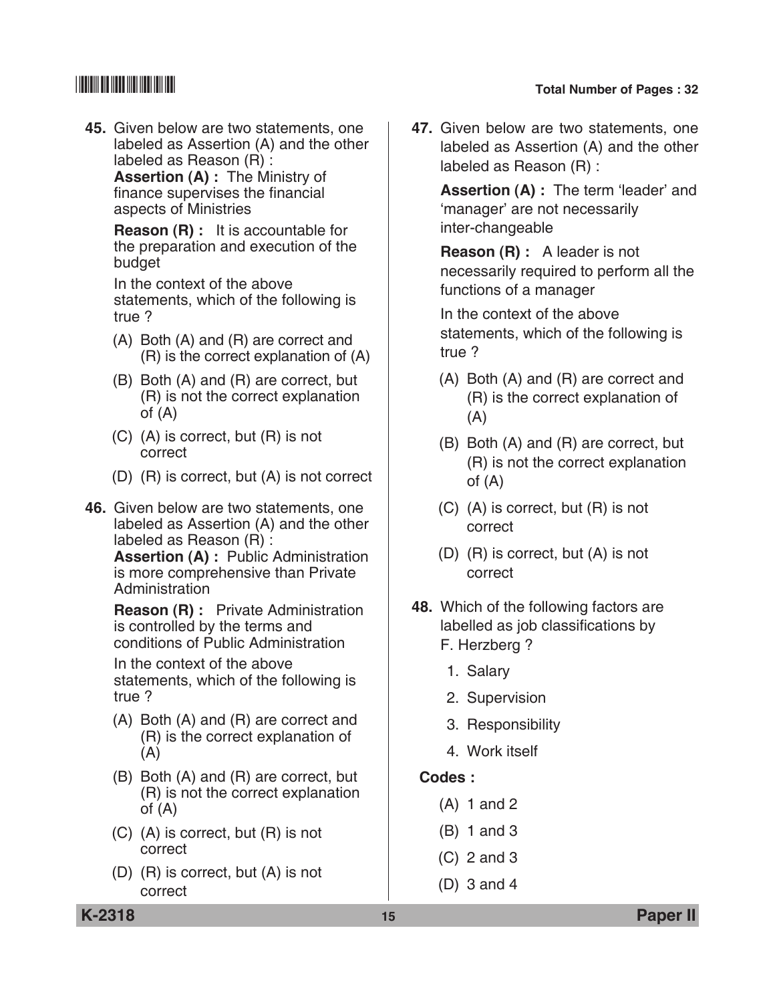**45.** Given below are two statements, one labeled as Assertion (A) and the other labeled as Reason (R) :

**Assertion (A) : The Ministry of** finance supervises the financial aspects of ministries

 **Reason (R) :** It is accountable for the preparation and execution of the budget

 In the context of the above statements, which of the following is true ?

- (A) Both (A) and (R) are correct and (R) is the correct explanation of (A)
- (B) Both (A) and (R) are correct, but (R) is not the correct explanation of (A)
- (C) (A) is correct, but (R) is not correct
- (D) (R) is correct, but (A) is not correct
- **46.** Given below are two statements, one labeled as Assertion (A) and the other labeled as Reason (R) :

 **Assertion (A) :** Public Administration is more comprehensive than Private Administration

 **Reason (R) :** Private Administration is controlled by the terms and conditions of Public Administration

 In the context of the above statements, which of the following is true ?

- (A) Both (A) and (R) are correct and (R) is the correct explanation of (A)
- (B) Both (A) and (R) are correct, but (R) is not the correct explanation of (A)
- (C) (A) is correct, but (R) is not correct
- (D) (R) is correct, but (A) is not correct

**47.** Given below are two statements, one labeled as Assertion (A) and the other labeled as Reason (R) :

> **Assertion (A) : The term 'leader' and \** 'manager' are not necessarily inter-changeable

 **Reason (R) :** A leader is not necessarily required to perform all the functions of a manager

 In the context of the above statements, which of the following is true ?

- (A) Both (A) and (R) are correct and (R) is the correct explanation of (A)
- (B) Both (A) and (R) are correct, but (R) is not the correct explanation of (A)
- (C) (A) is correct, but (R) is not correct
- (D) (R) is correct, but (A) is not correct
- **48.** Which of the following factors are labelled as job classifications by F. Herzberg ?
	- 1. Salary
	- 2. Supervision
	- 3. Responsibility
	- 4. Work itself

### **Codes :**

- (A) 1 and 2
- (B) 1 and 3
- (C) 2 and 3
- (D) 3 and 4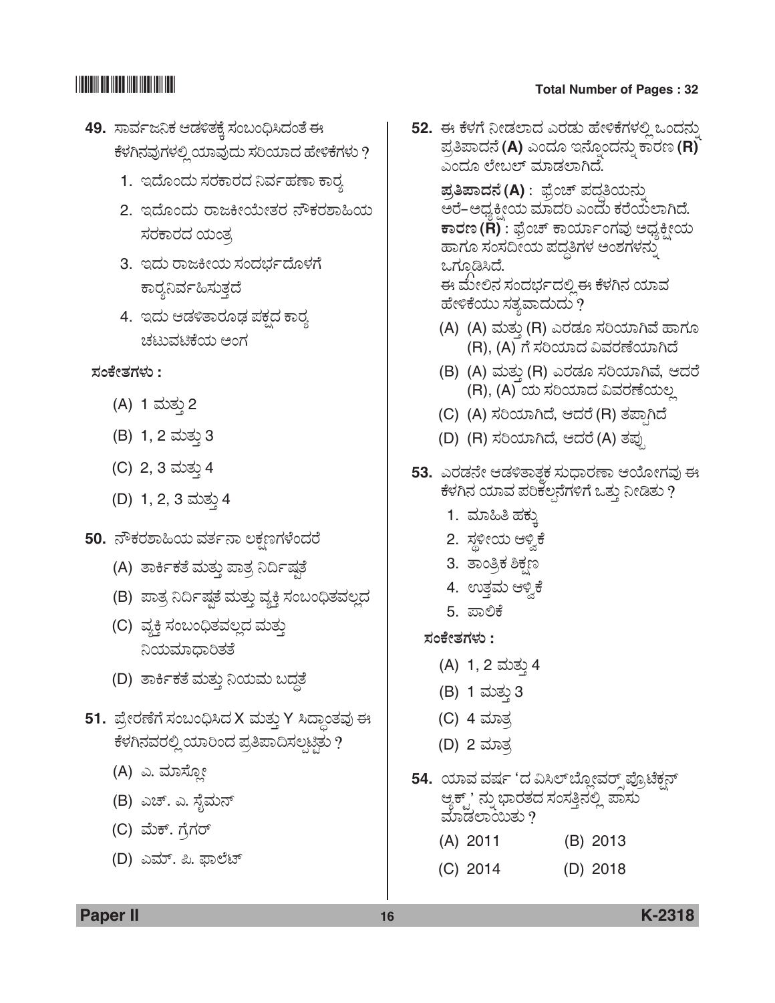- 49. ಸಾರ್ವಜನಿಕ ಆಡಳಿತಕ್ಕೆ ಸಂಬಂಧಿಸಿದಂತೆ ಈ ಕೆಳಗಿನವುಗಳಲ್ಲಿ ಯಾವುದು ಸರಿಯಾದ ಹೇಳಿಕೆಗಳು ?
	- 1. ಇದೊಂದು ಸರಕಾರದ ನಿರ್ವಹಣಾ ಕಾರ್
	- 2. ಇದೊಂದು ರಾಜಕೀಯೇತರ ನೌಕರಶಾಹಿಯ ಸರಕಾರದ ಯಂತ್ರ
	- 3. ಇದು ರಾಜಕೀಯ ಸಂದರ್ಭದೊಳಗೆ ಕಾರೃನಿರ್ವಹಿಸುತ್ತದೆ
	- 4. ಇದು ಆಡಳಿತಾರೂಢ ಪಕ್ಷದ ಕಾರ್ ಚಟುವಟಿಕೆಯ ಅಂಗ

**ÓÜíPæàñÜWÜÙÜá :**

- (A) 1 ಮತ್ತು 2
- (B) 1, 2 ಮತ್ತು 3
- (C) 2, 3 ಮತ್ತು 4
- (D) 1, 2, 3 ಮತ್ತು 4
- 50. ನೌಕರಶಾಹಿಯ ವರ್ತನಾ ಲಕ್ಷಣಗಳೆಂದರೆ
	- (A) ತಾರ್ಕಿಕತೆ ಮತ್ತು ಪಾತ್ರ ನಿರ್ದಿಷ್ಠತೆ
	- (B) ಪಾತ್ರ ನಿರ್ದಿಷ್ಠತೆ ಮತ್ತು ವ್ಯಕ್ತಿ ಸಂಬಂಧಿತವಲ್ಲದ
	- (C) ವ್ಯಕ್ತಿ ಸಂಬಂಧಿತವಲ್ಲದ ಮತ್ತು ನಿಯಮಾಧಾರಿತತೆ
	- (D) ತಾರ್ಕಿಕತೆ ಮತ್ತು ನಿಯಮ ಬದ್ಧತೆ
- **51.** ಪ್ರೇರಣೆಗೆ ಸಂಬಂಧಿಸಿದ X ಮತ್ತು Y ಸಿದ್ಧಾಂತವು ಈ ಕೆಳಗಿನವರಲ್ಲಿ ಯಾರಿಂದ ಪ್ರತಿಪಾದಿಸಲ್ಪಟ್ಟಿತು ?
	- (A) ಎ. ಮಾಸ್ದೋ
	- (B) ಎಚ್. ಎ. ಸೈಮನ್
	- (C) ಮೆಕ್. ಗ್ರೆಗರ್
	- (D) ಎಮ್. ಪಿ. ಫಾಲೆಟ್

**52.** ಈ ಕೆಳಗೆ ನೀಡಲಾದ ಎರಡು ಹೇಳಿಕೆಗಳಲ್ಲಿ ಒಂದನ್ನು  $\vec{a}$ ತಿಪಾದನೆ (A) ಎಂದೂ ಇನ್ನೊಂದನ್ನು ಕಾರಣ (R) ಎಂದೂ ಲೇಬಲ್ ಮಾಡಲಾಗಿದೆ.

> **ಪ್ರತಿಪಾದನೆ (A)** : ಫ್ರೆಂಚ್ ಪದ್ಧತಿಯನ್ನು ಅರೆ–ಅಧ್ಯಕ್ತೀಯ ಮಾದರಿ ಎಂದು ಕರೆಯಲಾಗಿದೆ.  $\overline{\texttt{F}}$ ಾರಣ (<code>R</code>) : ಫ್ರೆಂಚ್ ಕಾರ್ಯಾಂಗವು ಅಧ್ಯಕ್ಷೀಯ ಹಾಗೂ ಸಂಸದೀಯ ಪದ್ಧತಿಗಳ ಅಂಶಗಳನ್ನು ಒಗೂಡಿಸಿದೆ. ಈ ಮೇಲಿನ ಸಂದರ್ಭದಲ್ಲಿ ಈ ಕೆಳಗಿನ ಯಾವ

ಹೇಳಿಕೆಯು ಸತ್ಯವಾದುದು ?

- (A) (A) ಮತ್ತು (R) ಎರಡೂ ಸರಿಯಾಗಿವೆ ಹಾಗೂ (R), (A) ಗೆ ಸರಿಯಾದ ವಿವರಣೆಯಾಗಿದೆ
- (B) (A) ಮತ್ತು (R) ಎರಡೂ ಸರಿಯಾಗಿವೆ, ಆದರೆ (R), (A) ಯ ಸರಿಯಾದ ವಿವರಣೆಯಲ್ಲ
- (C) (A) ಸರಿಯಾಗಿದೆ, ಆದರೆ (R) ತಪ್ಪಾಗಿದೆ
- (D) (R) ಸರಿಯಾಗಿದೆ, ಆದರೆ (A) ತಪು
- **53.** ಎರಡನೇ ಆಡಳಿತಾತ್ತಕ ಸುಧಾರಣಾ ಆಯೋಗವು ಈ ಕೆಳಗಿನ ಯಾವ ಪರಿಕಲ್ಪನೆಗಳಿಗೆ ಒತ್ತು ನೀಡಿತು ?
	- 1. ಮಾಹಿತಿ ಹಕ್ಕು
	- 2. ಸ್ಥಳೀಯ ಆಳ್ವಿಕೆ
	- 3. ತಾಂತ್ರಿಕ ಶಿಕ್ಷಣ
	- 4. ಉತ್ತಮ ಆಳ್ವಿಕೆ
	- 5. ಪಾಲಿಕೆ
	- **ÓÜíPæàñÜWÜÙÜá :**
		- (A) 1, 2 ಮತ್ತು 4
		- (B) 1 ಮತ್ತು 3
		- (C) 4 ಮಾತ್<u>ರ</u>
		- (D) 2 ಮಾತ್ರ
- **54.** ಯಾವ ವರ್ಷ 'ದ ವಿಸಿಲ್*ಬ್ಲೋವರ್ೃಪ್ರೊಟೆ*ಕ್ಷನ್ ಆ್ಯಕ್ಟ್' ನ್ನು ಭಾರತದ ಸಂಸತ್ತಿನಲ್ಲಿ ಪಾಸು <u>ಮಾಡಲಾಯಿತು ?</u>

| $(A)$ 2011 | $(B)$ 2013 |
|------------|------------|
|            |            |

(C) 2014 (D) 2018

**Paper II 16 K-2318**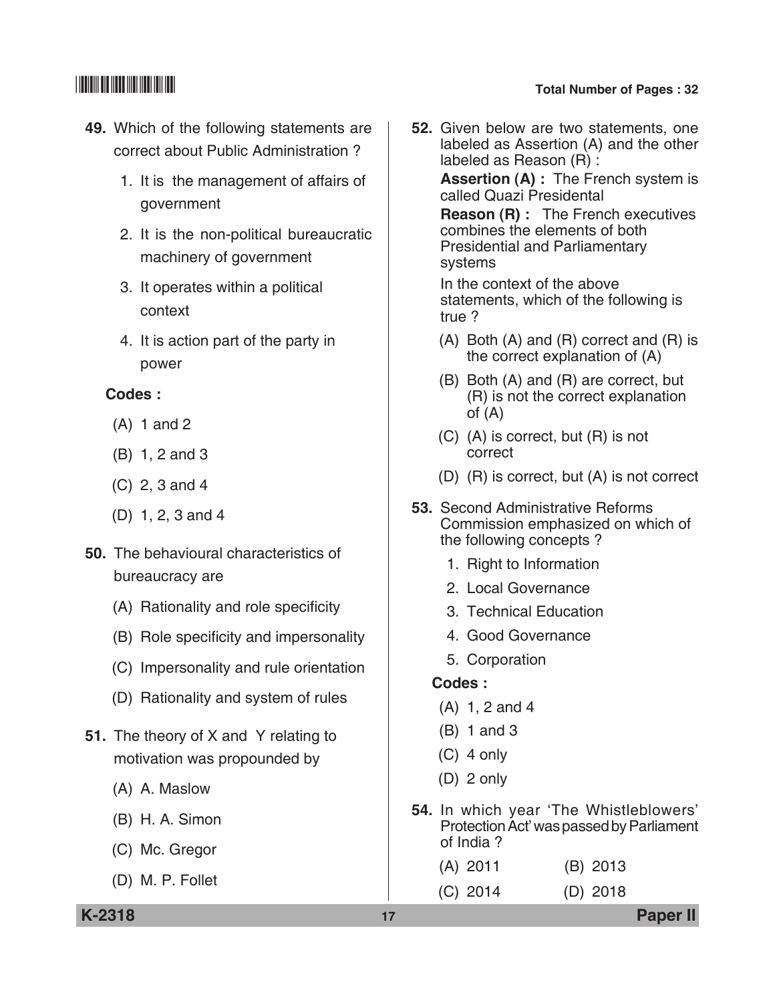- **49.** Which of the following statements are correct about Public Administration ?
	- 1. It is the management of affairs of government
	- 2. It is the non-political bureaucratic machinery of government
	- 3. It operates within a political context
	- 4. It is action part of the party in power

### **codes :**

- (A) 1 and 2
- (B) 1, 2 and 3
- (C) 2, 3 and 4
- (D) 1, 2, 3 and 4
- **50.** The behavioural characteristics of bureaucracy are
	- (A) Rationality and role specificity
	- (B) Role specificity and impersonality
	- (C) Impersonality and rule orientation
	- (D) Rationality and system of rules
- **51.** The theory of X and Y relating to motivation was propounded by
	- (A) A. Maslow
	- (B) H. A. Simon
	- (C) Mc. Gregor
	- (D) M. P. Follet

**52.** Given below are two statements, one labeled as Assertion (A) and the other labeled as Reason (R) :

> **Assertion (A) :** The French system is called Quazi Presidental

> **Reason (R) :** The French executives combines the elements of both **Presidential and Parliamentary** systems

 In the context of the above statements, which of the following is true ?

- (A) Both (A) and (R) correct and (R) is the correct explanation of (A)
- (B) Both (A) and (R) are correct, but (R) is not the correct explanation of (A)
- (C) (A) is correct, but (R) is not correct
- (D) (R) is correct, but (A) is not correct
- **53.** Second Administrative Reforms commission emphasized on which of the following concepts ?
	- 1. Right to information
	- 2. Local Governance
	- 3. Technical Education
	- 4. Good Governance
	- 5. Corporation

### **Codes :**

- (A) 1, 2 and 4
- (B) 1 and 3
- (C) 4 only
- (D) 2 only
- **54.** In which year 'The Whistleblowers' Protection Act' was passed by Parliament of India ?

| $(A)$ 2011 | $(B)$ 2013 |
|------------|------------|
| $(C)$ 2014 | $(D)$ 2018 |

**K-2318 17 Paper II**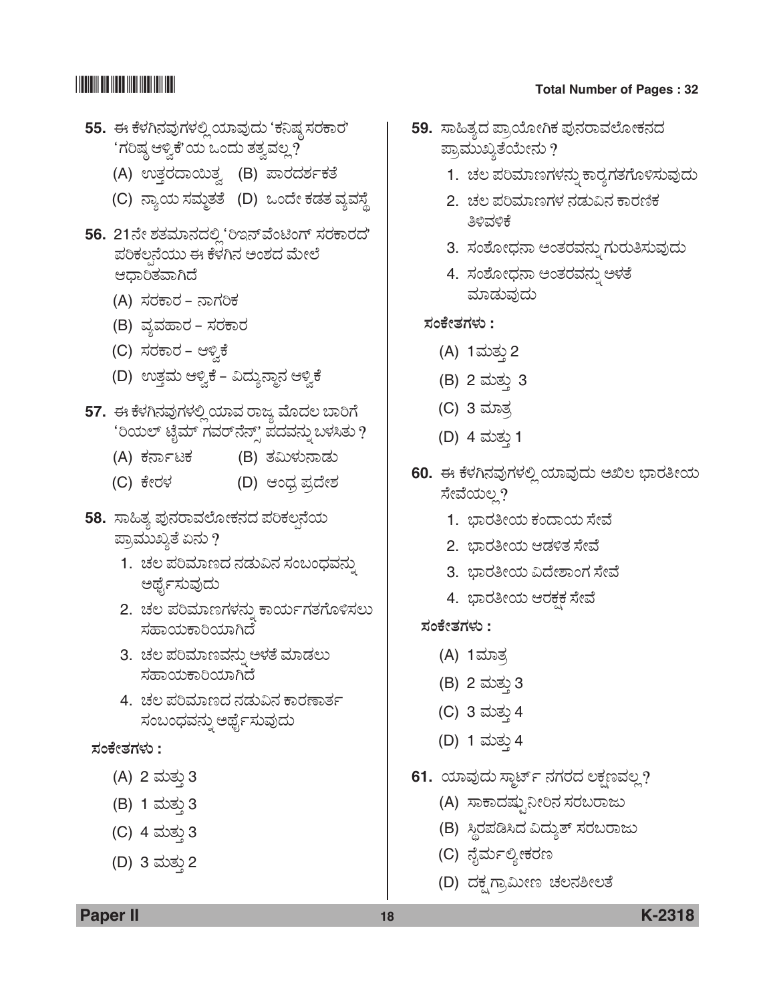- **55.** ಈ ಕೆಳಗಿನವುಗಳಲ್ಲಿ ಯಾವುದು 'ಕನಿಷ್ಠ ಸರಕಾರ' 'ಗರಿಷ್ಠ ಆಳ್ವಿಕೆ'ಯ ಒಂದು ತತ್ವವಲ್ಲ**?** 
	- (A) ಉತ್ತರದಾಯಿತ್ತ (B) ಪಾರದರ್ಶಕತೆ
	- (C) ನ್ಯಾಯ ಸಮ್ಮತತೆ (D) ಒಂದೇ ಕಡತ ವ್ಯವಸ್ಥೆ
- 56. 21ನೇ ಶತಮಾನದಲ್ಲಿ <sup>6</sup>ಇನ್ ವೆಂಟಿಂಗ್ ಸರಕಾರದ' ಪರಿಕಲ್ಪನೆಯು ಈ ಕೆಳಗಿನ ಅಂಶದ ಮೇಲೆ ಆಧಾರಿತವಾಗಿದೆ
	- (A) ಸರಕಾರ ನಾಗರಿಕ
	- (B) ವ್ಯವಹಾರ ಸರಕಾರ
	- (C) ಸರಕಾರ ಆಳ್ವಿಕೆ
	- (D) ಉತ್ತಮ ಆಳ್ವಿಕೆ ವಿದ್ಯುನ್ದಾನ ಆಳ್ವಿಕೆ
- 57. ಈ ಕೆಳಗಿನವುಗಳಲ್ಲಿ ಯಾವ ರಾಜ್ಯ ಮೊದಲ ಬಾರಿಗೆ 'ರಿಯಲ್ ಟೈಮ್ ಗವರ್ನೆನ್ಸ್' ಪದವನ್ನು ಬಳಸಿತು ?
	- (A) PÜ®ÝìoPÜ (B) ñÜËáÙÜá®ÝvÜá
	- (C) PæàÃÜÙÜ (D) Bí«ÜÅ ±ÜŨæàÍÜ
- 58. ಸಾಹಿತ್ಯ ಪುನರಾವಲೋಕನದ ಪರಿಕಲ್ಪನೆಯ ಪ್ರಾಮುಖ್ಯತೆ ಏನು ?
	- 1. ಚಲ ಪರಿಮಾಣದ ನಡುವಿನ ಸಂಬಂಧವನ್ನು ಅರ್ಥೈಸುವುದು
	- 2. ಚಲ ಪರಿಮಾಣಗಳನ್ನು ಕಾರ್ಯಗತಗೊಳಿಸಲು ಸಹಾಯಕಾರಿಯಾಗಿದೆ
	- 3. ಚಲ ಪರಿಮಾಣವನ್ನು ಅಳತೆ ಮಾಡಲು ಸಹಾಯಕಾರಿಯಾಗಿದೆ
	- 4. ಚಲ ಪರಿಮಾಣದ ನಡುವಿನ ಕಾರಣಾರ್ತ ಸಂಬಂಧವನ್ನು ಅರ್ಥೈಸುವುದು

### **ÓÜíPæàñÜWÜÙÜá :**

- (A) 2 ಮತ್ತು 3
- (B) 1 ಮತು 3
- (C) 4 ಮತ್ತು 3
- (D) 3 ಮತ್ತು 2

## \*K2318\* **Total Number of Pages : 32**

- 59. ಸಾಹಿತ್ಯದ ಪ್ರಾಯೋಗಿಕ ಪುನರಾವಲೋಕನದ ಪ್ರಾಮುಖ್ಯತೆಯೇನು ?
	- 1. ಚಲ ಪರಿಮಾಣಗಳನ್ನು ಕಾರ್ರ್ಯಗತಗೊಳಿಸುವುದು
	- 2. ಚಲ ಪರಿಮಾಣಗಳ ನಡುವಿನ ಕಾರಣಿಕ ತಿಳಿವಳಿಕೆ
	- 3. ಸಂಶೋಧನಾ ಅಂತರವನ್ನು ಗುರುತಿಸುವುದು
	- 4. ಸಂಶೋಧನಾ ಅಂತರವನ್ನು ಅಳತೆ ಮಾಡುವುದು

### **ÓÜíPæàñÜWÜÙÜá :**

- (A) 1ಮತ್ತು 2
- (B) 2 ಮತ್ತು 3
- (C) 3 ಮಾತ್<u>ರ</u>
- (D) 4 ಮತ್ತು 1
- **60.** ಈ ಕೆಳಗಿನವುಗಳಲ್ಲಿ ಯಾವುದು ಅಖಿಲ ಭಾರತೀಯ ಸೇವೆಯಲ್ಲ?
	- 1. ಭಾರತೀಯ ಕಂದಾಯ ಸೇವೆ
	- 2. ಭಾರತೀಯ ಆಡಳಿತ ಸೇವೆ
	- 3. ಭಾರತೀಯ ವಿದೇಶಾಂಗ ಸೇವೆ
	- 4. ಭಾರತೀಯ ಆರಕಕ ಸೇವೆ

### **ÓÜíPæàñÜWÜÙÜá :**

- (A) 1ಮಾತ್<u>ತ</u>
- (B) 2 ಮತ್ತು 3
- (C) 3 ಮತ್ತು 4
- (D) 1 ಮತ್ತು 4
- **61.** ಯಾವುದು ಸ್ಮಾರ್ಟ್ ನಗರದ ಲಕ್ಷಣವಲ್ಲ?
	- (A) ಸಾಕಾದಷ್ಟು ನೀರಿನ ಸರಬರಾಜು
	- (B) ಸ್ಥಿರಪಡಿಸಿದ ವಿದ್ಯುತ್ ಸರಬರಾಜು
	- (C) ನೈರ್ಮಲ್ಯೀಕರಣ
	- (D) ದಕ್ಷಗ್ರಾಮೀಣ ಚಲನಶೀಲತೆ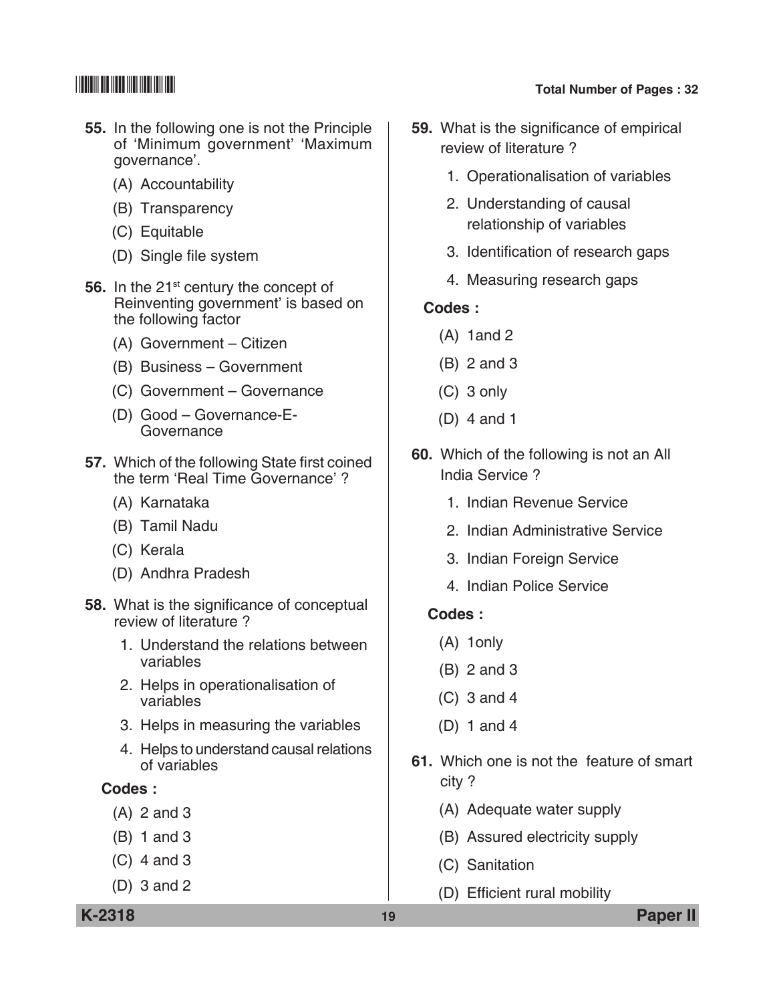- **55.** In the following one is not the Principle of 'Minimum government' 'Maximum governance'.
	- (A) Accountability
	- (B) Transparency
	- (C) Equitable
	- (D) Single file system
- **56.** In the 21<sup>st</sup> century the concept of Reinventing government' is based on the following factor
	- (A) Government Citizen
	- (B) Business Government
	- (C) Government Governance
	- (D) Good Governance-E-**Governance**
- **57.** Which of the following State first coined the term 'Real Time Governance' ?
	- (A) Karnataka
	- (B) Tamil Nadu
	- (C) Kerala
	- (D) Andhra Pradesh
- **58.** What is the significance of conceptual review of literature ?
	- 1. Understand the relations between variables
	- 2. Helps in operationalisation of variables
	- 3. Helps in measuring the variables
	- 4. Helps to understand causal relations of variables

### **Codes :**

- (A) 2 and 3
- (B) 1 and 3
- (C) 4 and 3
- (D) 3 and 2
- **59.** What is the significance of empirical
- review of literature ?
	- 1. Operationalisation of variables
	- 2. Understanding of causal relationship of variables
	- 3. Identification of research gaps
	- 4. Measuring research gaps

### **Codes :**

- (A) 1and 2
- (B) 2 and 3
- (C) 3 only
- (D) 4 and 1
- **60.** Which of the following is not an All India service ?
	- 1. Indian Revenue Service
	- 2. Indian Administrative Service
	- 3. Indian Foreign Service
	- 4. Indian Police Service

### **Codes :**

- (A) 1only
- (B) 2 and 3
- (C) 3 and 4
- (D) 1 and 4
- **61.** Which one is not the feature of smart city ?
	- (A) Adequate water supply
	- (B) Assured electricity supply
	- (C) Sanitation
	- (D) Efficient rural mobility

**K-2318 19 Paper II**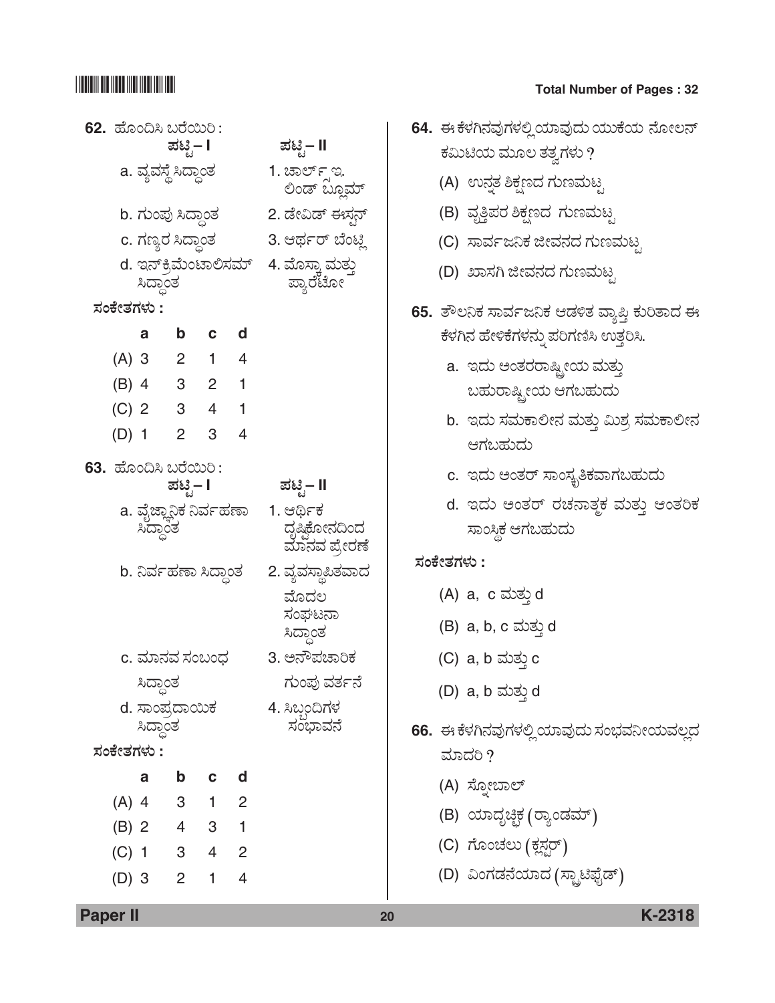# **62.** Öæãí©Ô ŸÃæÀáÄ : **±Üqr – I ±Üqr – II**  $a.$  ವ್ಯವಸ್ಥೆ ಸಿದ್ಧಾಂತ  $a.$  1. ಚಾರ್ಲ್ಸ್ಇ. .. <sub>ಜುತ</sub>್ಪ<br>ಲಿಂಡ್ ಬ್ಲೂಮ್ b. ಗುಂಪು ಸಿದ್ಧಾಂತ 2. ಡೇವಿಡ್ ಈಸ್ಟನ್ c. WÜ|ÂÃÜ Ô¨ÝœíñÜ 3.B¥ÜìÃ… ¸æíqÉ d. ಇನ್<sub>ರೆ</sub>ಮೆಂಟಾಲಿಸಮ್ 4. ಮೊಸ್ತಾ ಮತ್ತು<br>ಸಿದ್ಧಾಂತ **ÓÜíPæàñÜWÜÙÜá : a b c d** (A) 3 2 1 4 (B) 4 3 2 1 (C) 2 3 4 1 (D) 1 2 3 4 **63.** ಹೊಂದಿಸಿ ಬರೆಯಿರಿ :<br>¤ಟ್ಟಿ− **I ಪಟ್ಟಿ− II** a. ವೈಜ್ಞಾನಿಕ ನಿರ್ವಹಣಾ 1. ಆರ್ಥಿಕ<br>ಸಿದ್ಧಾಂತ ಸಿದ್ದಾಂತ ದೃಷ್ಟಿಕೋನದಿಂದ ್ ಮಾನವ ಪ್ರೇರಣ<mark>ೆ</mark> b. ನಿರ್ವಹಣಾ ಸಿದ್ಧಾಂತ 2. ವ್ಯವಸ್ಥಾಪಿತವಾದ ಮೊದಲ<br>ಸಂಘಟನಾ<br>ಸಿದ್ಧಾಂತ c. ಮಾನವ ಸಂಬಂಧ 3. ಅನೌಪಚಾರಿಕ ಸಿದ್ಧಾಂತ ಅಂಗ್ಯ ಗುಂಪು ವರ್ತನೆ d. ÓÝí±ÜŨÝÀáPÜ 4. ÔŸºí©WÜÙÜ Ô¨ÝœíñÜ ÓÜí»ÝÊÜ®æ **ÓÜíPæàñÜWÜÙÜá : a b c d** (A) 4 3 1 2 (B) 2 4 3 1 (C) 1 3 4 2 (D) 3 2 1 4

## \*K2318\* **Total Number of Pages : 32**

|            | 64.  ಈ ಕೆಳಗಿನವುಗಳಲ್ಲಿಯಾವುದು ಯುಕೆಯ ನೋಲನ್       |
|------------|-----------------------------------------------|
|            | ಕಮಿಟಿಯ ಮೂಲ ತತ್ವಗಳು ?                          |
|            | (A) ಉನ್ನತ ಶಿಕ್ಷಣದ ಗುಣಮಟ್ಟ                     |
|            | (B) ವೃತ್ತಿಪರ ಶಿಕ್ಷಣದ ಗುಣಮಟ್ಟ                  |
|            | (C) ಸಾರ್ವಜನಿಕ ಜೀವನದ ಗುಣಮಟ್ಟ                   |
|            | (D) ಖಾಸಗಿ ಜೀವನದ ಗುಣಮಟ್ಟ                       |
|            | 65. ತೌಲನಿಕ ಸಾರ್ವಜನಿಕ ಆಡಳಿತ ವ್ಯಾಪ್ತಿ ಕುರಿತಾದ ಈ |
|            | ಕೆಳಗಿನ ಹೇಳಿಕೆಗಳನ್ನು ಪರಿಗಣಿಸಿ ಉತ್ತರಿಸಿ.        |
|            | a. ಇದು ಅಂತರರಾಷ್ಟ್ರೀಯ ಮತ್ತು                    |
|            | ಬಹುರಾಷ್ಟ್ರೀಯ ಆಗಬಹುದು                          |
|            | b.  ಇದು ಸಮಕಾಲೀನ ಮತ್ತು ಮಿಶ್ರ ಸಮಕಾಲೀನ           |
|            | ಆಗಬಹುದು                                       |
|            | c.  ಇದು ಅಂತರ್ ಸಾಂಸ್ಕೃತಿಕವಾಗಬಹುದು              |
|            | d. ಇದು ಅಂತರ್ ರಚನಾತ್ಮಕ ಮತ್ತು ಆಂತರಿಕ            |
|            | ಸಾಂಸ್ಥಿಕ ಆಗಬಹುದು                              |
| ಸಂಕೇತಗಳು : |                                               |
|            | (A) a, c ಮತ್ತು d                              |
|            | (B) a, b, c ಮತ್ತು d                           |
|            | (C) a, b ಮತ್ತು c                              |
|            | (D) a, b ಮತ್ತು d                              |
|            | 66.  ಈ ಕೆಳಗಿನವುಗಳಲ್ಲಿ ಯಾವುದು ಸಂಭವನೀಯವಲ್ಲದ     |
|            | ಮಾದರಿ ?                                       |
|            | (A) ಸ್ನೋಬಾಲ್                                  |
|            | (B) ಯಾದೃಚ್ಛಿಕ (ರ್ರ್ಯಾಡಮ್)                     |
|            | (C) ಗೊಂಚಲು (ಕ್ಲಸ್ಟರ್)                         |
|            | (D) ವಿಂಗಡನೆಯಾದ (ಸ್ಟ್ರಾಟಿಫೈಡ್)                 |

**Paper II 20 K-2318**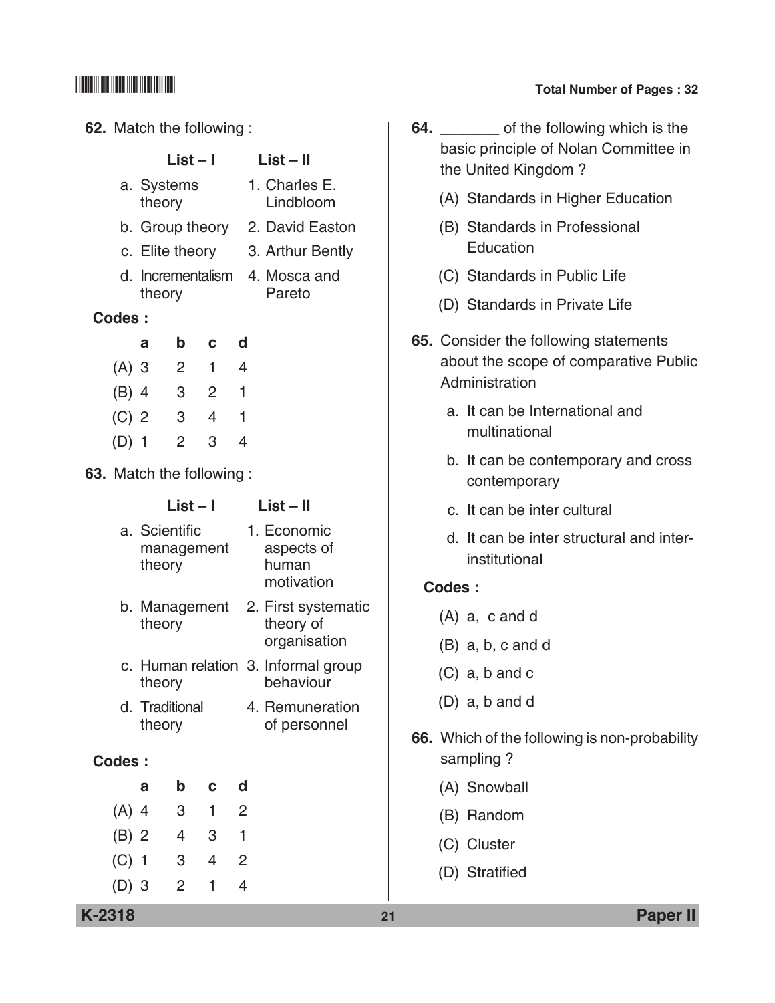### **62.** Match the following :

| LIJL – I   | LIJL – II     |
|------------|---------------|
| a. Systems | 1. Charles E. |
| theory     | Lindbloom     |

**List – I List – II**

- b. Group theory 2. David Easton
- c. Elite theory 3. Arthur Bently
- d. Incrementalism 4. Mosca and theory

### **Codes :**

| а       | b | С | d |
|---------|---|---|---|
| $(A)$ 3 | 2 | 1 | 4 |
| $(B)$ 4 | 3 | 2 | 1 |
| $(C)$ 2 | 3 | 4 | 1 |
| $(D)$ 1 | 2 | 3 | 4 |

**63.** Match the following :

### **List – I List – II**

| a. Scientific<br>management<br>theory | 1. Economic<br>aspects of<br>human<br>motivation |
|---------------------------------------|--------------------------------------------------|
|                                       | b. Management 2. First systematic                |

- theory theory of organisation
- c. Human relation 3. Informal group theory behaviour
- d. Traditional 4. Remuneration theory of personnel

### **Codes :**

| а       | b | C. | d |  |
|---------|---|----|---|--|
| $(A)$ 4 | 3 | 1  | 2 |  |
| $(B)$ 2 | 4 | 3  | 1 |  |
| $(C)$ 1 | 3 | 4  | 2 |  |
| $(D)$ 3 | 2 | ٦  | 4 |  |

## \*K2318\* **Total Number of Pages : 32**

- **64. b** of the following which is the basic principle of Nolan Committee in the United Kingdom ?
	- (A) Standards in Higher Education
	- (B) Standards in Professional **Education**
	- (C) Standards in Public Life
	- (D) Standards in Private Life
- **65.** Consider the following statements about the scope of comparative Public Administration
	- a. It can be International and multinational
	- b. It can be contemporary and cross contemporary
	- c. It can be inter cultural
	- d. It can be inter structural and interinstitutional

### **Codes :**

- (A) a, c and d
- (B) a, b, c and d
- (C) a, b and c
- (D) a, b and d
- **66.** Which of the following is non-probability sampling ?
	- (A) Snowball
	- (B) Random
	- (C) Cluster
	- (D) Stratified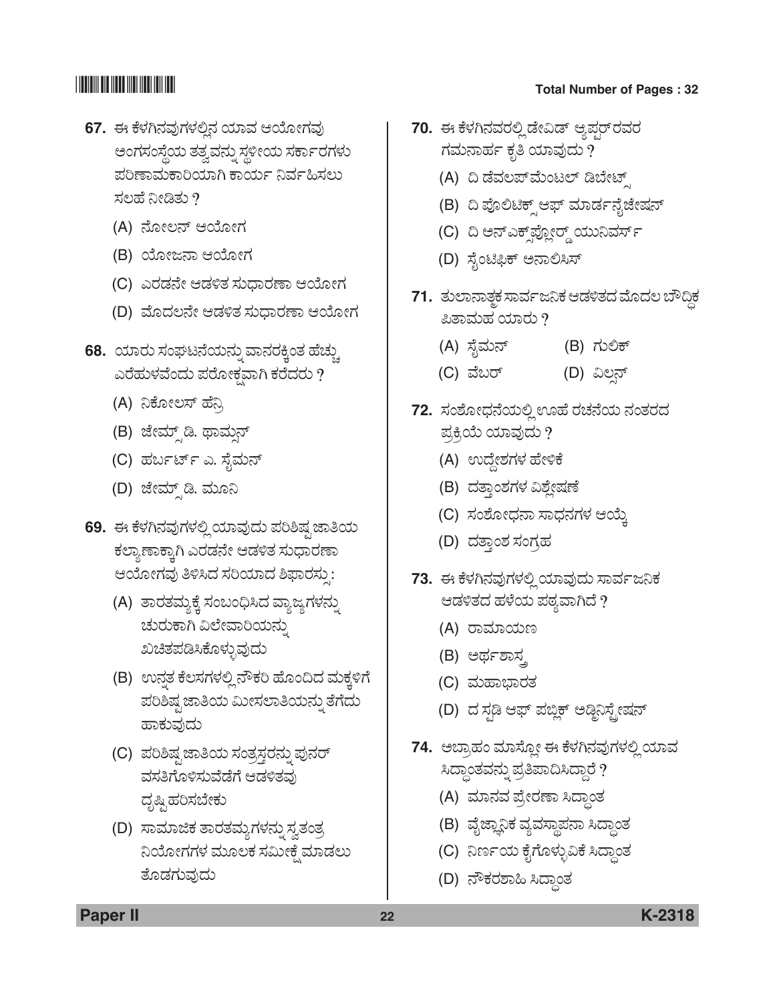- **67.** ಈ ಕೆಳಗಿನವುಗಳಲಿನ ಯಾವ ಆಯೋಗವು ಅಂಗಸಂಸ್ಥೆಯ ತತ್ವವನ್ನು ಸ್ಥಳೀಯ ಸರ್ಕಾರಗಳು ಪರಿಣಾಮಕಾರಿಯಾಗಿ ಕಾರ್ಯ ನಿರ್ವಹಿಸಲು ಸಲಹೆ $\Omega$ 
	- (A) ನೋಲನ್ ಆಯೋಗ
	- (B) ಯೋಜನಾ ಆಯೋಗ
	- (C) ಎರಡನೇ ಆಡಳಿತ ಸುಧಾರಣಾ ಆಯೋಗ
	- (D) ಮೊದಲನೇ ಆಡಳಿತ ಸುಧಾರಣಾ ಆಯೋಗ
- **68.** ಯಾರು ಸಂಘಟನೆಯನ್ನು ವಾನರಕ್ಕಿಂತ ಹೆಚ್ಚು ಎರೆಹುಳವೆಂದು ಪರೋಕ್ಷವಾಗಿ ಕರೆದರು ?
	- (A) ನಿಕೋಲಸ್ ಹೆನ್ನಿ
	- (B) ಜೇಮ್ಸ್0 ಡಿ. ಥಾಮ್ಸನ್
	- (C) ಹರ್ಬರ್ಟ್ ಎ. ಸೈಮನ್
	- (D) ಜೇಮ್ಸ್ ಡಿ. ಮೂನಿ
- 69. ಈ ಕೆಳಗಿನವುಗಳಲ್ಲಿ ಯಾವುದು ಪರಿಶಿಷ್ಪ ಜಾತಿಯ ಕಲ್ಯಾಣಾಕ್ಕಾಗಿ ಎರಡನೇ ಆಡಳಿತ ಸುಧಾರಣಾ ಆಯೋಗವು ತಿಳಿಸಿದ ಸರಿಯಾದ ಶಿಫಾರಸ್ಪು:
	- (A) ತಾರತಮ್ಯಕ್ಕೆ ಸಂಬಂಧಿಸಿದ ವ್ಯಾಜ್ಯಗಳನ್ನು ಚುರುಕಾಗಿ ವಿಲೇವಾರಿಯನ್ನು ಖಚಿತಪಡಿಸಿಕೊಳ್ಳುವುದು
	- (B) ಉನ್ನತ ಕೆಲಸಗಳಲ್ಲಿ ನೌಕರಿ ಹೊಂದಿದ ಮಕ್ಕಳಿಗೆ ಪರಿಶಿಷ್ಟ ಜಾತಿಯ ಮೀಸಲಾತಿಯನ್ನು ತೆಗೆದು ಹಾಕುವುದು
	- (C) ಪರಿಶಿಷ್ಪ ಜಾತಿಯ ಸಂತ್ರಸ್ತರನ್ನು ಪುನರ್ ವಸತಿಗೊಳಿಸುವೆಡೆಗೆ ಆಡಳಿತವು ದೃಷ್ಟಿ ಹರಿಸಬೇಕು
	- (D) ಸಾಮಾಜಿಕ ತಾರತಮ್ಯಗಳನ್ನು ಸ್ವತಂತ್ರ ನಿಯೋಗಗಳ ಮೂಲಕ ಸಮೀಕೆ ಮಾಡಲು ತೊಡಗುವುದು

- 70. ಈ ಕೆಳಗಿನವರಲ್ಲಿ ಡೇವಿಡ್ ಆ್ಯಪರ್**ರವ**ರ ಗಮನಾರ್ಹ ಕೃತಿ ಯಾವುದು ?
	- (A) ದಿ ಡೆವಲಪ್ ಮೆಂಟಲ್ ಡಿಬೇಟ್
	- (B) ದಿ ಪೊಲಿಟಿಕ್ಸ್ ಆಫ್ ಮಾರ್ಡನೈಜೇಷನ್
	- (C) ದಿ ಅನ್ಎಕ್ಸ್**ಫ್ಲೋರ್ಡ್ಡ್**ಯುನಿವರ್ಸ್
	- (D) ಸೈಂಟಿಫಿಕ್ ಅನಾಲಿಸಿಸ್
- 71. ತುಲಾನಾತ್ಚಕ ಸಾರ್ವಜನಿಕ ಆಡಳಿತದ ಮೊದಲ ಬೌದ್ಧಿಕ ಪಿತಾಮಹ ಯಾರು  $?$ 
	- (A) ÓæçÊÜá®… (B) WÜáÈP…
	- (C) ÊæŸÃ… (D) ËÆÕ®…
- **72.** ಸಂಶೋಧನೆಯಲ್ಲಿ ಊಹೆ ರಚನೆಯ ನಂತರದ ಪ್ರಕ್ರಿಯೆ ಯಾವುದು ?
	- (A) ಉದ್ದೇಶಗಳ ಹೇಳಿಕೆ
	- (B) ದತ್ತಾಂಶಗಳ ವಿಶ್ಲೇಷಣೆ
	- (C) ಸಂಶೋಧನಾ ಸಾಧನಗಳ ಆಯ್ತೆ
	- (D) ದತ್ತಾಂಶ ಸಂಗ್ರಹ
- 73. ಈ ಕೆಳಗಿನವುಗಳಲ್ಲಿ ಯಾವುದು ಸಾರ್ವಜನಿಕ ಆಡಳಿತದ ಹಳೆಯ ಪಠ್ಯವಾಗಿದೆ ?
	- (A) ರಾಮಾಯಣ
	- (B) ಅರ್ಥಶಾಸ್ತ
	- (C) ಮಹಾಭಾರತ
	- (D) ದ ಸ್ಪಡಿ ಆಫ್ ಪಬ್ಲಿಕ್ ಅಡ್ಜಿನಿಸ್ಟೇಷನ್
- 74. ಅಬ್ರಾಹಂ ಮಾಸ್ತೋ ಈ ಕೆಳಗಿನವುಗಳಲ್ಲಿ ಯಾವ ಸಿದ್ಧಾಂತವನ್ನು ಪ್ರತಿಪಾದಿಸಿದ್ದಾರೆ ?
	- (A) ಮಾನವ ಪ್ರೇರಣಾ ಸಿದ್ಧಾಂತ
	- (B) ವೈಜ್ಞಾನಿಕ ವ್ಯವಸ್ಥಾಪನಾ ಸಿದ್ಧಾಂತ
	- (C) ನಿರ್ಣಯ ಕೈಗೊಳ್ಳುವಿಕೆ ಸಿದ್ಧಾಂತ
	- (D) ನೌಕರಶಾಹಿ ಸಿದ್ಧಾಂತ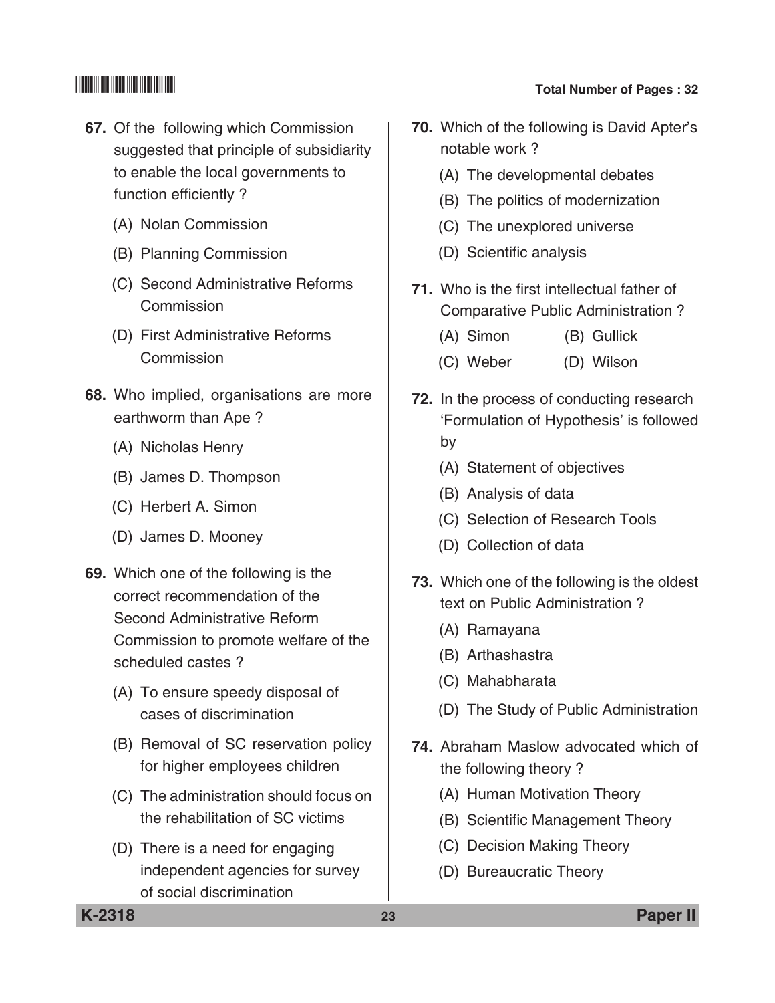- **67.** Of the following which commission suggested that principle of subsidiarity to enable the local governments to function efficiently ?
	- (A) Nolan commission
	- (B) Planning commission
	- (C) Second Administrative Reforms **Commission**
	- (D) First Administrative Reforms **Commission**
- **68.** Who implied, organisations are more earthworm than Ape ?
	- (A) Nicholas Henry
	- (B) James D. Thompson
	- (C) Herbert A. Simon
	- (D) James D. Mooney
- **69.** Which one of the following is the correct recommendation of the Second Administrative Reform commission to promote welfare of the scheduled castes ?
	- (A) To ensure speedy disposal of cases of discrimination
	- (B) Removal of SC reservation policy for higher employees children
	- (C) The administration should focus on the rehabilitation of SC victims
	- (D) There is a need for engaging independent agencies for survey of social discrimination
- 
- **70.** Which of the following is David Apter's notable work ?
	- (A) The developmental debates
	- (B) The politics of modernization
	- (C) The unexplored universe
	- (D) Scientific analysis
- **71.** Who is the first intellectual father of comparative Public Administration ?
	- (A) Simon (B) Gullick
	- (C) Weber (D) Wilson
- **72.** In the process of conducting research 'formulation of Hypothesis' is followed by
	- (A) Statement of objectives
	- (B) Analysis of data
	- (C) Selection of Research Tools
	- (D) Collection of data
- **73.** Which one of the following is the oldest text on Public Administration ?
	- (A) Ramayana
	- (B) Arthashastra
	- (C) Mahabharata
	- (D) The Study of Public Administration
- **74.** Abraham Maslow advocated which of the following theory ?
	- (A) Human Motivation Theory
	- (B) Scientific Management Theory
	- (C) Decision making Theory
	- (D) Bureaucratic Theory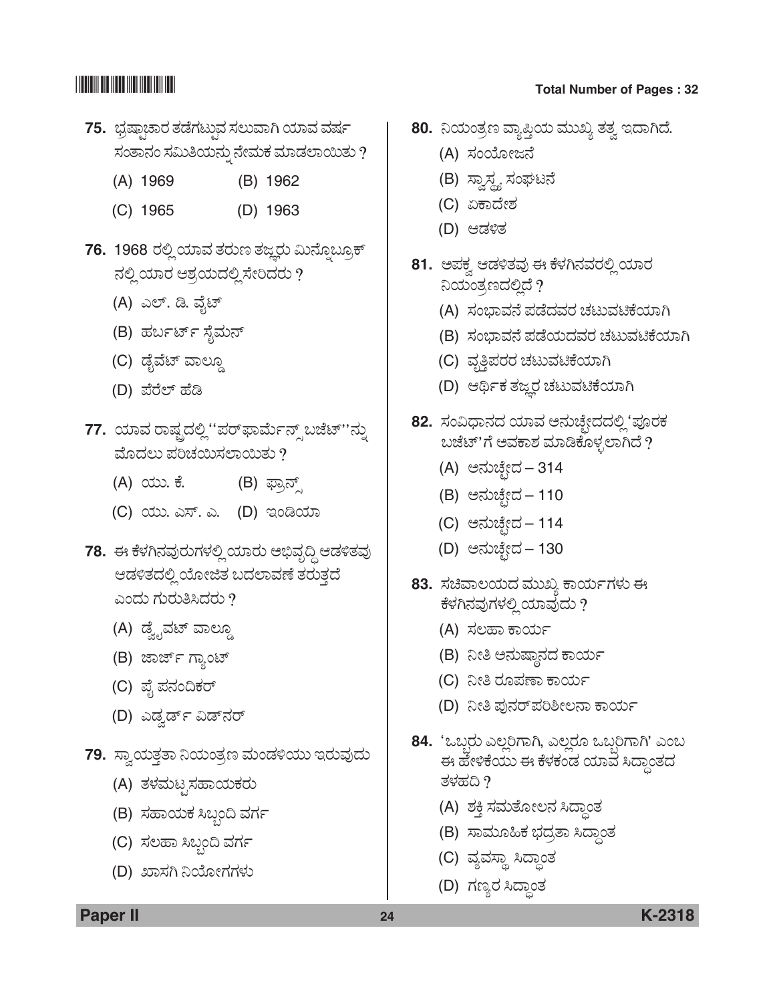- 75. ಭ್ರಷ್ಠಾಚಾರ ತಡೆಗಟ್ಟುವ ಸಲುವಾಗಿ ಯಾವ ವರ್ಷ ಸಂತಾನಂ ಸಮಿತಿಯನ್ನು ನೇಮಕ ಮಾಡಲಾಯಿತು ?
	- (A) 1969 (B) 1962
	- (C) 1965 (D) 1963
- 76. 1968 ರಲ್ಲಿ ಯಾವ ತರುಣ ತಜ್ಞರು ಮಿನ್ನೊಬ್ರೂಕ್ ನಲ್ಲಿ ಯಾರ ಆಶ್ರಯದಲ್ಲಿ ಸೇರಿದರು ?
	- (A) ಎಲ್. ಡಿ. ವೈಟ್
	- (B) ಹರ್ಬರ್ಟ್ ಸೈಮನ್
	- (C) ಡೈವೆಟ್ ವಾಲ್ಡೂ
	- (D) ಪೆರೆಲ್ ಹೆಡಿ
- **77.** ಯಾವ ರಾಷ್ಟ್ರದಲ್ಲಿ''ಪರ್**ಫಾರ್ಮೆನ್ಸ್** ಬಜೆಟ್''ನ್ನು ಮೊದಲು ಪರಿಚಯಿಸಲಾಯಿತು ?
	- (A) ಯು. ಕೆ. (B) ಫ್ರಾನ್ಸ್
	- (C) ಯು. ಎಸ್. ಎ. (D) ಇಂಡಿಯಾ
- **78.** ಈ ಕೆಳಗಿನವುರುಗಳಲ್ಲಿ ಯಾರು ಅಭಿವೃದ್ಧಿ ಆಡಳಿತವು ಆಡಳಿತದಲ್ಲಿ ಯೋಜಿತ ಬದಲಾವಣೆ ತರುತ್ತದೆ ಎಂದು ಗುರುತಿಸಿದರು  $\overline{\mathcal{P}}$ 
	- (A) ಡ್ವೈವಟ್ ವಾಲ್ಡೂ
	- (B) ಜಾರ್ಜ್ ಗ್ಯಾಂಟ್
	- (C) ಪೈ ಪನಂದಿಕರ್
	- (D) ಎಡ್ವರ್ಡ್ ವಿಡ್**ನ**ರ್
- 79. ಸ್ವಾಯತ್ತತಾ ನಿಯಂತ್ರಣ ಮಂಡಳಿಯು ಇರುವುದು
	- (A) ತಳಮಟೃಸಹಾಯಕರು
	- (B) ಸಹಾಯಕ ಸಿಬ್ಬಂದಿ ವರ್ಗ
	- (C) ಸಲಹಾ ಸಿಬ್ಬಂದಿ ವರ್ಗ
	- (D) ಖಾಸಗಿ ನಿಯೋಗಗಳು

- 80. ನಿಯಂತ್ರಣ ವ್ಯಾಪ್ತಿಯ ಮುಖ್ಯ ತತ್ವ ಇದಾಗಿದೆ.
	- (A) ಸಂಯೋಜನೆ
	- (B) ಸ್ವಾಸ್ಥ್ಯ ಸಂಘಟನೆ
	- (C) ಏಕಾದೇಶ
	- (D) ಆಡಳಿತ
- 81. ಅಪಕ್ಕ ಆಡಳಿತವು ಈ ಕೆಳಗಿನವರಲ್ಲಿ ಯಾರ ನಿಯಂತ್ರಣದಲ್ಲಿದೆ ?
	- (A) ಸಂಭಾವನೆ ಪಡೆದವರ ಚಟುವಟಿಕೆಯಾಗಿ
	- (B) ಸಂಭಾವನೆ ಪಡೆಯದವರ ಚಟುವಟಿಕೆಯಾಗಿ
	- (C) ವೃತ್ತಿಪರರ ಚಟುವಟಿಕೆಯಾಗಿ
	- (D) ಆರ್ಥಿಕ ತಜ್ಞರ ಚಟುವಟಿಕೆಯಾಗಿ
- 82. ಸಂವಿಧಾನದ ಯಾವ ಅನುಚ್ಛೇದದಲ್ಲಿ 'ಪೂರಕ ಬಜೆಟ್'ಗೆ ಅವಕಾಶ ಮಾಡಿಕೊಳ್ಳಲಾಗಿದೆ ?
	- (A) ಅನುಚ್ಛೇದ 314
	- (B) ಅನುಚ್ಛೇದ 110
	- (C) ಅನುಚ್ಛೇದ 114
	- (D) ಅನುಚ್ಛೇದ 130
- 83. ಸಚಿವಾಲಯದ ಮುಖ್ಯ ಕಾರ್ಯಗಳು ಈ ಕೆಳಗಿನವುಗಳಲ್ಲಿ ಯಾವುದು ?
	- (A) ಸಲಹಾ ಕಾರ್ಯ
	- (B) ನೀತಿ ಅನುಷ್ಠಾನದ ಕಾರ್ಯ
	- (C) ನೀತಿ ರೂಪಣಾ ಕಾರ್ಯ
	- (D) ನೀತಿ ಪುನರ್ ಪರಿಶೀಲನಾ ಕಾರ್ಯ
- **84. 'ಒಬ್ಬರು ಎಲ್ಲರಿಗಾಗಿ, ಎಲ್ಲರೂ ಒಬ್ಬರಿಗಾಗಿ' ಎಂಬ** ಈ ಹೇಳಿಕೆಯು ಈ ಕೆಳಕಂಡ ಯಾವ ಸಿದ್ಧಾಂತದ ತಳಹದಿ $\eta$ 
	- (A) ಶಕ್ತಿ ಸಮತೋಲನ ಸಿದ್ಧಾಂತ
	- (B) ಸಾಮೂಹಿಕ ಭದ್ರತಾ ಸಿದ್ಧಾಂತ
	- (C) ವ್ಯವಸ್ಥಾ ಸಿದ್ದಾಂತ
	- (D) ಗಣ್ಯರ ಸಿದ್ಧಾಂತ

**Paper II 24 K-2318**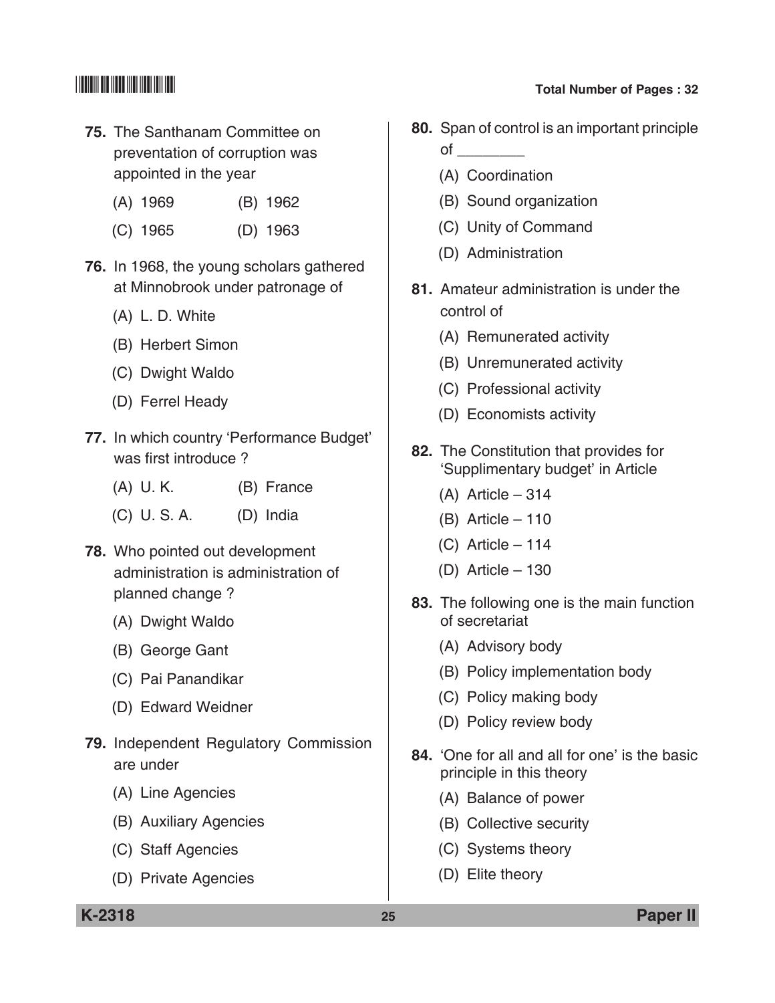- **75.** The Santhanam committee on preventation of corruption was appointed in the year
	- (A) 1969 (B) 1962
	- (C) 1965 (D) 1963
- **76.** In 1968, the young scholars gathered at Minnobrook under patronage of
	- (A) L. D. White
	- (B) Herbert Simon
	- (C) Dwight Waldo
	- (D) Ferrel Heady
- **77.** In which country 'Performance Budget' was first introduce ?
	- (A) U. K. (B) France
	- (C) U. S. A. (D) India
- **78.** Who pointed out development administration is administration of planned change ?
	- (A) Dwight Waldo
	- (B) George Gant
	- (C) Pai Panandikar
	- (D) Edward Weidner
- **79.** Independent Regulatory Commission are under
	- (A) Line Agencies
	- (B) Auxiliary Agencies
	- (C) Staff agencies
	- (D) Private Agencies

- **80.** Span of control is an important principle  $\circ$ f $\overline{\phantom{a}}$ 
	- (A) Coordination
	- (B) Sound organization
	- (C) Unity of command
	- (D) Administration
- **81.** Amateur administration is under the control of
	- (A) Remunerated activity
	- (B) Unremunerated activity
	- (C) Professional activity
	- (D) Economists activity
- **82.** The Constitution that provides for 'Supplimentary budget' in article
	- (A) Article 314
	- (B) Article 110
	- (C) Article 114
	- (D) Article 130
- **83.** The following one is the main function of secretariat
	- (A) Advisory body
	- (B) Policy implementation body
	- (C) Policy making body
	- (D) Policy review body
- **84.** 'One for all and all for one' is the basic principle in this theory
	- (A) Balance of power
	- (B) Collective security
	- (C) Systems theory
	- (D) Elite theory

**K-2318 25 Paper II**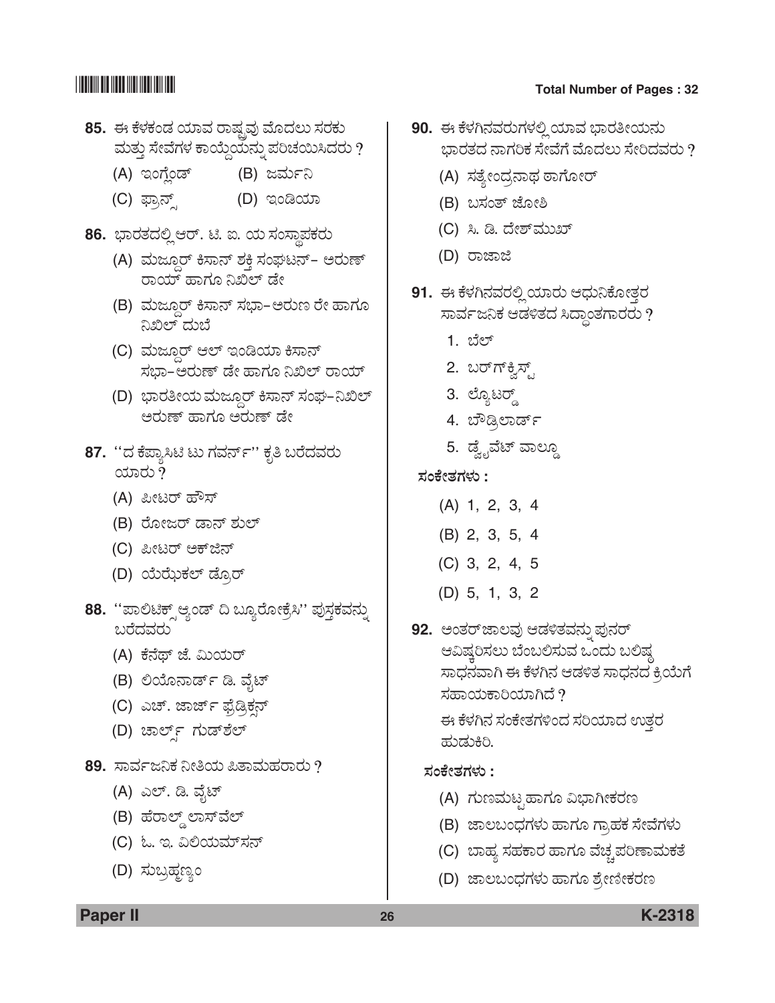- **85.** ಈ ಕೆಳಕಂಡ ಯಾವ ರಾಷ್ಟವು ಮೊದಲು ಸರಕು ಮತ್ತು ಸೇವೆಗಳ ಕಾಯ್ದೆಯನ್ನು ಪರಿಚಯಿಸಿದರು ?
	- (A) ಇಂಗೆಂಡ್ (B) ಜರ್ಮನಿ
	- (C) ´ÝÅ®…Õ (D) Cíw¿Þ
- 86. ಭಾರತದಲ್ಲಿ ಆರ್. ಟಿ. ಐ. ಯ ಸಂಸ್ಥಾಪಕರು
	- (A) ಮಜ್ದೂರ್ ಕಿಸಾನ್ ಶಕ್ತಿ ಸಂಘಟನ್- ಅರುಣ್ ರಾಯ್ ಹಾಗೂ ನಿಖಿಲ್ ಡೇ
	- (B) ಮಜ್ತೂರ್ ಕಿಸಾನ್ ಸಭಾ-ಅರುಣ ರೇ ಹಾಗೂ ನಿಖಿಲ್ ದುಬೆ
	- (C) ಮಜ್ದೂರ್ ಆಲ್ ಇಂಡಿಯಾ ಕಿಸಾನ್ ಸಭಾ–ಅರುಣ್ ಡೇ ಹಾಗೂ ನಿಖಿಲ್ ರಾಯ್
	- (D) ಭಾರತೀಯ ಮಜ್ತೂರ್ ಕಿಸಾನ್ ಸಂಘ–ನಿಖಿಲ್ ಅರುಣ್ ಹಾಗೂ ಅರುಣ್ ಡೇ
- **87.** ''ದ ಕೆಪ್ಯಾಸಿಟಿ ಟು ಗವರ್ನ್'' ಕೃತಿ ಬರೆದವರು ಯಾರು  $\partial$ 
	- (A) ಪೀಟರ್ ಹೌಸ್
	- (B) ರೋಜರ್ ಡಾನ್ ಶುಲ್
	- (C) ಪೀಟರ್ ಅಕ್**ಜಿನ್**
	- (D) ಯೆಝೆಕಲ್ ಡ್ರೊರ್
- 88. "ಪಾಲಿಟಿಕ್ಸ್ ಆ್ಯಂಡ್ ದಿ ಬ್ಯೂರೋಕ್ರೆಸಿ" ಪುಸ್ತಕವನ್ನು  $\alpha$ ರೆದವರು
	- (A) ಕೆನೆಥ್ ಜೆ. ಮಿಯರ್
	- (B) ಲಿಯೊನಾರ್ಡ್ ಡಿ. ವೈಟ್
	- (C) ಎಚ್. ಜಾರ್ಜ್ ಫ್ರೆಡ್ರಿಕನ್
	- (D) ಚಾರ್ಲ್ಡ್ ಗುಡ್**ಶೆಲ್**
- 89. ಸಾರ್ವಜನಿಕ ನೀತಿಯ ಪಿತಾಮಹರಾರು ?
	- (A) ಎಲ್. ಡಿ. ವೈಟ್
	- (B) ಹೆರಾಲ್ಡ್ ಲಾಸ್ವೆಲ್
	- (C) ಓ. ಇ. ವಿಲಿಯಮ್ಸನ್
	- (D) ಸುಬ್ರಹ್ಮಣ್ಯಂ
- **90.** ಈ ಕೆಳಗಿನವರುಗಳಲ್ಲಿ ಯಾವ ಭಾರತೀಯನು ಭಾರತದ ನಾಗರಿಕ ಸೇವೆಗೆ ಮೊದಲು ಸೇರಿದವರು ?
	- (A) ಸತ್ಯೇಂದ್ರನಾಥ ಠಾಗೋರ್
	- (B) ಬಸಂತ್ ಜೋಶಿ
	- (C) ಸಿ. ಡಿ. ದೇಶ್*ಮುಖ್*
	- (D) ರಾಜಾಜಿ
- 91. ಈ ಕೆಳಗಿನವರಲ್ಲಿ ಯಾರು ಆಧುನಿಕೋತ್ತರ ಸಾರ್ವಜನಿಕ ಆಡಳಿತದ ಸಿದ್ಧಾಂತಗಾರರು ?
	- 1. ಬೆಲ್
	- 2. ಬರ್ಗ್ಫ್ರೆಸ್ಟ್
	- 3. ಲ್ಯೊಟರ್
	- 4. ಬೌಡ್ಸಿಲಾರ್ಡ್
	- 5. ಡ್ವೈವೆಟ್ ವಾಲ್ಡೂ
- **ÓÜíPæàñÜWÜÙÜá :**
	- (A) 1, 2, 3, 4
	- (B) 2, 3, 5, 4
	- (C) 3, 2, 4, 5
	- (D) 5, 1, 3, 2
- 92. **ಅಂತರ್**ಜಾಲವು ಆಡಳಿತವನ್ನು ಪುನರ್ ಆವಿಷ್ಕರಿಸಲು ಬೆಂಬಲಿಸುವ ಒಂದು ಬಲಿಷ್ಠ ಸಾಧನವಾಗಿ ಈ ಕೆಳಗಿನ ಆಡಳಿತ ಸಾಧನದ ಕ್ರಿಯೆಗೆ ಸಹಾಯಕಾರಿಯಾಗಿದೆ ?

ಈ ಕೆಳಗಿನ ಸಂಕೇತಗಳಿಂದ ಸರಿಯಾದ ಉತ್ತರ ಹುಡುಕಿರಿ.

### **ÓÜíPæàñÜWÜÙÜá :**

- (A) ಗುಣಮಟೃಹಾಗೂ ವಿಭಾಗೀಕರಣ
- (B) ಜಾಲಬಂಧಗಳು ಹಾಗೂ ಗ್ರಾಹಕ ಸೇವೆಗಳು
- (C) ಬಾಹ್ಯ ಸಹಕಾರ ಹಾಗೂ ವೆಚ್ಚಪರಿಣಾಮಕತೆ
- (D) ಜಾಲಬಂಧಗಳು ಹಾಗೂ ಶ್ರೇಣೀಕರಣ
- **Paper II 26 K-2318**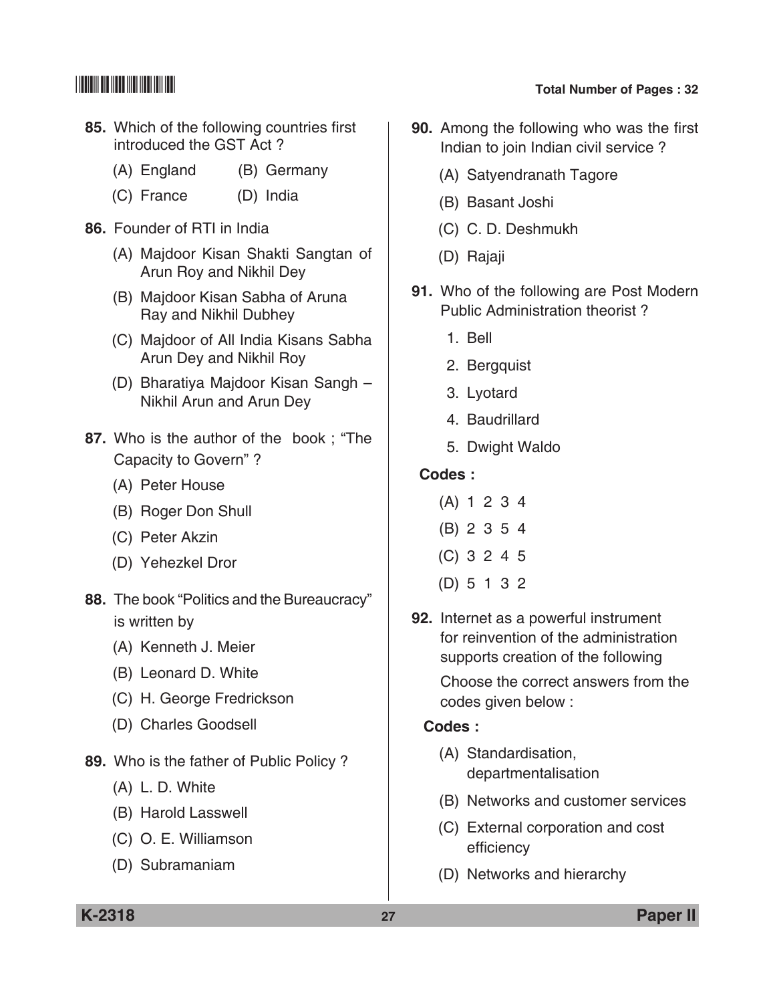- **85.** Which of the following countries first introduced the GST Act ?
	- (A) England (B) Germany
	- (C) France (D) India
- **86.** Founder of RTI in India
	- (A) Majdoor Kisan Shakti Sangtan of Arun Roy and Nikhil Dey
	- (B) Majdoor Kisan Sabha of Aruna Ray and Nikhil Dubhey
	- (C) Majdoor of all India Kisans Sabha Arun Dey and Nikhil Roy
	- (D) Bharatiya Majdoor Kisan Sangh Nikhil Arun and Arun Dey
- **87.** Who is the author of the book ; "The capacity to Govern" ?
	- (A) Peter House
	- (B) Roger Don Shull
	- (C) Peter Akzin
	- (D) Yehezkel Dror
- **88.** The book "Politics and the Bureaucracy" is written by
	- (A) Kenneth J. Meier
	- (B) Leonard D. White
	- (C) H. George Fredrickson
	- (D) Charles Goodsell
- **89.** Who is the father of Public Policy ?
	- (A) L. D. White
	- (B) Harold Lasswell
	- (C) O. E. Williamson
	- (D) Subramaniam

- **90.** Among the following who was the first Indian to join Indian civil service ?
	- (A) Satyendranath Tagore
	- (B) Basant Joshi
	- (C) C. D. Deshmukh
	- (D) Rajaji
- **91.** Who of the following are Post Modern Public Administration theorist ?
	- 1. Bell
	- 2. Bergquist
	- 3. Lyotard
	- 4. Baudrillard
	- 5. Dwight Waldo

### **Codes :**

- (A) 1 2 3 4
- (B) 2 3 5 4
- (C) 3 2 4 5
- (D) 5 1 3 2
- **92.** Internet as a powerful instrument for reinvention of the administration supports creation of the following

 Choose the correct answers from the codes given below :

### **Codes :**

- (A) Standardisation, departmentalisation
- (B) Networks and customer services
- (C) External corporation and cost efficiency
- (D) Networks and hierarchy

**K-2318 27 Paper II**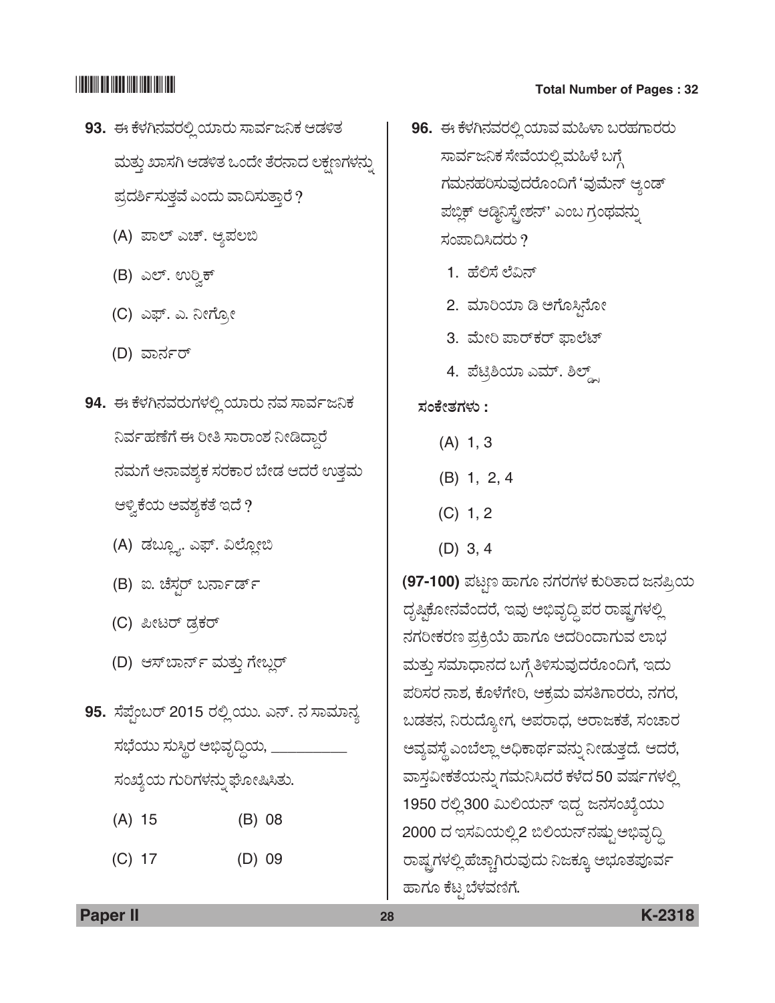- 93. ಈ ಕೆಳಗಿನವರಲ್ಲಿ ಯಾರು ಸಾರ್ವಜನಿಕ ಆಡಳಿತ ಮತ್ತು ಖಾಸಗಿ ಆಡಳಿತ ಒಂದೇ ತೆರನಾದ ಲಕ್ಷಣಗಳನ್ನು ಪ್ರದರ್ಶಿಸುತ್ತವೆ ಎಂದು ವಾದಿಸುತ್ತಾರೆ?
	- (A) ಪಾಲ್ ಎಚ್. ಆ್ಯಪಲಬಿ
	- (B) ಎಲ್. ಉರ್ರಿಕ್
	- (C) ಎಫ್. ಎ. ನೀಗ್<u>ಗ</u>ೋ
	- (D) ವಾರ್ನರ್
- **94.** ಈ ಕೆಳಗಿನವರುಗಳಲ್ಲಿ ಯಾರು ನವ ಸಾರ್ವಜನಿಕ ನಿರ್ವಹಣೆಗೆ ಈ ರೀತಿ ಸಾರಾಂಶ ನೀಡಿದ್ದಾರೆ ನಮಗೆ ಅನಾವಶ್ಯಕ ಸರಕಾರ ಬೇಡ ಆದರೆ ಉತ್ತಮ ಆಳ್ವಿಕೆಯ ಅವಶ್ಯಕತೆ ಇದೆ ?
	- (A) ಡಬ್ಲೂ. ಎಫ್. ವಿಲ್ಲೋಬಿ
	- (B) ಐ. ಚೆಸ್ಗರ್ ಬರ್ನಾರ್ಡ್
	- (C) ಪೀಟರ್ ಡ್ರಕರ್
	- (D) ಆಸ್**ಬಾರ್ನ್ ಮತ್ತು ಗೇಬ್ಲರ್**
- 95. ಸೆಪ್ಟೆಂಬರ್ 2015 ರಲ್ಲಿ ಯು. ಎನ್. ನ ಸಾಮಾನ್ಯ ಸಭೆಯು ಸುಸ್ಥಿರ ಅಭಿವೃದ್ಧಿಯ, \_\_\_\_\_\_\_\_ ಸಂಖ್ಯೆಯ ಗುರಿಗಳನ್ನು ಘೋಷಿಸಿತು.
	- (A) 15 (B) 08
	- (C) 17 (D) 09
- \*K2318\* **Total Number of Pages : 32**
	- 96. ಈ ಕೆಳಗಿನವರಲ್ಲಿ ಯಾವ ಮಹಿಳಾ ಬರಹಗಾರರು ಸಾರ್ವಜನಿಕ ಸೇವೆಯಲ್ಲಿ ಮಹಿಳೆ ಬಗ್ಗೆ ಗಮನಹರಿಸುವುದರೊಂದಿಗೆ 'ವುಮೆನ್ ಆ್ಯಂಡ್ ಪಬ್ಲಿಕ್ ಆಡ್ಬಿನಿಸ್ಟೇಶನ್' ಎಂಬ ಗ್ರಂಥವನ್ನು ಸಂಪಾದಿಸಿದರು $?$ 
		- 1. ಹೆಲಿಸೆ ಲೆವಿನ್
		- 2. ಮಾರಿಯಾ ಡಿ ಅಗೊಸ್ತಿನೋ
		- 3. ಮೇರಿ ಪಾರ್ಕರ್ ಫಾಲೆಟ್
		- 4. ಪೆಟ್ರಿಶಿಯಾ ಎಮ್. ಶಿಲ್ಡ್.

### **ÓÜíPæàñÜWÜÙÜá :**

- (A) 1, 3
- (B) 1, 2, 4
- $(C)$  1, 2
- (D) 3, 4

**(97-100)** ಪಟ್ಟಣ ಹಾಗೂ ನಗರಗಳ ಕುರಿತಾದ ಜನಪ್ರಿಯ ದೃಷ್ಠಿಕೋನವೆಂದರೆ, ಇವು ಅಭಿವೃದ್ಧಿ ಪರ ರಾಷ್ಟ್ರಗಳಲ್ಲಿ ನಗರೀಕರಣ ಪ್ರಕ್ರಿಯೆ ಹಾಗೂ ಅದರಿಂದಾಗುವ ಲಾಭ ಮತ್ತು ಸಮಾಧಾನದ ಬಗ್ಗೆ ತಿಳಿಸುವುದರೊಂದಿಗೆ, ಇದು ಪರಿಸರ ನಾಶ, ಕೊಳೆಗೇರಿ, ಅಕ್ರಮ ವಸತಿಗಾರರು, ನಗರ, ಬಡತನ, ನಿರುದ್ಯೋಗ, ಅಪರಾಧ, ಅರಾಜಕತೆ, ಸಂಚಾರ ಅವ್ಯವಸ್ಥೆ ಎಂಬೆಲ್ಲಾ ಅಧಿಕಾರ್ಥವನ್ನು ನೀಡುತ್ತದೆ. ಆದರೆ, ವಾಸ್ತವೀಕತೆಯನ್ನು ಗಮನಿಸಿದರೆ ಕಳೆದ 50 ವರ್ಷಗಳಲ್ಲಿ 1950 ರಲ್ಲಿ 300 ಮಿಲಿಯನ್ ಇದ್ದ ಜನಸಂಖ್ಯೆಯು 2000 ದ ಇಸವಿಯಲ್ಲಿ 2 ಬಿಲಿಯನ್ ನಷ್ಟು ಅಭಿವೃದ್ಧಿ ರಾಷ್ಟ್ರಗಳಲ್ಲಿ ಹೆಚ್ಚಾಗಿರುವುದು ನಿಜಕ್ಕೂ ಅಭೂತಪೂರ್ವ ಹಾಗೂ ಕೆಟ್ಟ ಬೆಳವಣಿಗೆ.

**Paper II 28 K-2318**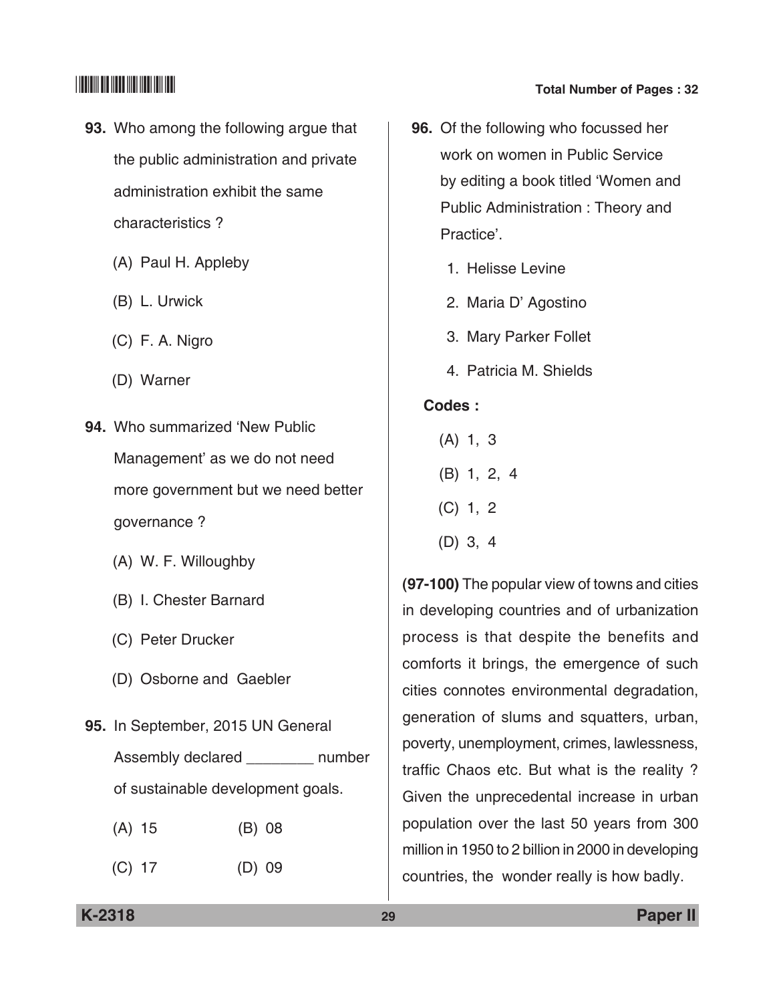- **93.** Who among the following argue that the public administration and private administration exhibit the same characteristics ?
	- (A) Paul H. Appleby
	- (B) L. Urwick
	- (C) F. A. Nigro
	- (D) Warner
- **94.** Who summarized 'New Public Management' as we do not need more government but we need better governance ?
	- (A) W. F. Willoughby
	- (B) I. Chester Barnard
	- (C) Peter Drucker
	- (D) Osborne and Gaebler
- **95.** In September, 2015 UN general Assembly declared \_\_\_\_\_\_\_\_\_ number of sustainable development goals.
	- (A) 15 (B) 08
	- (C) 17 (D) 09
- **96.** Of the following who focussed her
	- work on women in Public Service by editing a book titled 'Women and Public Administration : Theory and practice'.
		- 1. Helisse Levine
		- 2. Maria D' Agostino
		- 3. Mary parker follet
		- 4. Patricia M. Shields

### **Codes :**

- (A) 1, 3
- (B) 1, 2, 4
- (C) 1, 2
- (D) 3, 4

**(97-100)** The popular view of towns and cities in developing countries and of urbanization process is that despite the benefits and comforts it brings, the emergence of such cities connotes environmental degradation, generation of slums and squatters, urban, poverty, unemployment, crimes, lawlessness, traffic Chaos etc. But what is the reality ? Given the unprecedental increase in urban population over the last 50 years from 300 million in 1950 to 2 billion in 2000 in developing countries, the wonder really is how badly.

### **K-2318 29 Paper II**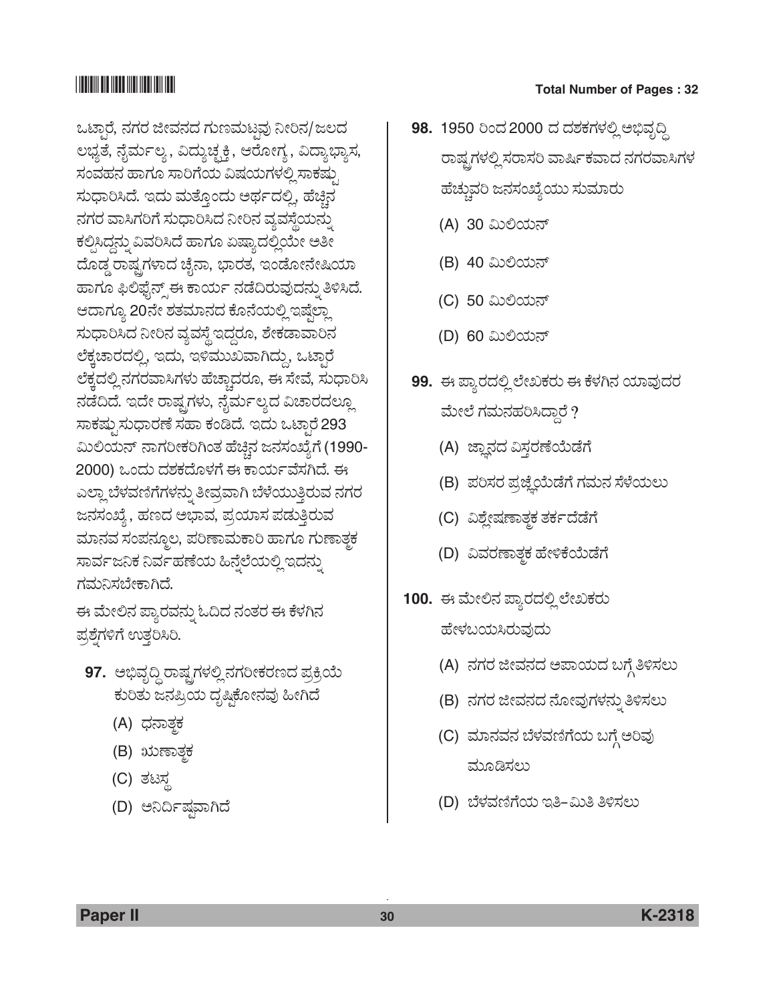ಒಟಾರೆ, ನಗರ ಜೀವನದ ಗುಣಮಟವು ನೀರಿನ/ಜಲದ ಲಭ್ಯತೆ, ನೈರ್ಮಲ್ಯ , ವಿದ್ಯುಚ್ಛಕ್ತಿ, ಆರೋಗ್ಯ , ವಿದ್ಯಾಭ್ಯಾಸ, ಸಂವಹನ ಹಾಗೂ ಸಾರಿಗೆಯ ವಿಷಯಗಳಲ್ಲಿ ಸಾಕಷ್ಟು ಸುಧಾರಿಸಿದೆ. ಇದು ಮತ್ತೊಂದು ಅರ್ಥದಲ್ಲಿ, ಹೆಚ್ಚಿನ ನಗರ ವಾಸಿಗರಿಗೆ ಸುಧಾರಿಸಿದ ನೀರಿನ ವ್ಯವಸ್ಥೆಯನ್ನು ಕಲ್ಪಿಸಿದ್ದನ್ನು ವಿವರಿಸಿದೆ ಹಾಗೂ ಏಷ್ಯಾದಲ್ಲಿಯೇ ಅತೀ ದೊಡ್ಡ ರಾಷ್ಟ್ರಗಳಾದ ಚೈನಾ, ಭಾರತ, ಇಂಡೋನೇಷಿಯಾ ಹಾಗೂ ಫಿಲಿಫೈನ್ಸ್ ಈ ಕಾರ್ಯ ನಡೆದಿರುವುದನ್ನು ತಿಳಿಸಿದೆ. ಆದಾಗ್ಯೂ 20ನೇ ಶತಮಾನದ ಕೊನೆಯಲ್ಲಿ ಇಷ್ತೆಲ್ಲಾ ಸುಧಾರಿಸಿದ ನೀರಿನ ವ್ಯವಸ್ಥೆ ಇದ್ದರೂ, ಶೇಕಡಾವಾರಿನ ಲೆಕ್ಕಚಾರದಲ್ಲಿ, ಇದು, ಇಳಿಮುಖವಾಗಿದ್ದು, ಒಟ್ಕಾರೆ ಲೆಕ್ತದಲ್ಲಿ ನಗರವಾಸಿಗಳು ಹೆಚ್ಚಾದರೂ, ಈ ಸೇವೆ, ಸುಧಾರಿಸಿ ನಡೆದಿದೆ. ಇದೇ ರಾಷ್ಟ್ರಗಳು, ನೈರ್ಮಲ್ಯದ ವಿಚಾರದಲ್ಲೂ ಸಾಕಷ್ಟು ಸುಧಾರಣೆ ಸಹಾ ಕಂಡಿದೆ. ಇದು ಒಟಾರೆ 293 ಮಿಲಿಯನ್ ನಾಗರೀಕರಿಗಿಂತ ಹೆಚ್ಚಿನ ಜನಸಂಖ್ಯೆಗೆ (1990-2000) ಒಂದು ದಶಕದೊಳಗೆ ಈ ಕಾರ್ಯವೆಸಗಿದೆ. ಈ ಎಲ್ಲಾ ಬೆಳವಣಿಗೆಗಳನ್ನು ತೀವ್ರವಾಗಿ ಬೆಳೆಯುತ್ತಿರುವ ನಗರ ಜನಸಂಖ್ಯೆ , ಹಣದ ಅಭಾವ, ಪ್ರಯಾಸ ಪಡುತ್ತಿರುವ ಮಾನವ ಸಂಪನ್ಮೂಲ, ಪರಿಣಾಮಕಾರಿ ಹಾಗೂ ಗುಣಾತ್ಮಕ ಸಾರ್ವಜನಿಕ ನಿರ್ವಹಣೆಯ ಹಿನ್ನೆಲೆಯಲ್ಲಿ ಇದನ್ನು ಗಮನಿಸಬೇಕಾಗಿದೆ.

ಈ ಮೇಲಿನ ಪ್ಯಾರವನ್ನು ಓದಿದ ನಂತರ ಈ ಕೆಳಗಿನ ಪ್ರಶ್ನೆಗಳಿಗೆ ಉತ್ತರಿಸಿರಿ.

- **97.** ಅಭಿವೃದ್ಧಿ ರಾಷ್ಟ್ರಗಳಲ್ಲಿ ನಗರೀಕರಣದ ಪ್ರಕ್ರಿಯೆ ಕುರಿತು ಜನಪ್ರಿಯ ದೃಷ್ಠಿಕೋನವು ಹೀಗಿದೆ
	- (A) ಧನಾತ್<del>ಕ</del>
	- (B) ಋಣಾತ್ತಕ
	- (C) ತಟಸ್ಥ
	- (D) ಅನಿರ್ದಿಷವಾಗಿದೆ
- 98. 1950 ರಿಂದ 2000 ದ ದಶಕಗಳಲ್ಲಿ ಅಭಿವೃದ್ಧಿ ರಾಷ್ಟ್ರಗಳಲ್ಲಿ ಸರಾಸರಿ ವಾರ್ಷಿಕವಾದ ನಗರವಾಸಿಗಳ ಹೆಚ್ಚುವರಿ ಜನಸಂಖ್ಯೆಯು ಸುಮಾರು
	- (A) 30 ಮಿಲಿಯನ್
	- (B) 40 ಮಿಲಿಯನ್
	- (C) 50 ಮಿಲಿಯನ್
	- (D) 60 ಮಿಲಿಯನ್
- **99.** ಈ ಪ್ಯಾರದಲ್ಲಿ ಲೇಖಕರು ಈ ಕೆಳಗಿನ ಯಾವುದರ ಮೇಲೆ ಗಮನಹರಿಸಿದ್ದಾರೆ ?
	- (A) ಜ್ಞಾನದ ವಿಸ್ತರಣೆಯೆಡೆಗೆ
	- (B) ಪರಿಸರ ಪ್ರಜ್ಞೆಯೆಡೆಗೆ ಗಮನ ಸೆಳೆಯಲು
	- (C) ವಿಶ್ಲೇಷಣಾತ್ಮಕ ತರ್ಕದೆಡೆಗೆ
	- (D) ವಿವರಣಾತ್ಮಕ ಹೇಳಿಕೆಯೆಡೆಗೆ
- 100. ಈ ಮೇಲಿನ ಪ್ಯಾರದಲ್ಲಿ ಲೇಖಕರು ಹೇಳಬಯಸಿರುವುದು
	- (A) ನಗರ ಜೀವನದ ಅಪಾಯದ ಬಗ್ಗೆ ತಿಳಿಸಲು
	- (B) ನಗರ ಜೀವನದ ನೋವುಗಳನ್ನು ತಿಳಿಸಲು
	- (C) ಮಾನವನ ಬೆಳವಣಿಗೆಯ ಬಗ್ಗೆ ಅರಿವು ಮೂಡಿಸಲು
	- (D) ಬೆಳವಣಿಗೆಯ ಇತಿ-ಮಿತಿ ತಿಳಿಸಲು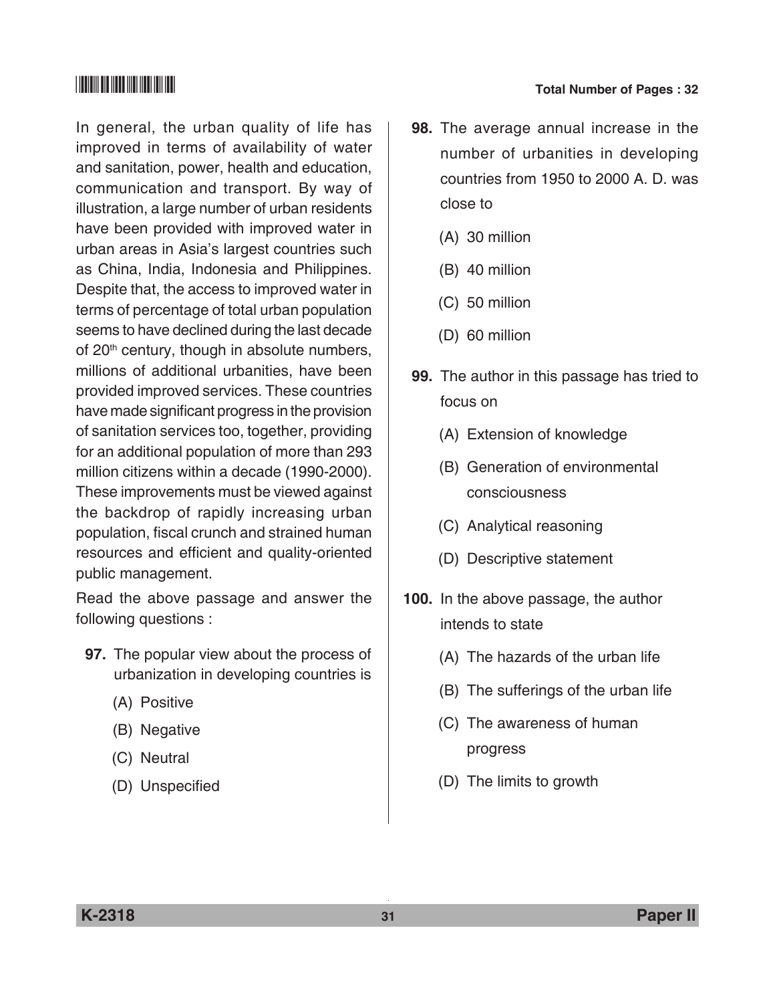In general, the urban quality of life has improved in terms of availability of water and sanitation, power, health and education, communication and transport. By way of illustration, a large number of urban residents have been provided with improved water in urban areas in Asia's largest countries such as China, India, Indonesia and Philippines. Despite that, the access to improved water in terms of percentage of total urban population seems to have declined during the last decade of 20<sup>th</sup> century, though in absolute numbers, millions of additional urbanities, have been provided improved services. These countries have made significant progress in the provision of sanitation services too, together, providing for an additional population of more than 293 million citizens within a decade (1990-2000). These improvements must be viewed against the backdrop of rapidly increasing urban population, fiscal crunch and strained human resources and efficient and quality-oriented public management.

Read the above passage and answer the following questions :

- **97.** The popular view about the process of urbanization in developing countries is
	- (A) Positive
	- (B) Negative
	- (C) Neutral
	- (D) Unspecified

## \*K2318\* **Total Number of Pages : 32**

- **98.** The average annual increase in the number of urbanities in developing countries from 1950 to 2000 A. D. was close to
	- (A) 30 million
	- (B) 40 million
	- (C) 50 million
	- (D) 60 million
- **99.** The author in this passage has tried to focus on
	- (A) Extension of knowledge
	- (B) Generation of environmental consciousness
	- (C) Analytical reasoning
	- (D) Descriptive statement
- **100.** In the above passage, the author intends to state
	- (A) The hazards of the urban life
	- (B) The sufferings of the urban life
	- (C) The awareness of human progress
	- (D) The limits to growth

**K-2318 31 Paper II**